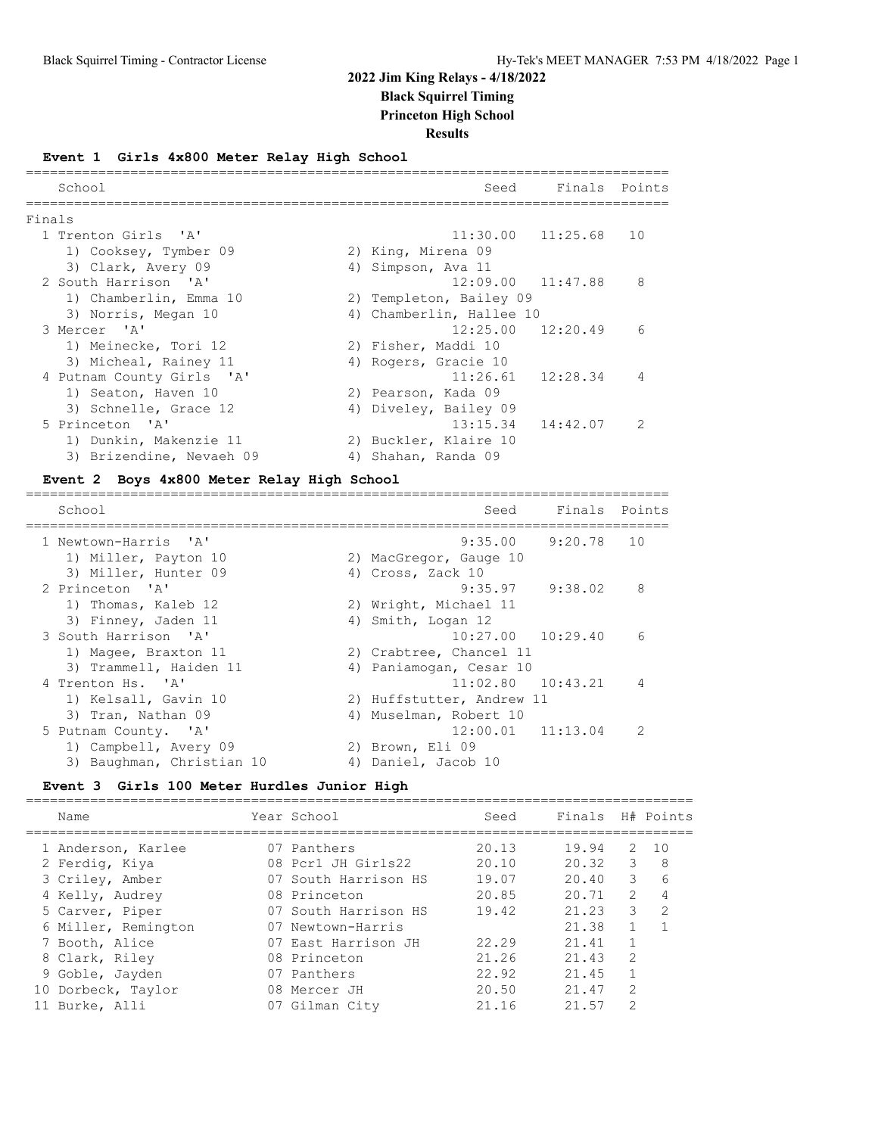# **2022 Jim King Relays - 4/18/2022**

**Black Squirrel Timing**

**Princeton High School**

**Results**

## **Event 1 Girls 4x800 Meter Relay High School**

|        | School                    |    | Seed                     | Finals Points |                |
|--------|---------------------------|----|--------------------------|---------------|----------------|
| Finals |                           |    |                          |               |                |
|        | 1 Trenton Girls 'A'       |    | $11:30.00$ $11:25.68$ 10 |               |                |
|        | 1) Cooksey, Tymber 09     |    | 2) King, Mirena 09       |               |                |
|        | 3) Clark, Avery 09        |    | 4) Simpson, Ava 11       |               |                |
|        | 2 South Harrison 'A'      |    | $12:09.00$ $11:47.88$    |               | $\mathcal{R}$  |
|        | 1) Chamberlin, Emma 10    |    | 2) Templeton, Bailey 09  |               |                |
|        | 3) Norris, Megan 10       |    | 4) Chamberlin, Hallee 10 |               |                |
|        | 3 Mercer 'A'              |    | $12:25.00$ $12:20.49$    |               | 6              |
|        | 1) Meinecke, Tori 12      |    | 2) Fisher, Maddi 10      |               |                |
|        | 3) Micheal, Rainey 11     |    | 4) Rogers, Gracie 10     |               |                |
|        | 4 Putnam County Girls 'A' |    | $11:26.61$ $12:28.34$    |               | $\overline{4}$ |
|        | 1) Seaton, Haven 10       |    | 2) Pearson, Kada 09      |               |                |
|        | 3) Schnelle, Grace 12     |    | 4) Diveley, Bailey 09    |               |                |
|        | 5 Princeton 'A'           |    | $13:15.34$ $14:42.07$    |               | $\mathcal{P}$  |
|        | 1) Dunkin, Makenzie 11    |    | 2) Buckler, Klaire 10    |               |                |
|        | 3) Brizendine, Nevaeh 09  | 4) | Shahan, Randa 09         |               |                |
|        |                           |    |                          |               |                |

### **Event 2 Boys 4x800 Meter Relay High School**

| School                    | Finals<br>Seed            | Points         |
|---------------------------|---------------------------|----------------|
| 1 Newtown-Harris 'A'      | 9:20.78<br>9:35.00        | 10             |
| 1) Miller, Payton 10      | 2) MacGregor, Gauge 10    |                |
| 3) Miller, Hunter 09      | 4) Cross, Zack 10         |                |
| 2 Princeton 'A'           | $9:35.97$ $9:38.02$       | 8              |
| 1) Thomas, Kaleb 12       | 2) Wright, Michael 11     |                |
| 3) Finney, Jaden 11       | 4) Smith, Logan 12        |                |
| 3 South Harrison 'A'      | $10:27.00$ $10:29.40$     | 6              |
| 1) Magee, Braxton 11      | 2) Crabtree, Chancel 11   |                |
| 3) Trammell, Haiden 11    | 4) Paniamogan, Cesar 10   |                |
| 4 Trenton Hs. 'A'         | $11:02.80$ $10:43.21$     | $\overline{4}$ |
| 1) Kelsall, Gavin 10      | 2) Huffstutter, Andrew 11 |                |
| 3) Tran, Nathan 09        | 4) Muselman, Robert 10    |                |
| 5 Putnam County. 'A'      | $12:00.01$ $11:13.04$     | $\mathcal{P}$  |
| 1) Campbell, Avery 09     | 2) Brown, Eli 09          |                |
| 3) Baughman, Christian 10 | 4) Daniel, Jacob 10       |                |

### **Event 3 Girls 100 Meter Hurdles Junior High**

|    | Name                | Year School          | Seed  | Finals |                | H# Points     |
|----|---------------------|----------------------|-------|--------|----------------|---------------|
|    | 1 Anderson, Karlee  | 07 Panthers          | 20.13 | 19.94  | 2              | 1 O           |
|    | 2 Ferdig, Kiya      | 08 Pcr1 JH Girls22   | 20.10 | 20.32  | 3              | 8             |
|    | 3 Criley, Amber     | 07 South Harrison HS | 19.07 | 20.40  | 3              | 6             |
|    | 4 Kelly, Audrey     | 08 Princeton         | 20.85 | 20.71  | $\overline{2}$ | 4             |
|    | 5 Carver, Piper     | 07 South Harrison HS | 19.42 | 21.23  | 3              | $\mathcal{D}$ |
|    | 6 Miller, Remington | 07 Newtown-Harris    |       | 21.38  |                |               |
|    | 7 Booth, Alice      | 07 East Harrison JH  | 22.29 | 21.41  |                |               |
|    | 8 Clark, Riley      | 08 Princeton         | 21.26 | 21.43  | 2              |               |
|    | 9 Goble, Jayden     | 07 Panthers          | 22.92 | 21.45  |                |               |
|    | 10 Dorbeck, Taylor  | 08 Mercer JH         | 20.50 | 21.47  | 2              |               |
| 11 | Burke, Alli         | ' Gilman City        | 21.16 | 21.57  | 2              |               |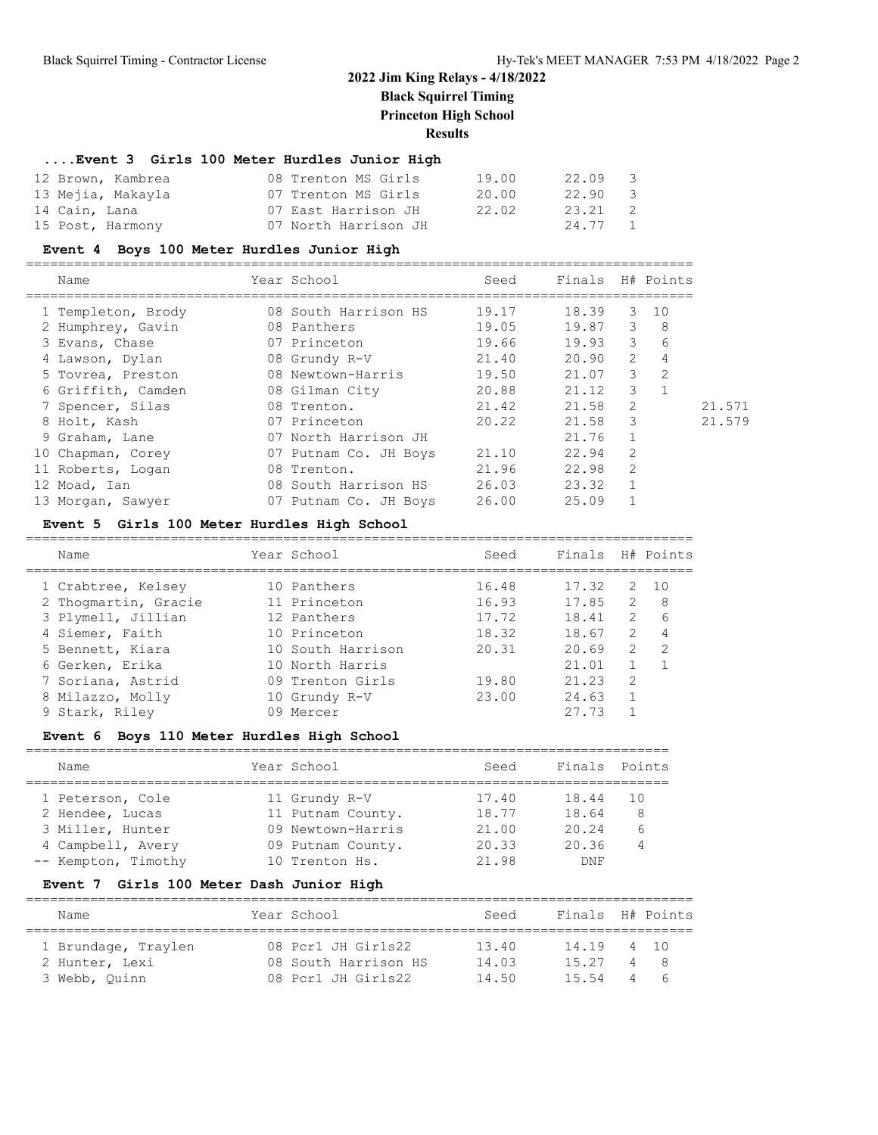#### **....Event 3 Girls 100 Meter Hurdles Junior High**

| 12 Brown, Kambrea | 08 Trenton MS Girls  | 19.00 | 22.09   | $\overline{\phantom{a}}$ |
|-------------------|----------------------|-------|---------|--------------------------|
| 13 Mejia, Makayla | 07 Trenton MS Girls  | 20.00 | 22.90   | $\overline{\phantom{a}}$ |
| 14 Cain, Lana     | 07 East Harrison JH  | 22.02 | 23.21   | $\overline{2}$           |
| 15 Post, Harmony  | 07 North Harrison JH |       | 24.77 1 |                          |

#### **Event 4 Boys 100 Meter Hurdles Junior High**

===================================================================================

| Name               | Year School           | Seed  | Finals |               | H# Points      |        |
|--------------------|-----------------------|-------|--------|---------------|----------------|--------|
| 1 Templeton, Brody | 08 South Harrison HS  | 19.17 | 18.39  |               | $3 \quad 10$   |        |
| 2 Humphrey, Gavin  | 08 Panthers           | 19.05 | 19.87  | 3             | 8              |        |
| 3 Evans, Chase     | 07 Princeton          | 19.66 | 19.93  | 3             | 6              |        |
| 4 Lawson, Dylan    | 08 Grundy R-V         | 21.40 | 20.90  | 2             | $\overline{4}$ |        |
| 5 Tovrea, Preston  | 08 Newtown-Harris     | 19.50 | 21.07  | 3             | 2              |        |
| 6 Griffith, Camden | 08 Gilman City        | 20.88 | 21.12  | 3             |                |        |
| 7 Spencer, Silas   | 08 Trenton.           | 21.42 | 21.58  | 2             |                | 21.571 |
| 8 Holt, Kash       | 07 Princeton          | 20.22 | 21.58  | 3             |                | 21.579 |
| 9 Graham, Lane     | 07 North Harrison JH  |       | 21.76  |               |                |        |
| 10 Chapman, Corey  | 07 Putnam Co. JH Boys | 21.10 | 22.94  | 2             |                |        |
| 11 Roberts, Logan  | 08 Trenton.           | 21.96 | 22.98  | $\mathcal{L}$ |                |        |
| 12 Moad, Ian       | 08 South Harrison HS  | 26.03 | 23.32  |               |                |        |
| 13 Morgan, Sawyer  | 07 Putnam Co. JH Boys | 26.00 | 25.09  |               |                |        |

#### **Event 5 Girls 100 Meter Hurdles High School**

===================================================================================

| Name |                                                                                                                                                                                       | Year School | Seed                                                                                                                                                 | Finals |               | H# Points |
|------|---------------------------------------------------------------------------------------------------------------------------------------------------------------------------------------|-------------|------------------------------------------------------------------------------------------------------------------------------------------------------|--------|---------------|-----------|
|      |                                                                                                                                                                                       |             | 16.48                                                                                                                                                | 17.32  | 2             | 10        |
|      |                                                                                                                                                                                       |             | 16.93                                                                                                                                                | 17.85  | 2             | -8        |
|      |                                                                                                                                                                                       |             | 17.72                                                                                                                                                | 18.41  | $\mathcal{L}$ | 6         |
|      |                                                                                                                                                                                       |             | 18.32                                                                                                                                                | 18.67  | $\mathcal{P}$ | 4         |
|      |                                                                                                                                                                                       |             | 20.31                                                                                                                                                | 20.69  | $\mathcal{P}$ | -2        |
|      |                                                                                                                                                                                       |             |                                                                                                                                                      | 21.01  |               |           |
|      |                                                                                                                                                                                       |             | 19.80                                                                                                                                                | 21.23  | 2             |           |
|      |                                                                                                                                                                                       |             | 23.00                                                                                                                                                | 24.63  |               |           |
|      |                                                                                                                                                                                       |             |                                                                                                                                                      | 27.73  |               |           |
|      | 1 Crabtree, Kelsey<br>2 Thoqmartin, Gracie<br>3 Plymell, Jillian<br>4 Siemer, Faith<br>5 Bennett, Kiara<br>6 Gerken, Erika<br>7 Soriana, Astrid<br>8 Milazzo, Molly<br>9 Stark, Riley |             | 10 Panthers<br>11 Princeton<br>12 Panthers<br>10 Princeton<br>10 South Harrison<br>10 North Harris<br>09 Trenton Girls<br>10 Grundy R-V<br>09 Mercer |        |               |           |

#### **Event 6 Boys 110 Meter Hurdles High School**

| Name                | Year School       | Seed  | Finals Points |    |
|---------------------|-------------------|-------|---------------|----|
|                     |                   |       |               |    |
| 1 Peterson, Cole    | 11 Grundy R-V     | 17.40 | 18.44         | 10 |
| 2 Hendee, Lucas     | 11 Putnam County. | 18.77 | 18.64         | 8  |
| 3 Miller, Hunter    | 09 Newtown-Harris | 21.00 | 20.24         |    |
| 4 Campbell, Avery   | 09 Putnam County. | 20.33 | 20.36         |    |
| -- Kempton, Timothy | 10 Trenton Hs.    | 21.98 | <b>DNF</b>    |    |

#### **Event 7 Girls 100 Meter Dash Junior High**

| Name                | Year School          | Seed  | Finals H# Points |   |       |
|---------------------|----------------------|-------|------------------|---|-------|
| 1 Brundage, Traylen | 08 Pcr1 JH Girls22   | 13.40 | 14 19            |   | 4 1 0 |
| 2 Hunter, Lexi      | 08 South Harrison HS | 14.03 | 15.27            |   | 4 8   |
| 3 Webb, Ouinn       | 08 Pcr1 JH Girls22   | 14.50 | 15.54            | 4 | - 6   |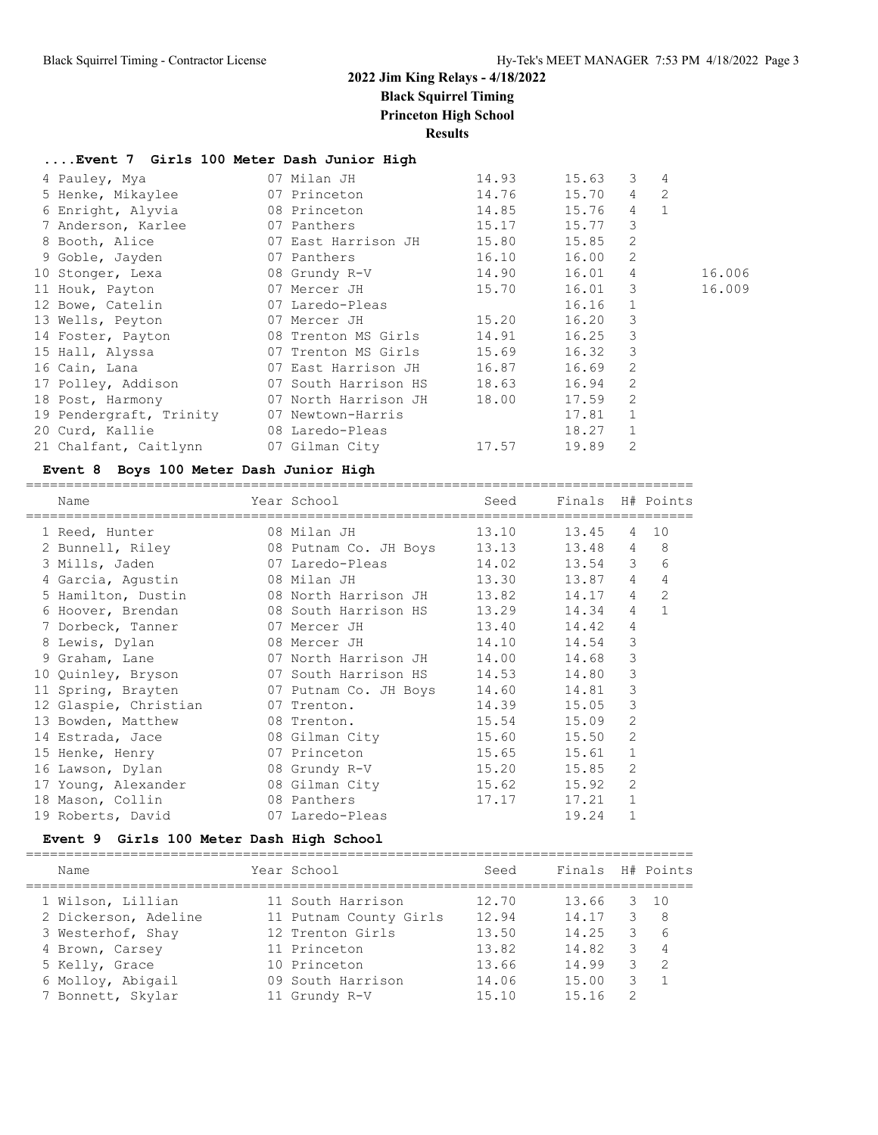## **2022 Jim King Relays - 4/18/2022 Black Squirrel Timing**

**Princeton High School**

**Results**

## **....Event 7 Girls 100 Meter Dash Junior High**

| 4 Pauley, Mya           | 07 Milan JH          | 14.93 | 15.63   | 3               | 4            |        |
|-------------------------|----------------------|-------|---------|-----------------|--------------|--------|
| 5 Henke, Mikaylee       | 07 Princeton         | 14.76 | 15.70   | $4\overline{ }$ | 2            |        |
| 6 Enright, Alyvia       | 08 Princeton         | 14.85 | 15.76   | $\overline{4}$  | $\mathbf{1}$ |        |
| 7 Anderson, Karlee      | 07 Panthers          | 15.17 | 15.77   | 3               |              |        |
| 8 Booth, Alice          | 07 East Harrison JH  | 15.80 | 15.85   | 2               |              |        |
| 9 Goble, Jayden         | 07 Panthers          | 16.10 | 16.00   | 2               |              |        |
| 10 Stonger, Lexa        | 08 Grundy R-V        | 14.90 | 16.01   | 4               |              | 16.006 |
| 11 Houk, Payton         | 07 Mercer JH         | 15.70 | 16.01 3 |                 |              | 16.009 |
| 12 Bowe, Catelin        | 07 Laredo-Pleas      |       | 16.16   |                 |              |        |
| 13 Wells, Peyton        | 07 Mercer JH         | 15.20 | 16.20   | 3               |              |        |
| 14 Foster, Payton       | 08 Trenton MS Girls  | 14.91 | 16.25   | 3               |              |        |
| 15 Hall, Alyssa         | 07 Trenton MS Girls  | 15.69 | 16.32   | 3               |              |        |
| 16 Cain, Lana           | 07 East Harrison JH  | 16.87 | 16.69   | 2               |              |        |
| 17 Polley, Addison      | 07 South Harrison HS | 18.63 | 16.94   | 2               |              |        |
| 18 Post, Harmony        | 07 North Harrison JH | 18.00 | 17.59   | 2               |              |        |
| 19 Pendergraft, Trinity | 07 Newtown-Harris    |       | 17.81   |                 |              |        |
| 20 Curd, Kallie         | 08 Laredo-Pleas      |       | 18.27   |                 |              |        |
| 21 Chalfant, Caitlynn   | 07 Gilman City       | 17.57 | 19.89   | 2               |              |        |

## **Event 8 Boys 100 Meter Dash Junior High**

===================================================================================

| Name |                                                                                                                                                                                                                                                                    | Seed                                                                                                                                                                                                                                                                                                                                                                                                                                                                            |                                                     |                                                                                                                                     |                                                               |
|------|--------------------------------------------------------------------------------------------------------------------------------------------------------------------------------------------------------------------------------------------------------------------|---------------------------------------------------------------------------------------------------------------------------------------------------------------------------------------------------------------------------------------------------------------------------------------------------------------------------------------------------------------------------------------------------------------------------------------------------------------------------------|-----------------------------------------------------|-------------------------------------------------------------------------------------------------------------------------------------|---------------------------------------------------------------|
|      |                                                                                                                                                                                                                                                                    | 13.10                                                                                                                                                                                                                                                                                                                                                                                                                                                                           | 13.45                                               | 4                                                                                                                                   | 10                                                            |
|      |                                                                                                                                                                                                                                                                    |                                                                                                                                                                                                                                                                                                                                                                                                                                                                                 |                                                     | $\overline{4}$                                                                                                                      | 8                                                             |
|      |                                                                                                                                                                                                                                                                    |                                                                                                                                                                                                                                                                                                                                                                                                                                                                                 |                                                     | $\mathcal{E}$                                                                                                                       | 6                                                             |
|      |                                                                                                                                                                                                                                                                    |                                                                                                                                                                                                                                                                                                                                                                                                                                                                                 |                                                     | $\overline{4}$                                                                                                                      | $\overline{4}$                                                |
|      |                                                                                                                                                                                                                                                                    |                                                                                                                                                                                                                                                                                                                                                                                                                                                                                 |                                                     | $\overline{4}$                                                                                                                      | 2                                                             |
|      |                                                                                                                                                                                                                                                                    |                                                                                                                                                                                                                                                                                                                                                                                                                                                                                 |                                                     | $\overline{4}$                                                                                                                      | $\mathbf{1}$                                                  |
|      |                                                                                                                                                                                                                                                                    |                                                                                                                                                                                                                                                                                                                                                                                                                                                                                 | 14.42                                               | 4                                                                                                                                   |                                                               |
|      |                                                                                                                                                                                                                                                                    |                                                                                                                                                                                                                                                                                                                                                                                                                                                                                 | 14.54                                               | 3                                                                                                                                   |                                                               |
|      |                                                                                                                                                                                                                                                                    |                                                                                                                                                                                                                                                                                                                                                                                                                                                                                 | 14.68                                               | 3                                                                                                                                   |                                                               |
|      |                                                                                                                                                                                                                                                                    |                                                                                                                                                                                                                                                                                                                                                                                                                                                                                 | 14.80                                               | 3                                                                                                                                   |                                                               |
|      |                                                                                                                                                                                                                                                                    |                                                                                                                                                                                                                                                                                                                                                                                                                                                                                 | 14.81                                               | 3                                                                                                                                   |                                                               |
|      |                                                                                                                                                                                                                                                                    |                                                                                                                                                                                                                                                                                                                                                                                                                                                                                 | 15.05                                               | 3                                                                                                                                   |                                                               |
|      |                                                                                                                                                                                                                                                                    |                                                                                                                                                                                                                                                                                                                                                                                                                                                                                 | 15.09                                               | 2                                                                                                                                   |                                                               |
|      |                                                                                                                                                                                                                                                                    |                                                                                                                                                                                                                                                                                                                                                                                                                                                                                 | 15.50                                               | 2                                                                                                                                   |                                                               |
|      |                                                                                                                                                                                                                                                                    |                                                                                                                                                                                                                                                                                                                                                                                                                                                                                 | 15.61                                               | $\mathbf{1}$                                                                                                                        |                                                               |
|      |                                                                                                                                                                                                                                                                    |                                                                                                                                                                                                                                                                                                                                                                                                                                                                                 | 15.85                                               | 2                                                                                                                                   |                                                               |
|      |                                                                                                                                                                                                                                                                    | 15.62                                                                                                                                                                                                                                                                                                                                                                                                                                                                           | 15.92                                               | 2                                                                                                                                   |                                                               |
|      |                                                                                                                                                                                                                                                                    | 17.17                                                                                                                                                                                                                                                                                                                                                                                                                                                                           | 17.21                                               | $\mathbf{1}$                                                                                                                        |                                                               |
|      |                                                                                                                                                                                                                                                                    |                                                                                                                                                                                                                                                                                                                                                                                                                                                                                 | 19.24                                               | $\mathbf{1}$                                                                                                                        |                                                               |
|      | 1 Reed, Hunter<br>2 Bunnell, Riley<br>3 Mills, Jaden<br>4 Garcia, Agustin<br>6 Hoover, Brendan<br>7 Dorbeck, Tanner<br>8 Lewis, Dylan<br>9 Graham, Lane<br>12 Glaspie, Christian<br>13 Bowden, Matthew<br>15 Henke, Henry<br>18 Mason, Collin<br>19 Roberts, David | Year School<br>08 Milan JH<br>08 Putnam Co. JH Boys<br>07 Laredo-Pleas<br>08 Milan JH<br>08 South Harrison HS<br>07 Mercer JH<br>08 Mercer JH<br>07 North Harrison JH<br>10 Quinley, Bryson 67 South Harrison HS<br>11 Spring, Brayten 67 Putnam Co. JH Boys<br>07 Trenton.<br>08 Trenton.<br>14 Estrada, Jace 68 Gilman City<br>07 Princeton<br>16 Lawson, Dylan                         08 Grundy R-V<br>17 Young, Alexander 68 Gilman City<br>08 Panthers<br>07 Laredo-Pleas | 5 Hamilton, Dustin             08 North Harrison JH | 13.13<br>14.02<br>13.30<br>13.82<br>13.29<br>13.40<br>14.10<br>14.00<br>14.53<br>14.60<br>14.39<br>15.54<br>15.60<br>15.65<br>15.20 | Finals H# Points<br>13.48<br>13.54<br>13.87<br>14.17<br>14.34 |

## **Event 9 Girls 100 Meter Dash High School**

| Name                 | Year School            | Seed  | Finals |               | H# Points      |
|----------------------|------------------------|-------|--------|---------------|----------------|
| 1 Wilson, Lillian    | 11 South Harrison      | 12.70 | 13.66  |               | 3 10           |
| 2 Dickerson, Adeline | 11 Putnam County Girls | 12.94 | 14.17  | 3             | -8             |
| 3 Westerhof, Shay    | 12 Trenton Girls       | 13.50 | 14.25  | 3.            | $6^{6}$        |
| 4 Brown, Carsey      | 11 Princeton           | 13.82 | 14.82  | 3             | $\overline{4}$ |
| 5 Kelly, Grace       | 10 Princeton           | 13.66 | 14.99  | 3.            | $\mathcal{P}$  |
| 6 Molloy, Abigail    | 09 South Harrison      | 14.06 | 15.00  | 3.            |                |
| 7 Bonnett, Skylar    | 11 Grundy R-V          | 15.10 | 15.16  | $\mathcal{L}$ |                |
|                      |                        |       |        |               |                |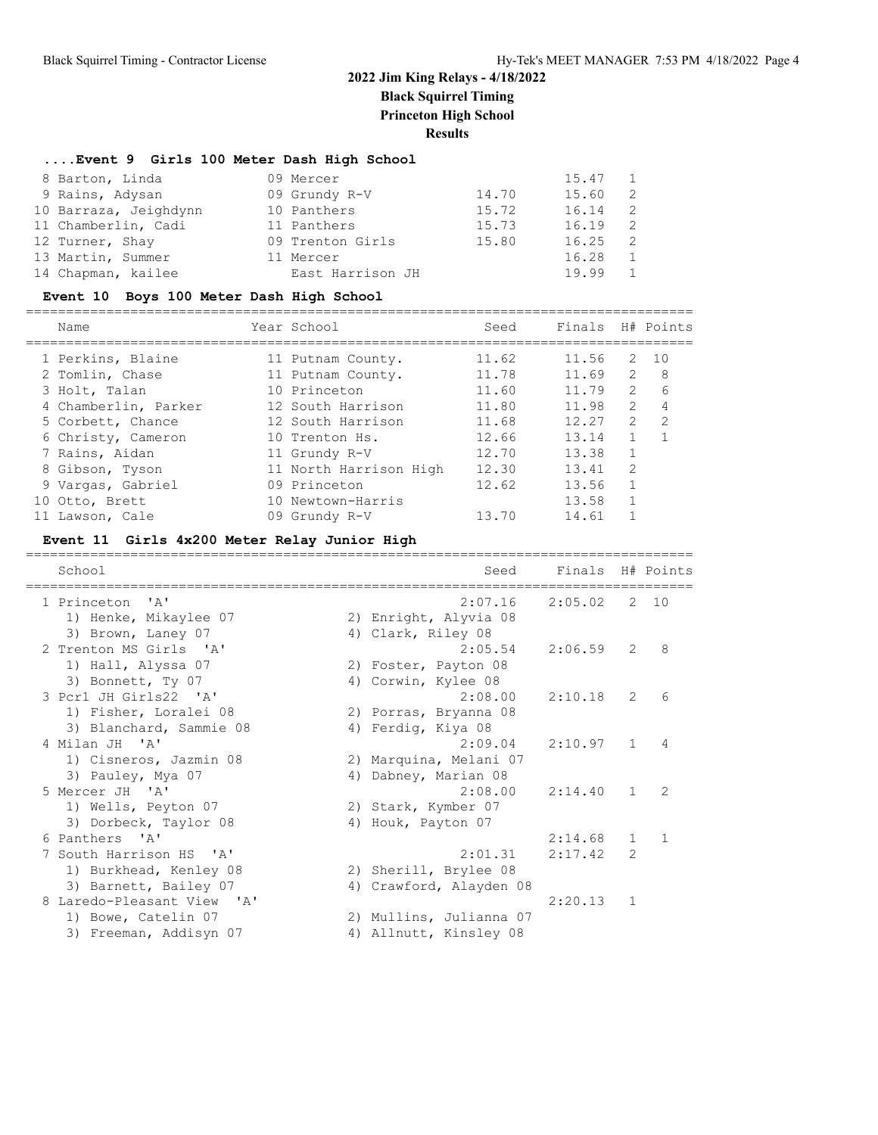#### **....Event 9 Girls 100 Meter Dash High School**

| 8 Barton, Linda       | 09 Mercer        |       | 15.47 | $\sim$ 1 |
|-----------------------|------------------|-------|-------|----------|
| 9 Rains, Adysan       | 09 Grundy R-V    | 14.70 | 15.60 | -2       |
| 10 Barraza, Jeighdynn | 10 Panthers      | 15.72 | 16.14 |          |
| 11 Chamberlin, Cadi   | 11 Panthers      | 15.73 | 16.19 |          |
| 12 Turner, Shay       | 09 Trenton Girls | 15.80 | 16.25 |          |
| 13 Martin, Summer     | 11 Mercer        |       | 16.28 |          |
| 14 Chapman, kailee    | East Harrison JH |       | 19.99 |          |

#### **Event 10 Boys 100 Meter Dash High School**

=================================================================================== Name The Year School Seed Finals H# Points =================================================================================== 1 Perkins, Blaine 11 Putnam County. 11.62 11.56 2 10 2 Tomlin, Chase 11 Putnam County. 11.78 11.69 2 8 3 Holt, Talan 10 Princeton 11.60 11.79 2 6 4 Chamberlin, Parker 12 South Harrison 11.80 11.98 2 4 5 Corbett, Chance 12 South Harrison 11.68 12.27 2 2 6 Christy, Cameron 10 Trenton Hs. 12.66 13.14 1 1 7 Rains, Aidan 11 Grundy R-V 12.70 13.38 1 8 Gibson, Tyson 11 North Harrison High 12.30 13.41 2 9 Vargas, Gabriel 09 Princeton 12.62 13.56 1 10 Otto, Brett 10 Newtown-Harris 13.58 1 11 Lawson, Cale 09 Grundy R-V 13.70 14.61 1

#### **Event 11 Girls 4x200 Meter Relay Junior High**

| School                      | Seed                    | Finals H# Points |              |                |
|-----------------------------|-------------------------|------------------|--------------|----------------|
| 1 Princeton<br>$\mathsf{A}$ | 2:07.16                 | 2:05.02          |              | 2, 10          |
| 1) Henke, Mikaylee 07       | 2) Enright, Alyvia 08   |                  |              |                |
| 3) Brown, Laney 07          | 4) Clark, Riley 08      |                  |              |                |
| 2 Trenton MS Girls 'A'      | 2:05.54                 | 2:06.59          | 2            | 8              |
| 1) Hall, Alyssa 07          | 2) Foster, Payton 08    |                  |              |                |
| 3) Bonnett, Ty 07           | 4) Corwin, Kylee 08     |                  |              |                |
| 3 Pcr1 JH Girls22 'A'       | 2:08.00                 | 2:10.18          | 2            | 6              |
| 1) Fisher, Loralei 08       | 2) Porras, Bryanna 08   |                  |              |                |
| 3) Blanchard, Sammie 08     | 4) Ferdig, Kiya 08      |                  |              |                |
| 4 Milan JH 'A'              | 2:09.04                 | 2:10.97          | $\mathbf{1}$ | $\overline{4}$ |
| 1) Cisneros, Jazmin 08      | 2) Marquina, Melani 07  |                  |              |                |
| 3) Pauley, Mya 07           | 4) Dabney, Marian 08    |                  |              |                |
| 5 Mercer JH 'A'             | 2:08.00                 | 2:14.40          | $\mathbf{1}$ | $\overline{2}$ |
| 1) Wells, Peyton 07         | 2) Stark, Kymber 07     |                  |              |                |
| 3) Dorbeck, Taylor 08       | 4) Houk, Payton 07      |                  |              |                |
| 6 Panthers 'A'              |                         | 2:14.68          | $\mathbf{1}$ | $\overline{1}$ |
| 7 South Harrison HS 'A'     | 2:01.31                 | 2:17.42          | 2            |                |
| 1) Burkhead, Kenley 08      | 2) Sherill, Brylee 08   |                  |              |                |
| 3) Barnett, Bailey 07       | 4) Crawford, Alayden 08 |                  |              |                |
| 8 Laredo-Pleasant View 'A'  |                         | 2:20.13          | 1            |                |
| 1) Bowe, Catelin 07         | 2) Mullins, Julianna 07 |                  |              |                |
| 3) Freeman, Addisyn 07      | 4) Allnutt, Kinsley 08  |                  |              |                |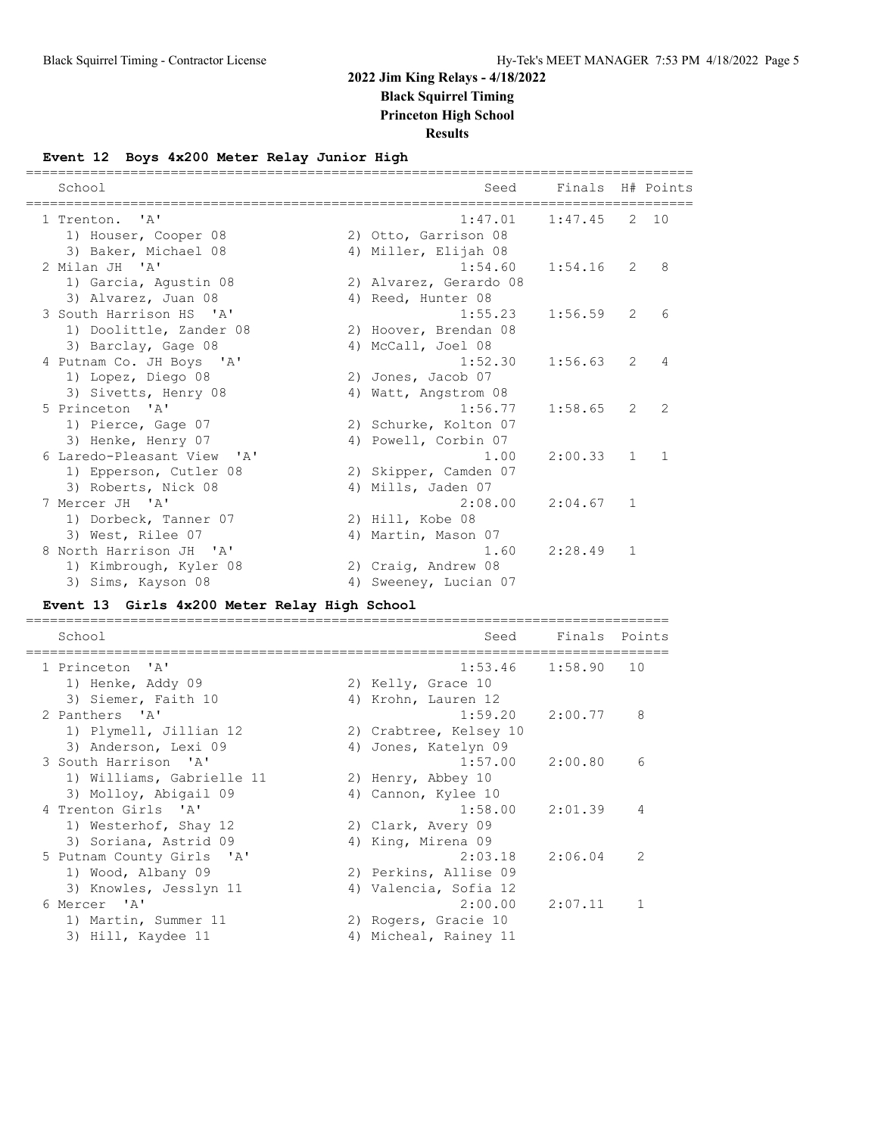**Results**

#### **Event 12 Boys 4x200 Meter Relay Junior High**

| School                     | Seed                   | Finals H# Points |                |                 |
|----------------------------|------------------------|------------------|----------------|-----------------|
| $\mathsf{Z}$<br>1 Trenton. | ===========<br>1:47.01 | 1:47.45          |                | 2 10            |
| 1) Houser, Cooper 08       | 2) Otto, Garrison 08   |                  |                |                 |
| 3) Baker, Michael 08       | 4) Miller, Elijah 08   |                  |                |                 |
| 2 Milan JH 'A'             | 1:54.60                | 1:54.16          | $\mathcal{L}$  | 8               |
| 1) Garcia, Agustin 08      | 2) Alvarez, Gerardo 08 |                  |                |                 |
| 3) Alvarez, Juan 08        | 4) Reed, Hunter 08     |                  |                |                 |
| 3 South Harrison HS 'A'    | 1:55.23                | 1:56.59          | $\mathcal{L}$  | $6\overline{6}$ |
| 1) Doolittle, Zander 08    | 2) Hoover, Brendan 08  |                  |                |                 |
| 3) Barclay, Gage 08        | 4) McCall, Joel 08     |                  |                |                 |
| 4 Putnam Co. JH Boys 'A'   | 1:52.30                | 1:56.63          | $\mathcal{L}$  | $\overline{4}$  |
| 1) Lopez, Diego 08         | 2) Jones, Jacob 07     |                  |                |                 |
| 3) Sivetts, Henry 08       | 4) Watt, Angstrom 08   |                  |                |                 |
| 5 Princeton 'A'            | 1:56.77                | 1:58.65          | $\mathcal{L}$  | $\mathcal{L}$   |
| 1) Pierce, Gage 07         | 2) Schurke, Kolton 07  |                  |                |                 |
| 3) Henke, Henry 07         | 4) Powell, Corbin 07   |                  |                |                 |
| 6 Laredo-Pleasant View 'A' | 1.00                   | 2:00.33          | $\mathbf{1}$   | $\overline{1}$  |
| 1) Epperson, Cutler 08     | 2) Skipper, Camden 07  |                  |                |                 |
| 3) Roberts, Nick 08        | 4) Mills, Jaden 07     |                  |                |                 |
| 7 Mercer JH 'A'            | 2:08.00                | 2:04.67          | $\overline{1}$ |                 |
| 1) Dorbeck, Tanner 07      | 2) Hill, Kobe 08       |                  |                |                 |
| 3) West, Rilee 07          | 4) Martin, Mason 07    |                  |                |                 |
| 8 North Harrison JH 'A'    | 1.60                   | 2:28.49          | 1              |                 |
| 1) Kimbrough, Kyler 08     | 2) Craig, Andrew 08    |                  |                |                 |
| 3) Sims, Kayson 08         | 4) Sweeney, Lucian 07  |                  |                |                 |

#### **Event 13 Girls 4x200 Meter Relay High School**

================================================================================ School School Seed Finals Points ================================================================================ 1 Princeton 'A' 1:53.46 1:58.90 10 1) Henke, Addy 09 2) Kelly, Grace 10 3) Siemer, Faith 10 (4) Krohn, Lauren 12 2 Panthers 'A' 1:59.20 2:00.77 8 1) Plymell, Jillian 12 2) Crabtree, Kelsey 10 3) Anderson, Lexi 09 1988 (4) Jones, Katelyn 09 3 South Harrison 'A' 1:57.00 2:00.80 6 1) Williams, Gabrielle 11 2) Henry, Abbey 10 3) Molloy, Abigail 09 (4) Cannon, Kylee 10 4 Trenton Girls 'A' 1:58.00 2:01.39 4 1) Westerhof, Shay 12 2) Clark, Avery 09 3) Soriana, Astrid 09 (4) King, Mirena 09 5 Putnam County Girls 'A' 2:03.18 2:06.04 2 1) Wood, Albany 09 2) Perkins, Allise 09 3) Knowles, Jesslyn 11 4) Valencia, Sofia 12 6 Mercer 'A' 2:00.00 2:07.11 1 1) Martin, Summer 11 and 2) Rogers, Gracie 10 3) Hill, Kaydee 11 4) Micheal, Rainey 11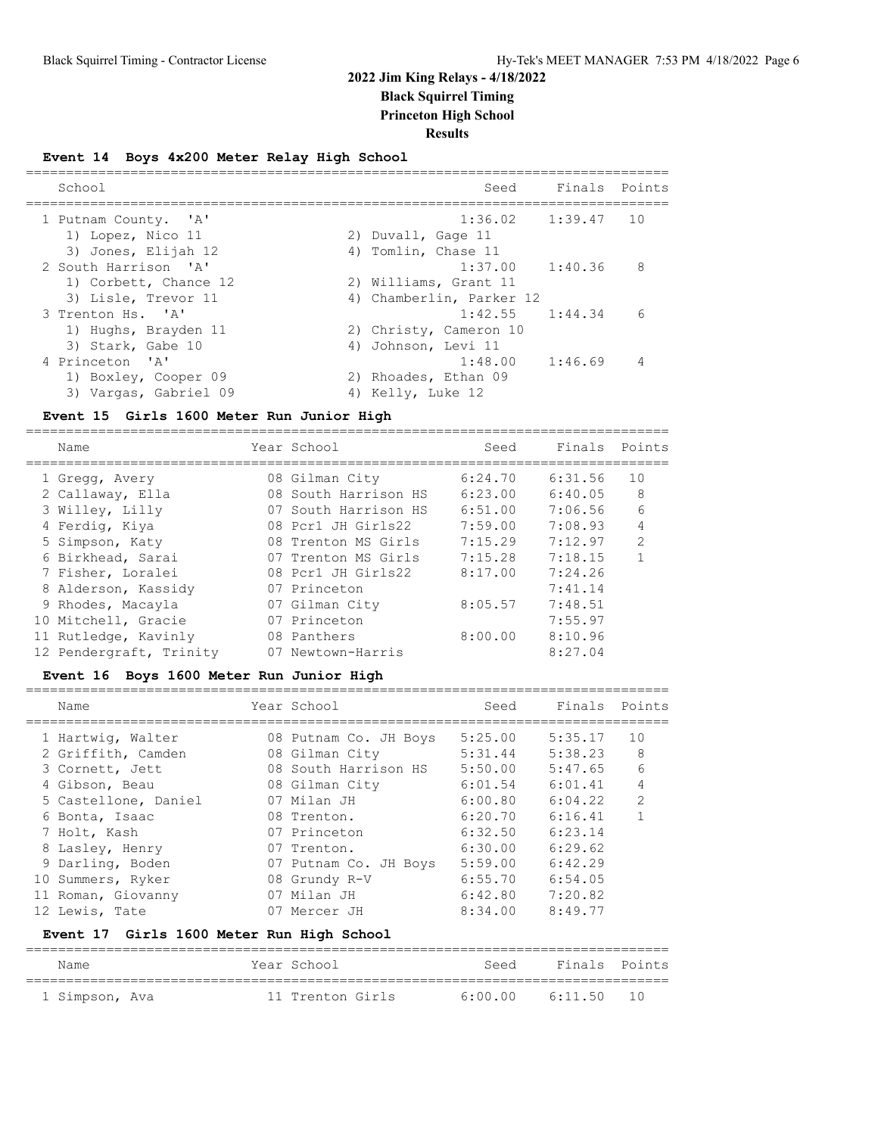## **Event 14 Boys 4x200 Meter Relay High School**

| School                |    | Seed                     | Finals Points |    |
|-----------------------|----|--------------------------|---------------|----|
| 1 Putnam County. 'A'  |    | $1:36.02$ $1:39.47$      |               | 10 |
| 1) Lopez, Nico 11     |    | 2) Duvall, Gage 11       |               |    |
| 3) Jones, Elijah 12   |    | 4) Tomlin, Chase 11      |               |    |
| 2 South Harrison 'A'  |    | $1:37.00$ $1:40.36$      |               | 8  |
| 1) Corbett, Chance 12 |    | 2) Williams, Grant 11    |               |    |
| 3) Lisle, Trevor 11   |    | 4) Chamberlin, Parker 12 |               |    |
| 3 Trenton Hs. 'A'     |    | $1:42.55$ $1:44.34$      |               | 6  |
| 1) Hughs, Brayden 11  |    | 2) Christy, Cameron 10   |               |    |
| 3) Stark, Gabe 10     |    | 4) Johnson, Levi 11      |               |    |
| 4 Princeton 'A'       |    | 1:48.00                  | 1:46.69       | 4  |
| 1) Boxley, Cooper 09  |    | 2) Rhoades, Ethan 09     |               |    |
| 3) Vargas, Gabriel 09 | 4) | Kelly, Luke 12           |               |    |

#### **Event 15 Girls 1600 Meter Run Junior High**

================================================================================

| Name                    | Year School          | Seed    | Finals  | Points         |
|-------------------------|----------------------|---------|---------|----------------|
| 1 Gregg, Avery          | 08 Gilman City       | 6:24.70 | 6:31.56 | 10             |
| 2 Callaway, Ella        | 08 South Harrison HS | 6:23.00 | 6:40.05 | 8              |
| 3 Willey, Lilly         | 07 South Harrison HS | 6:51.00 | 7:06.56 | 6              |
| 4 Ferdig, Kiya          | 08 Pcr1 JH Girls22   | 7:59.00 | 7:08.93 | 4              |
| 5 Simpson, Katy         | 08 Trenton MS Girls  | 7:15.29 | 7:12.97 | $\overline{2}$ |
| 6 Birkhead, Sarai       | 07 Trenton MS Girls  | 7:15.28 | 7:18.15 |                |
| 7 Fisher, Loralei       | 08 Pcr1 JH Girls22   | 8:17.00 | 7:24.26 |                |
| 8 Alderson, Kassidy     | 07 Princeton         |         | 7:41.14 |                |
| 9 Rhodes, Macayla       | 07 Gilman City       | 8:05.57 | 7:48.51 |                |
| 10 Mitchell, Gracie     | 07 Princeton         |         | 7:55.97 |                |
| 11 Rutledge, Kavinly    | 08 Panthers          | 8:00.00 | 8:10.96 |                |
| 12 Pendergraft, Trinity | 07 Newtown-Harris    |         | 8:27.04 |                |

### **Event 16 Boys 1600 Meter Run Junior High**

================================================================================

|                    | Finals Points |
|--------------------|---------------|
| 5:25.00<br>5:35.17 | 10            |
| 5:38.23<br>5:31.44 | 8             |
| 5:50.00<br>5:47.65 | 6             |
| 6:01.41<br>6:01.54 | 4             |
| 6:00.80<br>6:04.22 | $\mathcal{L}$ |
| 6:20.70<br>6:16.41 |               |
| 6:32.50<br>6:23.14 |               |
| 6:30.00<br>6:29.62 |               |
| 5:59.00<br>6:42.29 |               |
| 6:55.70<br>6:54.05 |               |
| 7:20.82<br>6:42.80 |               |
| 8:49.77<br>8:34.00 |               |
|                    | Seed          |

#### **Event 17 Girls 1600 Meter Run High School**

| Name           |  | Year School      | Seed    | Finals Points |  |
|----------------|--|------------------|---------|---------------|--|
| 1 Simpson, Ava |  | 11 Trenton Girls | 6:00.00 | 6:11.50 10    |  |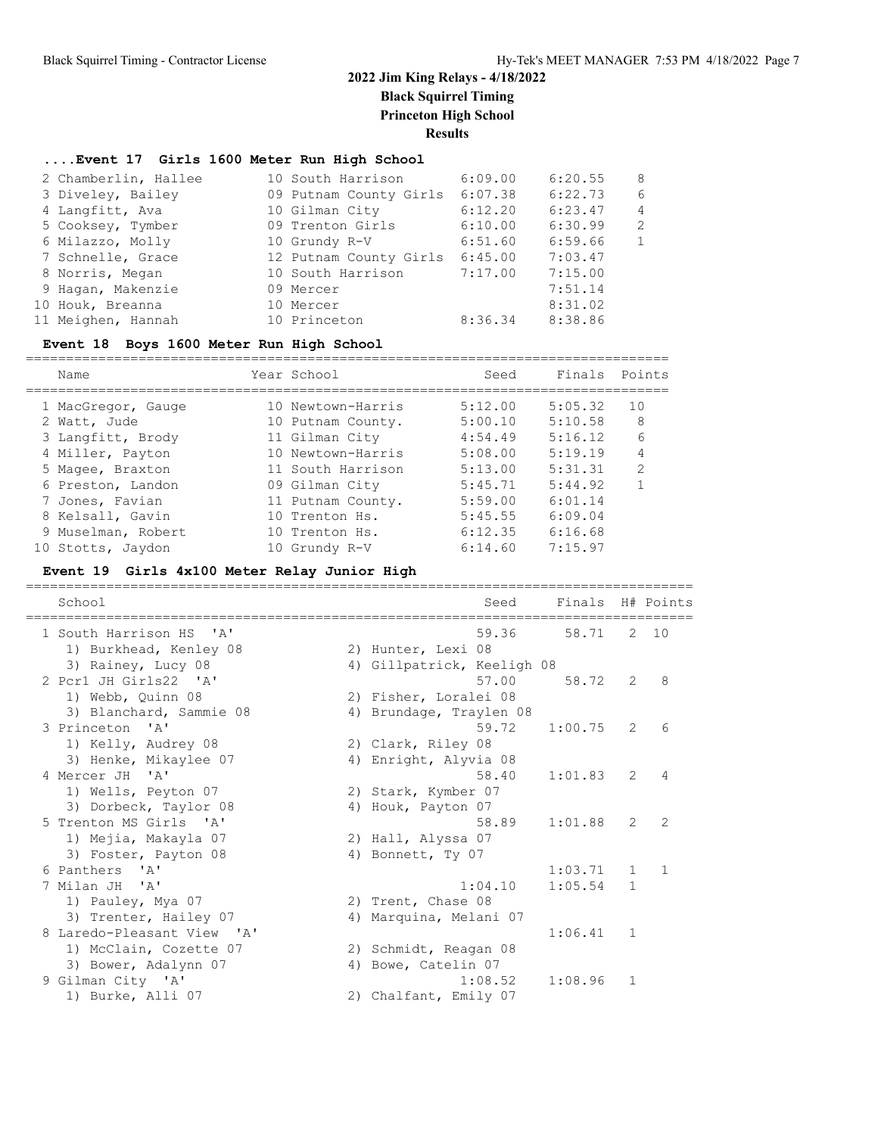## **....Event 17 Girls 1600 Meter Run High School**

| 2 Chamberlin, Hallee | 10 South Harrison      | 6:09.00 | 6:20.55 | - 8            |
|----------------------|------------------------|---------|---------|----------------|
| 3 Diveley, Bailey    | 09 Putnam County Girls | 6:07.38 | 6:22.73 | 6              |
| 4 Langfitt, Ava      | 10 Gilman City         | 6:12.20 | 6:23.47 | 4              |
| 5 Cooksey, Tymber    | 09 Trenton Girls       | 6:10.00 | 6:30.99 | -2             |
| 6 Milazzo, Molly     | 10 Grundy R-V          | 6:51.60 | 6:59.66 | $\overline{1}$ |
| 7 Schnelle, Grace    | 12 Putnam County Girls | 6:45.00 | 7:03.47 |                |
| 8 Norris, Megan      | 10 South Harrison      | 7:17.00 | 7:15.00 |                |
| 9 Hagan, Makenzie    | 09 Mercer              |         | 7:51.14 |                |
| 10 Houk, Breanna     | 10 Mercer              |         | 8:31.02 |                |
| 11 Meighen, Hannah   | 10 Princeton           | 8:36.34 | 8:38.86 |                |
|                      |                        |         |         |                |

## **Event 18 Boys 1600 Meter Run High School**

| Points |
|--------|
|        |
|        |
|        |
|        |
|        |
|        |
|        |
|        |
|        |
|        |
|        |

## **Event 19 Girls 4x100 Meter Relay Junior High**

| School                                   | Seed                       | Finals H# Points |                |                |
|------------------------------------------|----------------------------|------------------|----------------|----------------|
| 1 South Harrison HS<br>$\overline{A}$    | 59.36                      | 58.71            |                | $2 \quad 10$   |
| 1) Burkhead, Kenley 08                   | 2) Hunter, Lexi 08         |                  |                |                |
| 3) Rainey, Lucy 08                       | 4) Gillpatrick, Keeligh 08 |                  |                |                |
| 2 Pcr1 JH Girls22 'A'                    | 57.00                      | 58.72            | $\mathcal{L}$  | 8              |
| 1) Webb, Ouinn 08                        | 2) Fisher, Loralei 08      |                  |                |                |
| 3) Blanchard, Sammie 08                  | 4) Brundage, Traylen 08    |                  |                |                |
| 3 Princeton 'A'                          | 59.72                      | 1:00.75          | $\overline{2}$ | 6              |
| 1) Kelly, Audrey 08                      | 2) Clark, Riley 08         |                  |                |                |
| 3) Henke, Mikaylee 07                    | 4) Enright, Alyvia 08      |                  |                |                |
| 4 Mercer JH<br>$^{\prime}$ A $^{\prime}$ | 58.40                      | 1:01.83          | $\overline{2}$ | $\overline{4}$ |
| 1) Wells, Peyton 07                      | 2) Stark, Kymber 07        |                  |                |                |
| 3) Dorbeck, Taylor 08                    | 4) Houk, Payton 07         |                  |                |                |
| 5 Trenton MS Girls 'A'                   | 58.89                      | 1:01.88          | $\mathbf{2}$   | $\mathcal{L}$  |
| 1) Mejia, Makayla 07                     | 2) Hall, Alyssa 07         |                  |                |                |
| 3) Foster, Payton 08                     | 4) Bonnett, Ty 07          |                  |                |                |
| 6 Panthers 'A'                           |                            | 1:03.71          | $\mathbf{1}$   | $\mathbf{1}$   |
| 7 Milan JH 'A'                           | 1:04.10                    | 1:05.54          | $\mathbf{1}$   |                |
| 1) Pauley, Mya 07                        | 2) Trent, Chase 08         |                  |                |                |
| 3) Trenter, Hailey 07                    | 4) Marquina, Melani 07     |                  |                |                |
| 8 Laredo-Pleasant View 'A'               |                            | 1:06.41          | 1              |                |
| 1) McClain, Cozette 07                   | 2) Schmidt, Reagan 08      |                  |                |                |
| 3) Bower, Adalynn 07                     | 4) Bowe, Catelin 07        |                  |                |                |
| 9 Gilman City 'A'                        | 1:08.52                    | 1:08.96          | 1              |                |
| 1) Burke, Alli 07                        | 2) Chalfant, Emily 07      |                  |                |                |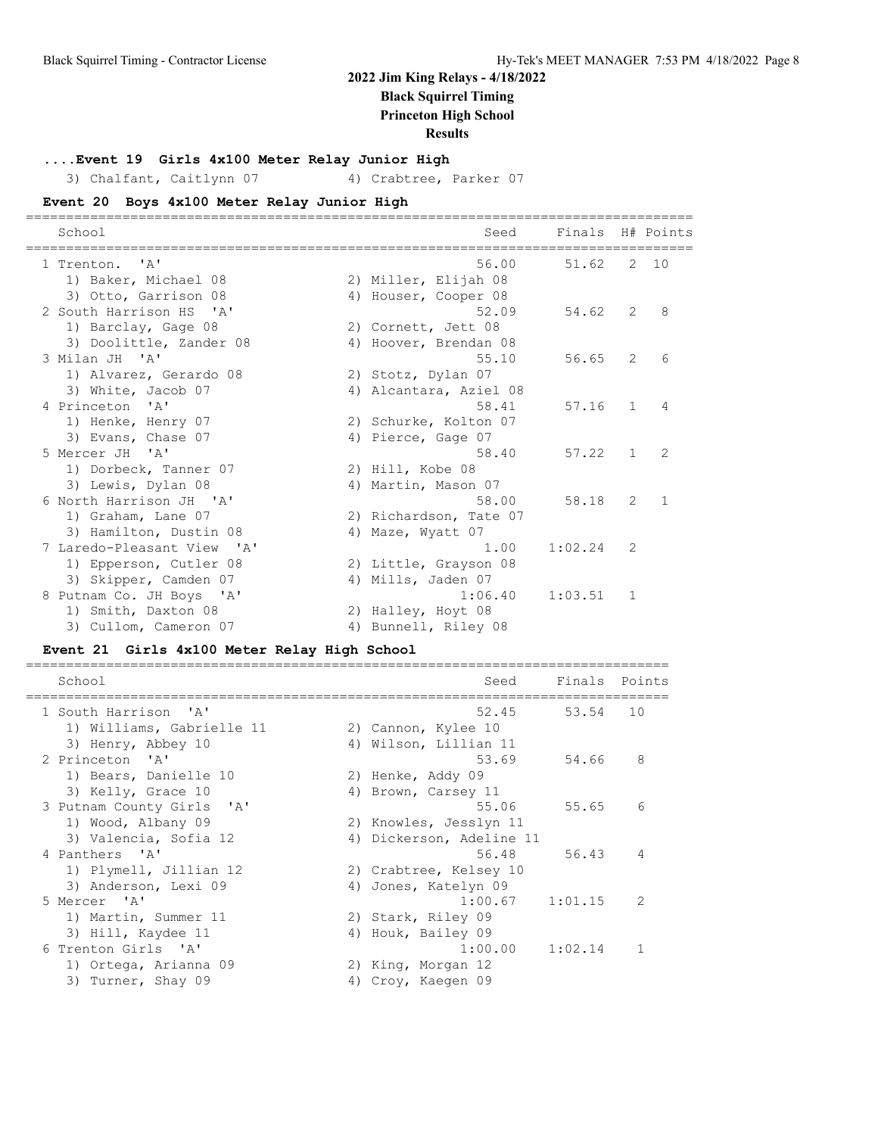## **2022 Jim King Relays - 4/18/2022**

**Black Squirrel Timing**

**Princeton High School**

**Results**

## **....Event 19 Girls 4x100 Meter Relay Junior High**

3) Chalfant, Caitlynn 07 4) Crabtree, Parker 07

## **Event 20 Boys 4x100 Meter Relay Junior High**

| School                                       | Seed                   | Finals H# Points |               |                |
|----------------------------------------------|------------------------|------------------|---------------|----------------|
| $\mathsf{I} \wedge \mathsf{I}$<br>1 Trenton. | 56.00                  | 51.62            |               | 2, 10          |
| 1) Baker, Michael 08                         | 2) Miller, Elijah 08   |                  |               |                |
| 3) Otto, Garrison 08                         | 4) Houser, Cooper 08   |                  |               |                |
| 2 South Harrison HS<br>$\mathsf{A}$          | 52.09                  | 54.62            | $\mathcal{L}$ | 8              |
| 1) Barclay, Gage 08                          | 2) Cornett, Jett 08    |                  |               |                |
| 3) Doolittle, Zander 08                      | 4) Hoover, Brendan 08  |                  |               |                |
| 3 Milan JH 'A'                               | 55.10                  | 56.65            | 2             | 6              |
| 1) Alvarez, Gerardo 08                       | 2) Stotz, Dylan 07     |                  |               |                |
| 3) White, Jacob 07                           | 4) Alcantara, Aziel 08 |                  |               |                |
| 4 Princeton<br>$\mathsf{A}$                  | 58.41                  | 57.16            | $\mathbf{1}$  | $\overline{4}$ |
| 1) Henke, Henry 07                           | 2) Schurke, Kolton 07  |                  |               |                |
| 3) Evans, Chase 07                           | 4) Pierce, Gage 07     |                  |               |                |
| 5 Mercer JH 'A'                              | 58.40                  | $57.22$ 1        |               | 2              |
| 1) Dorbeck, Tanner 07                        | 2) Hill, Kobe 08       |                  |               |                |
| 3) Lewis, Dylan 08                           | 4) Martin, Mason 07    |                  |               |                |
| 6 North Harrison JH 'A'                      | 58.00                  | 58.18            | $\mathcal{L}$ | $\overline{1}$ |
| 1) Graham, Lane 07                           | 2) Richardson, Tate 07 |                  |               |                |
| 3) Hamilton, Dustin 08                       | 4) Maze, Wyatt 07      |                  |               |                |
| 7 Laredo-Pleasant View<br>$\mathsf{A}$       | 1.00                   | 1:02.24          | 2             |                |
| 1) Epperson, Cutler 08                       | 2) Little, Grayson 08  |                  |               |                |
| 3) Skipper, Camden 07                        | 4) Mills, Jaden 07     |                  |               |                |
| 8 Putnam Co. JH Boys 'A'                     | 1:06.40                | 1:03.51          | $\mathbf{1}$  |                |
| 1) Smith, Daxton 08                          | 2) Halley, Hoyt 08     |                  |               |                |
| 3) Cullom, Cameron 07                        | 4) Bunnell, Riley 08   |                  |               |                |

## **Event 21 Girls 4x100 Meter Relay High School**

| School                    |    | Seed                   | Finals Points |               |
|---------------------------|----|------------------------|---------------|---------------|
| 1 South Harrison 'A'      |    |                        | 52.45 53.54   | 10            |
| 1) Williams, Gabrielle 11 |    | 2) Cannon, Kylee 10    |               |               |
| 3) Henry, Abbey 10        |    | 4) Wilson, Lillian 11  |               |               |
| 2 Princeton 'A'           |    | 53.69                  | 54.66         | 8             |
| 1) Bears, Danielle 10     |    | 2) Henke, Addy 09      |               |               |
| 3) Kelly, Grace 10        | 4) | Brown, Carsey 11       |               |               |
| 3 Putnam County Girls 'A' |    | 55.06                  | 55.65         | 6             |
| 1) Wood, Albany 09        |    | 2) Knowles, Jesslyn 11 |               |               |
| 3) Valencia, Sofia 12     | 4) | Dickerson, Adeline 11  |               |               |
| 4 Panthers 'A'            |    | 56.48                  | 56.43         | 4             |
| 1) Plymell, Jillian 12    |    | 2) Crabtree, Kelsey 10 |               |               |
| 3) Anderson, Lexi 09      |    | 4) Jones, Katelyn 09   |               |               |
| 5 Mercer 'A'              |    | 1:00.67                | 1:01.15       | $\mathcal{L}$ |
| 1) Martin, Summer 11      |    | 2) Stark, Riley 09     |               |               |
| 3) Hill, Kaydee 11        | 4) | Houk, Bailey 09        |               |               |
| 6 Trenton Girls 'A'       |    | 1:00.00                | 1:02.14       | 1             |
| 1) Ortega, Arianna 09     |    | 2) King, Morgan 12     |               |               |
| 3) Turner, Shay 09        | 4) | Croy, Kaegen 09        |               |               |
|                           |    |                        |               |               |

================================================================================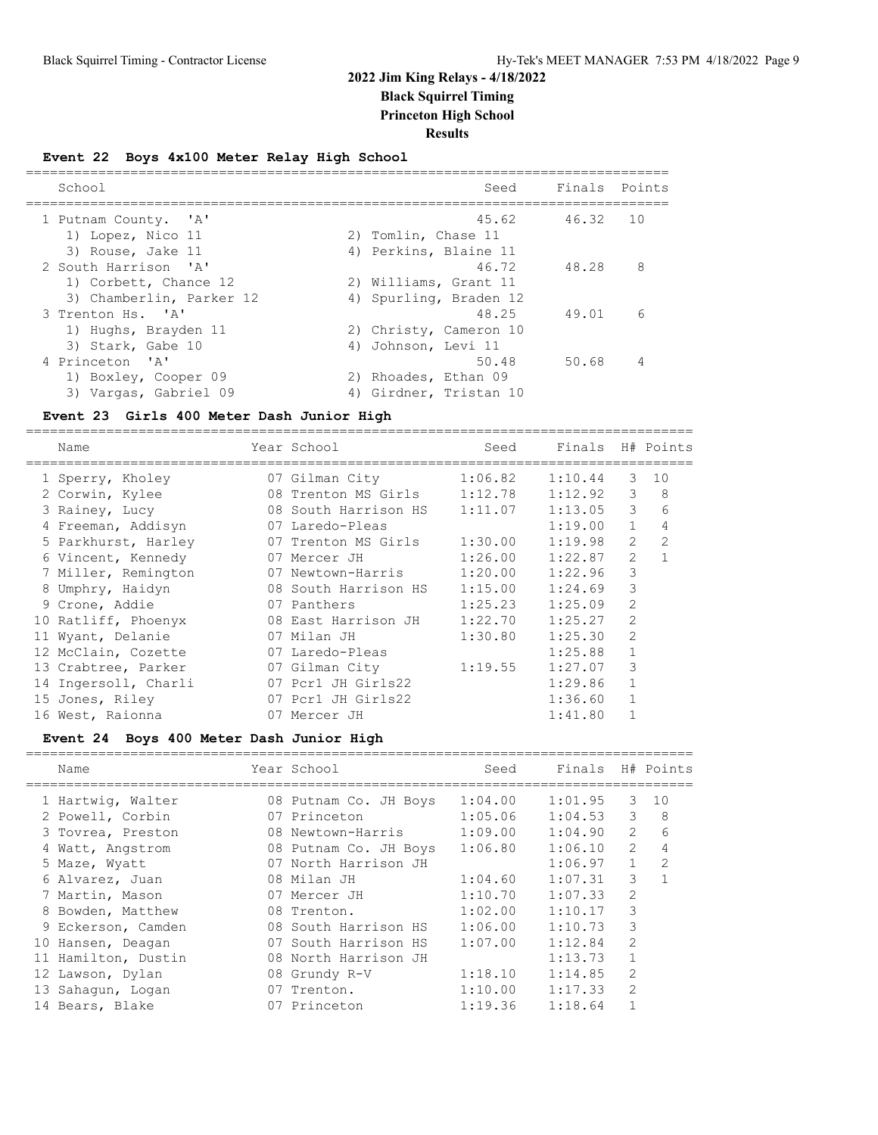## **Event 22 Boys 4x100 Meter Relay High School**

| School                                        | Seed                                  | Finals Points |   |
|-----------------------------------------------|---------------------------------------|---------------|---|
| 1 Putnam County. 'A'<br>1) Lopez, Nico 11     | 45.62 46.32 10<br>2) Tomlin, Chase 11 |               |   |
| 3) Rouse, Jake 11                             | 4) Perkins, Blaine 11                 |               |   |
| 2 South Harrison 'A'<br>1) Corbett, Chance 12 | 46.72<br>2) Williams, Grant 11        | 48.28         | 8 |
| 3) Chamberlin, Parker 12                      | 4) Spurling, Braden 12                |               |   |
| 3 Trenton Hs. 'A'<br>1) Hughs, Brayden 11     | 48.25<br>2) Christy, Cameron 10       | 49.01         | 6 |
| 3) Stark, Gabe 10                             | 4) Johnson, Levi 11                   |               |   |
| 4 Princeton 'A'<br>1) Boxley, Cooper 09       | 50.48<br>2) Rhoades, Ethan 09         | 50.68         | 4 |
| 3) Vargas, Gabriel 09                         | 4) Girdner, Tristan 10                |               |   |

### **Event 23 Girls 400 Meter Dash Junior High**

===================================================================================

| Name                 | Year School          | Seed    | Finals  |                | H# Points    |
|----------------------|----------------------|---------|---------|----------------|--------------|
| 1 Sperry, Kholey     | 07 Gilman City       | 1:06.82 | 1:10.44 | 3              | 10           |
| 2 Corwin, Kylee      | 08 Trenton MS Girls  | 1:12.78 | 1:12.92 | 3              | 8            |
| 3 Rainey, Lucy       | 08 South Harrison HS | 1:11.07 | 1:13.05 | 3              | 6            |
| 4 Freeman, Addisyn   | 07 Laredo-Pleas      |         | 1:19.00 | $\mathbf{1}$   | 4            |
| 5 Parkhurst, Harley  | 07 Trenton MS Girls  | 1:30.00 | 1:19.98 | $\overline{2}$ | 2            |
| 6 Vincent, Kennedy   | 07 Mercer JH         | 1:26.00 | 1:22.87 | $\overline{2}$ | $\mathbf{1}$ |
| 7 Miller, Remington  | 07 Newtown-Harris    | 1:20.00 | 1:22.96 | 3              |              |
| 8 Umphry, Haidyn     | 08 South Harrison HS | 1:15.00 | 1:24.69 | 3              |              |
| 9 Crone, Addie       | 07 Panthers          | 1:25.23 | 1:25.09 | $\mathfrak{D}$ |              |
| 10 Ratliff, Phoenyx  | 08 East Harrison JH  | 1:22.70 | 1:25.27 | 2              |              |
| 11 Wyant, Delanie    | 07 Milan JH          | 1:30.80 | 1:25.30 | $\mathfrak{D}$ |              |
| 12 McClain, Cozette  | 07 Laredo-Pleas      |         | 1:25.88 | $\mathbf{1}$   |              |
| 13 Crabtree, Parker  | 07 Gilman City       | 1:19.55 | 1:27.07 | 3              |              |
| 14 Ingersoll, Charli | 07 Pcr1 JH Girls22   |         | 1:29.86 | $\mathbf{1}$   |              |
| 15 Jones, Riley      | 07 Pcr1 JH Girls22   |         | 1:36.60 | $\mathbf{1}$   |              |
| 16 West, Raionna     | 07 Mercer JH         |         | 1:41.80 |                |              |

## **Event 24 Boys 400 Meter Dash Junior High**

| Name                |    | Year School           | Seed    | Finals  |                | H# Points      |
|---------------------|----|-----------------------|---------|---------|----------------|----------------|
| 1 Hartwig, Walter   |    | 08 Putnam Co. JH Boys | 1:04.00 | 1:01.95 | 3              | 10             |
| 2 Powell, Corbin    |    | 07 Princeton          | 1:05.06 | 1:04.53 | 3              | 8              |
| 3 Tovrea, Preston   |    | 08 Newtown-Harris     | 1:09.00 | 1:04.90 | $\overline{2}$ | 6              |
| 4 Watt, Angstrom    |    | 08 Putnam Co. JH Boys | 1:06.80 | 1:06.10 | $\overline{2}$ | 4              |
| 5 Maze, Wyatt       |    | 07 North Harrison JH  |         | 1:06.97 | $\mathbf{1}$   | $\overline{2}$ |
| 6 Alvarez, Juan     |    | 08 Milan JH           | 1:04.60 | 1:07.31 | 3              | 1              |
| 7 Martin, Mason     |    | 07 Mercer JH          | 1:10.70 | 1:07.33 | $\mathfrak{D}$ |                |
| 8 Bowden, Matthew   |    | 08 Trenton.           | 1:02.00 | 1:10.17 | 3              |                |
| 9 Eckerson, Camden  |    | 08 South Harrison HS  | 1:06.00 | 1:10.73 | 3              |                |
| 10 Hansen, Deagan   |    | 07 South Harrison HS  | 1:07.00 | 1:12.84 | $\overline{2}$ |                |
| 11 Hamilton, Dustin |    | 08 North Harrison JH  |         | 1:13.73 | $\mathbf{1}$   |                |
| 12 Lawson, Dylan    |    | 08 Grundy R-V         | 1:18.10 | 1:14.85 | $\mathfrak{D}$ |                |
| 13 Sahaqun, Logan   |    | 07 Trenton.           | 1:10.00 | 1:17.33 | $\overline{2}$ |                |
| 14 Bears, Blake     | 07 | Princeton             | 1:19.36 | 1:18.64 |                |                |
|                     |    |                       |         |         |                |                |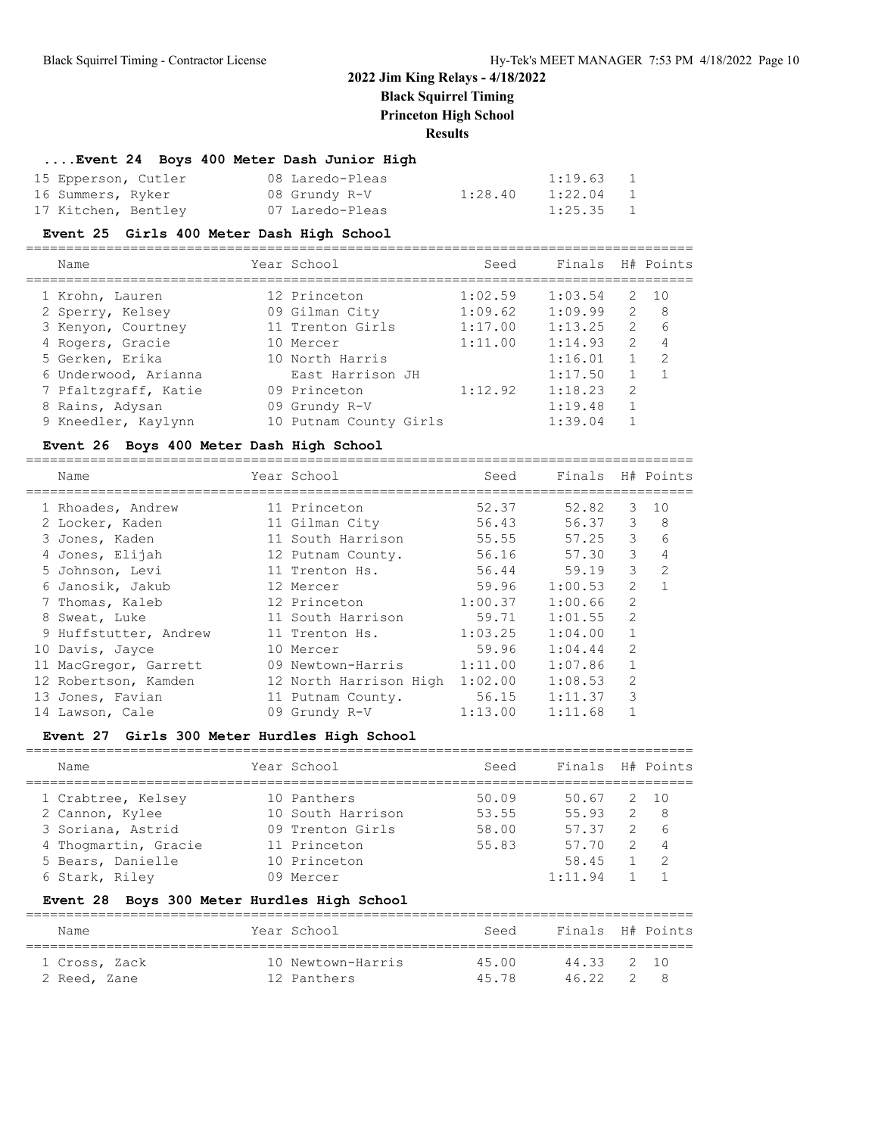#### **....Event 24 Boys 400 Meter Dash Junior High**

| 15 Epperson, Cutler | 08 Laredo-Pleas |         | 1:19.63     | $\overline{1}$ |
|---------------------|-----------------|---------|-------------|----------------|
| 16 Summers, Ryker   | 08 Grundy R-V   | 1:28.40 | 1:22.04 1   |                |
| 17 Kitchen, Bentley | 07 Laredo-Pleas |         | $1:25.35$ 1 |                |

#### **Event 25 Girls 400 Meter Dash High School**

===================================================================================

| Name                 | Year School            | Seed    | Finals H# Points |                |              |
|----------------------|------------------------|---------|------------------|----------------|--------------|
| 1 Krohn, Lauren      | 12 Princeton           | 1:02.59 | 1:03.54          |                | $2 \quad 10$ |
| 2 Sperry, Kelsey     | 09 Gilman City         | 1:09.62 | 1:09.99          | 2              | - 8          |
| 3 Kenyon, Courtney   | 11 Trenton Girls       | 1:17.00 | 1:13.25          | 2              | 6            |
| 4 Rogers, Gracie     | 10 Mercer              | 1:11.00 | 1:14.93          | $\mathcal{L}$  | 4            |
| 5 Gerken, Erika      | 10 North Harris        |         | 1:16.01          |                | 2            |
| 6 Underwood, Arianna | East Harrison JH       |         | 1:17.50          |                |              |
| 7 Pfaltzgraff, Katie | 09 Princeton           | 1:12.92 | 1:18.23          | $\overline{2}$ |              |
| 8 Rains, Adysan      | 09 Grundy R-V          |         | 1:19.48          |                |              |
| 9 Kneedler, Kaylynn  | 10 Putnam County Girls |         | 1:39.04          |                |              |

#### **Event 26 Boys 400 Meter Dash High School**

===================================================================================

| Name                  | Year School            | Seed    | Finals  |                | H# Points    |
|-----------------------|------------------------|---------|---------|----------------|--------------|
| 1 Rhoades, Andrew     | 11 Princeton           | 52.37   | 52.82   | 3              | 10           |
| 2 Locker, Kaden       | 11 Gilman City         | 56.43   | 56.37   | 3              | 8            |
| 3 Jones, Kaden        | 11 South Harrison      | 55.55   | 57.25   | 3              | 6            |
| 4 Jones, Elijah       | 12 Putnam County.      | 56.16   | 57.30   | 3              | 4            |
| 5 Johnson, Levi       | 11 Trenton Hs.         | 56.44   | 59.19   | 3              | 2            |
| 6 Janosik, Jakub      | 12 Mercer              | 59.96   | 1:00.53 | $\overline{2}$ | $\mathbf{1}$ |
| 7 Thomas, Kaleb       | 12 Princeton           | 1:00.37 | 1:00.66 | $\overline{2}$ |              |
| 8 Sweat, Luke         | 11 South Harrison      | 59.71   | 1:01.55 | 2              |              |
| 9 Huffstutter, Andrew | 11 Trenton Hs.         | 1:03.25 | 1:04.00 | $\mathbf{1}$   |              |
| 10 Davis, Jayce       | 10 Mercer              | 59.96   | 1:04.44 | 2              |              |
| 11 MacGregor, Garrett | 09 Newtown-Harris      | 1:11.00 | 1:07.86 | $\mathbf{1}$   |              |
| 12 Robertson, Kamden  | 12 North Harrison High | 1:02.00 | 1:08.53 | $\mathfrak{D}$ |              |
| 13 Jones, Favian      | 11 Putnam County.      | 56.15   | 1:11.37 | 3              |              |
| 14 Lawson, Cale       | 09 Grundy R-V          | 1:13.00 | 1:11.68 |                |              |

#### **Event 27 Girls 300 Meter Hurdles High School**

| Name                 | Year School       | Seed  | Finals H# Points |               |                |
|----------------------|-------------------|-------|------------------|---------------|----------------|
| 1 Crabtree, Kelsey   | 10 Panthers       | 50.09 | 50.67            |               | 2 10           |
| 2 Cannon, Kylee      | 10 South Harrison | 53.55 | 55.93            | 2             | - 8            |
| 3 Soriana, Astrid    | 09 Trenton Girls  | 58.00 | 57.37            | $\mathcal{P}$ | -6             |
| 4 Thoqmartin, Gracie | 11 Princeton      | 55.83 | 57.70            |               | $\overline{4}$ |
| 5 Bears, Danielle    | 10 Princeton      |       | 58.45            |               | $\mathcal{P}$  |
| 6 Stark, Riley       | 09 Mercer         |       | 1:11.94          |               |                |
|                      |                   |       |                  |               |                |

### **Event 28 Boys 300 Meter Hurdles High School**

| Name          | Year School       | Seed  | Finals H# Points |     |
|---------------|-------------------|-------|------------------|-----|
| 1 Cross, Zack | 10 Newtown-Harris | 45 00 | 44.33 2 10       |     |
| 2 Reed, Zane  | 12 Panthers       | 45 78 | 46.22            | 2 R |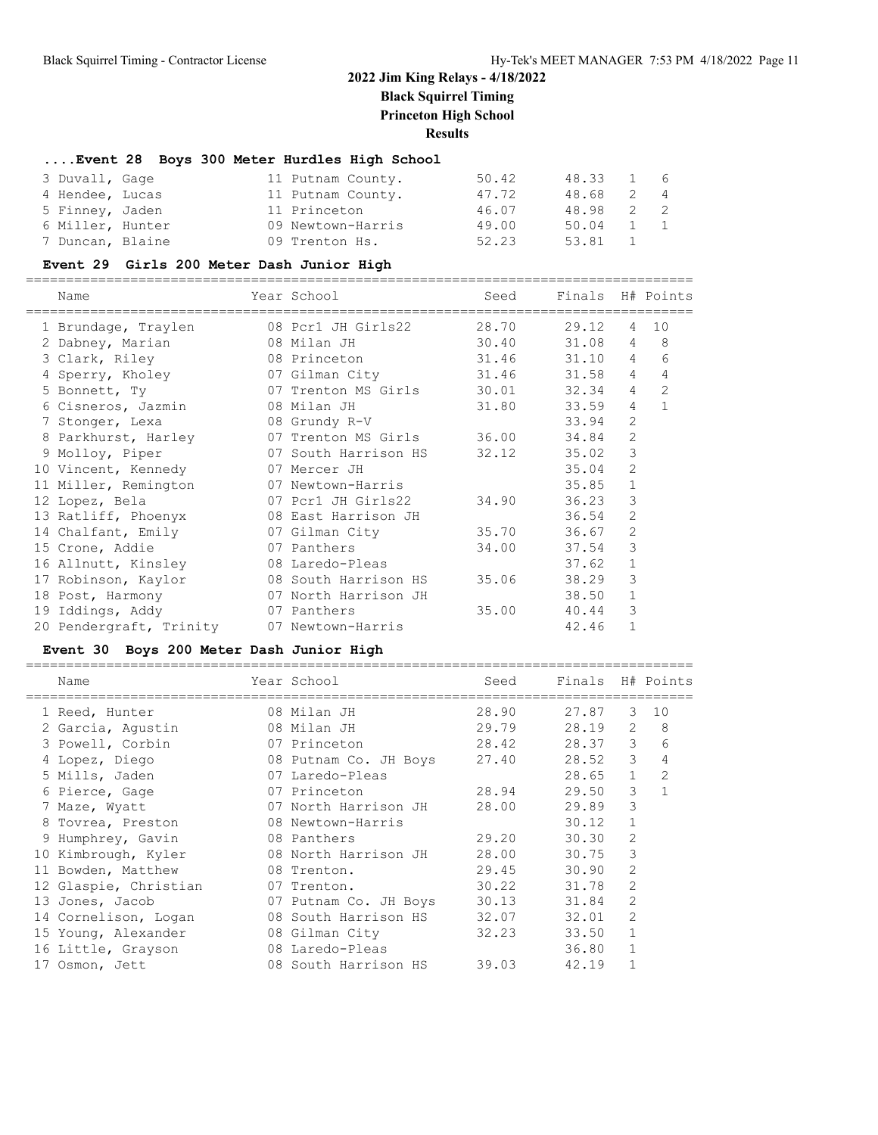#### **....Event 28 Boys 300 Meter Hurdles High School**

| 3 Duvall, Gage   | 11 Putnam County. | 50.42 | 48.33 | 1 6                  |  |
|------------------|-------------------|-------|-------|----------------------|--|
| 4 Hendee, Lucas  | 11 Putnam County. | 47.72 | 48.68 | $\overline{4}$<br>-2 |  |
| 5 Finney, Jaden  | 11 Princeton      | 46.07 | 48.98 | 2 2                  |  |
| 6 Miller, Hunter | 09 Newtown-Harris | 49.00 | 50.04 | 1 1                  |  |
| 7 Duncan, Blaine | 09 Trenton Hs.    | 52.23 | 53.81 |                      |  |

#### **Event 29 Girls 200 Meter Dash Junior High**

=================================================================================== Name The Year School Seed Finals H# Points =================================================================================== 1 Brundage, Traylen 08 Pcr1 JH Girls22 28.70 29.12 4 10 2 Dabney, Marian 08 Milan JH 30.40 31.08 4 8 3 Clark, Riley 08 Princeton 31.46 31.10 4 6 4 Sperry, Kholey 07 Gilman City 31.46 31.58 4 4 5 Bonnett, Ty 07 Trenton MS Girls 30.01 32.34 4 2 6 Cisneros, Jazmin 08 Milan JH 31.80 33.59 4 1 7 Stonger, Lexa 08 Grundy R-V 33.94 2 8 Parkhurst, Harley 07 Trenton MS Girls 36.00 34.84 2 9 Molloy, Piper 07 South Harrison HS 32.12 35.02 3 10 Vincent, Kennedy 07 Mercer JH 35.04 2 11 Miller, Remington 07 Newtown-Harris 35.85 1 12 Lopez, Bela 07 Pcr1 JH Girls22 34.90 36.23 3 13 Ratliff, Phoenyx **08 East Harrison JH** 36.54 2 14 Chalfant, Emily 07 Gilman City 35.70 36.67 2 15 Crone, Addie 07 Panthers 34.00 37.54 3 16 Allnutt, Kinsley 08 Laredo-Pleas 37.62 1 17 Robinson, Kaylor 08 South Harrison HS 35.06 38.29 3 18 Post, Harmony 07 North Harrison JH 38.50 1 19 Iddings, Addy 07 Panthers 35.00 40.44 3 20 Pendergraft, Trinity 07 Newtown-Harris 12.46 1

#### **Event 30 Boys 200 Meter Dash Junior High**

| Name                  |  | Seed                                                                                                                                                                                                                                                                         |                                                                       |                         |                                             |
|-----------------------|--|------------------------------------------------------------------------------------------------------------------------------------------------------------------------------------------------------------------------------------------------------------------------------|-----------------------------------------------------------------------|-------------------------|---------------------------------------------|
| 1 Reed, Hunter        |  | 28.90                                                                                                                                                                                                                                                                        | 27.87                                                                 | 3                       | 10                                          |
| 2 Garcia, Aqustin     |  | 29.79                                                                                                                                                                                                                                                                        |                                                                       | $\overline{2}$          | 8                                           |
| 3 Powell, Corbin      |  |                                                                                                                                                                                                                                                                              |                                                                       | 3                       | 6                                           |
| 4 Lopez, Diego        |  | 27.40                                                                                                                                                                                                                                                                        | 28.52                                                                 | 3                       | 4                                           |
| 5 Mills, Jaden        |  |                                                                                                                                                                                                                                                                              | 28.65                                                                 | $\mathbf{1}$            | $\overline{c}$                              |
| 6 Pierce, Gage        |  | 28.94                                                                                                                                                                                                                                                                        |                                                                       | 3                       | $\mathbf{1}$                                |
| 7 Maze, Wyatt         |  | 28.00                                                                                                                                                                                                                                                                        | 29.89                                                                 | 3                       |                                             |
| 8 Tovrea, Preston     |  |                                                                                                                                                                                                                                                                              | 30.12                                                                 | $\mathbf{1}$            |                                             |
| 9 Humphrey, Gavin     |  | 29.20                                                                                                                                                                                                                                                                        | 30.30                                                                 | 2                       |                                             |
| 10 Kimbrough, Kyler   |  | 28.00                                                                                                                                                                                                                                                                        | 30.75                                                                 | 3                       |                                             |
| 11 Bowden, Matthew    |  | 29.45                                                                                                                                                                                                                                                                        | 30.90                                                                 | $\mathfrak{D}$          |                                             |
| 12 Glaspie, Christian |  |                                                                                                                                                                                                                                                                              | 31.78                                                                 | $\overline{2}$          |                                             |
| 13 Jones, Jacob       |  | 30.13                                                                                                                                                                                                                                                                        | 31.84                                                                 | $\overline{2}$          |                                             |
| 14 Cornelison, Logan  |  |                                                                                                                                                                                                                                                                              | 32.01                                                                 | $\overline{2}$          |                                             |
| 15 Young, Alexander   |  | 32.23                                                                                                                                                                                                                                                                        | 33.50                                                                 | $\mathbf{1}$            |                                             |
| 16 Little, Grayson    |  |                                                                                                                                                                                                                                                                              | 36.80                                                                 | $\mathbf{1}$            |                                             |
| 17 Osmon, Jett        |  | 39.03                                                                                                                                                                                                                                                                        | 42.19                                                                 | 1                       |                                             |
|                       |  | Year School<br>08 Milan JH<br>08 Milan JH<br>07 Princeton<br>08 Putnam Co. JH Boys<br>07 Laredo-Pleas<br>07 Princeton<br>08 Newtown-Harris<br>08 Panthers<br>08 North Harrison JH<br>08 Trenton.<br>07 Trenton.<br>08 Gilman City<br>08 Laredo-Pleas<br>08 South Harrison HS | 07 North Harrison JH<br>07 Putnam Co. JH Boys<br>08 South Harrison HS | 28.42<br>30.22<br>32.07 | Finals H# Points<br>28.19<br>28.37<br>29.50 |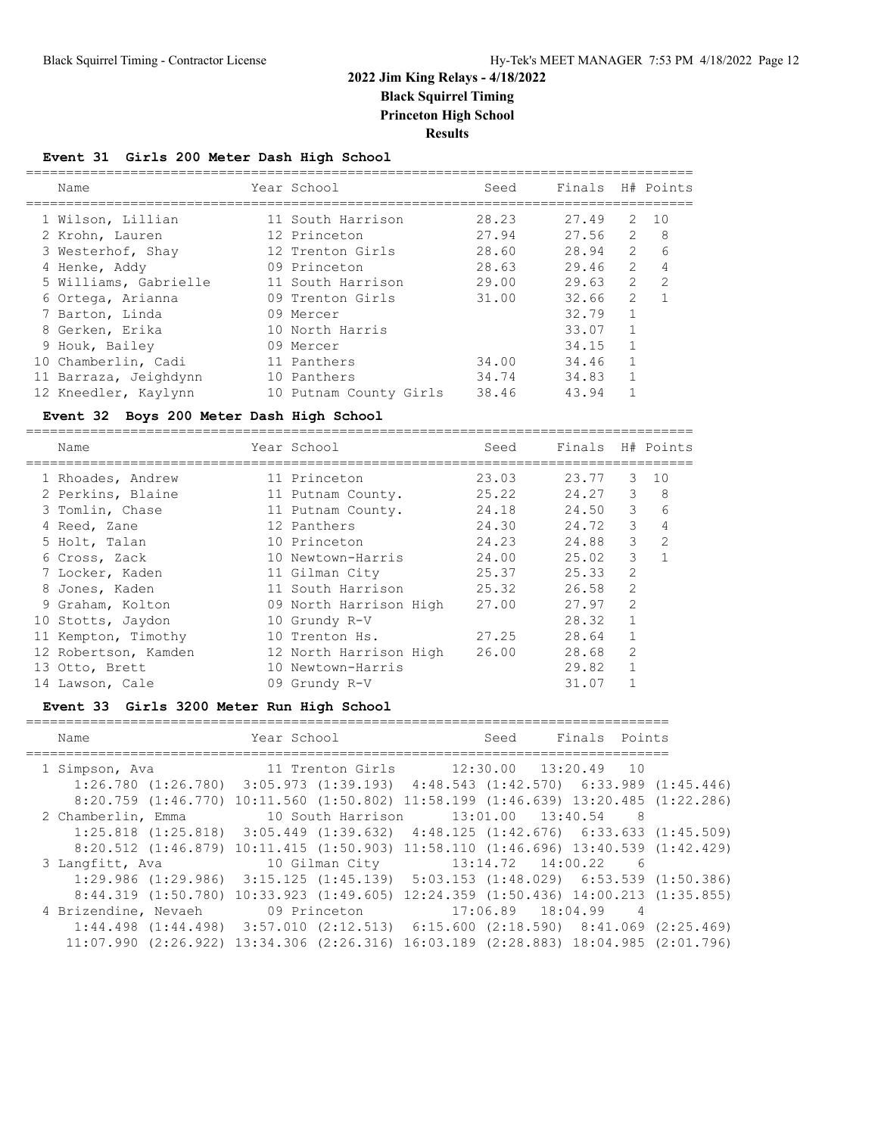## **Event 31 Girls 200 Meter Dash High School**

| Name                  | Year School            | Seed  | Finals |                | H# Points     |
|-----------------------|------------------------|-------|--------|----------------|---------------|
| 1 Wilson, Lillian     | 11 South Harrison      | 28.23 | 27.49  | 2              | 1 O           |
| 2 Krohn, Lauren       | 12 Princeton           | 27.94 | 27.56  | 2              | 8             |
| 3 Westerhof, Shay     | 12 Trenton Girls       | 28.60 | 28.94  | 2              | 6             |
| 4 Henke, Addy         | 09 Princeton           | 28.63 | 29.46  | 2              | 4             |
| 5 Williams, Gabrielle | 11 South Harrison      | 29.00 | 29.63  | $\mathcal{L}$  | $\mathcal{L}$ |
| 6 Ortega, Arianna     | 09 Trenton Girls       | 31.00 | 32.66  | $\overline{2}$ |               |
| 7 Barton, Linda       | 09 Mercer              |       | 32.79  | 1              |               |
| 8 Gerken, Erika       | 10 North Harris        |       | 33.07  |                |               |
| 9 Houk, Bailey        | 09 Mercer              |       | 34.15  |                |               |
| 10 Chamberlin, Cadi   | 11 Panthers            | 34.00 | 34.46  |                |               |
| 11 Barraza, Jeighdynn | 10 Panthers            | 34.74 | 34.83  |                |               |
| 12 Kneedler, Kaylynn  | 10 Putnam County Girls | 38.46 | 43.94  |                |               |

## **Event 32 Boys 200 Meter Dash High School**

===================================================================================

| Name |                                                                                                                                                                                                                                                                               | Seed                                                                                                                                                                                                                                                                                          | Finals |              | H# Points |
|------|-------------------------------------------------------------------------------------------------------------------------------------------------------------------------------------------------------------------------------------------------------------------------------|-----------------------------------------------------------------------------------------------------------------------------------------------------------------------------------------------------------------------------------------------------------------------------------------------|--------|--------------|-----------|
|      |                                                                                                                                                                                                                                                                               | 23.03                                                                                                                                                                                                                                                                                         | 23.77  | 3            | 10        |
|      |                                                                                                                                                                                                                                                                               | 25.22                                                                                                                                                                                                                                                                                         |        | 3            | 8         |
|      |                                                                                                                                                                                                                                                                               | 24.18                                                                                                                                                                                                                                                                                         | 24.50  | 3            | 6         |
|      |                                                                                                                                                                                                                                                                               | 24.30                                                                                                                                                                                                                                                                                         | 24.72  | 3            | 4         |
|      |                                                                                                                                                                                                                                                                               | 24.23                                                                                                                                                                                                                                                                                         | 24.88  | 3            | 2         |
|      |                                                                                                                                                                                                                                                                               | 24.00                                                                                                                                                                                                                                                                                         | 25.02  | 3            | 1         |
|      |                                                                                                                                                                                                                                                                               | 25.37                                                                                                                                                                                                                                                                                         | 25.33  | 2            |           |
|      |                                                                                                                                                                                                                                                                               | 25.32                                                                                                                                                                                                                                                                                         | 26.58  | 2            |           |
|      |                                                                                                                                                                                                                                                                               | 27.00                                                                                                                                                                                                                                                                                         | 27.97  | 2            |           |
|      |                                                                                                                                                                                                                                                                               |                                                                                                                                                                                                                                                                                               | 28.32  |              |           |
|      |                                                                                                                                                                                                                                                                               | 27.25                                                                                                                                                                                                                                                                                         | 28.64  | $\mathbf{1}$ |           |
|      |                                                                                                                                                                                                                                                                               | 26.00                                                                                                                                                                                                                                                                                         | 28.68  | 2            |           |
|      |                                                                                                                                                                                                                                                                               |                                                                                                                                                                                                                                                                                               | 29.82  |              |           |
|      |                                                                                                                                                                                                                                                                               |                                                                                                                                                                                                                                                                                               | 31.07  |              |           |
|      | 1 Rhoades, Andrew<br>2 Perkins, Blaine<br>3 Tomlin, Chase<br>4 Reed, Zane<br>5 Holt, Talan<br>6 Cross, Zack<br>7 Locker, Kaden<br>8 Jones, Kaden<br>9 Graham, Kolton<br>10 Stotts, Jaydon<br>11 Kempton, Timothy<br>12 Robertson, Kamden<br>13 Otto, Brett<br>14 Lawson, Cale | Year School<br>11 Princeton<br>11 Putnam County.<br>11 Putnam County.<br>12 Panthers<br>10 Princeton<br>10 Newtown-Harris<br>11 Gilman City<br>11 South Harrison<br>09 North Harrison High<br>10 Grundy R-V<br>10 Trenton Hs.<br>12 North Harrison High<br>10 Newtown-Harris<br>09 Grundy R-V |        |              | 24.27     |

### **Event 33 Girls 3200 Meter Run High School**

| Name                              | Year School                                                                                         | Seed                                              | Finals Points           |     |
|-----------------------------------|-----------------------------------------------------------------------------------------------------|---------------------------------------------------|-------------------------|-----|
| 1 Simpson, Ava                    |                                                                                                     |                                                   |                         |     |
|                                   | $1:26.780$ $(1:26.780)$ $3:05.973$ $(1:39.193)$ $4:48.543$ $(1:42.570)$ $6:33.989$ $(1:45.446)$     |                                                   |                         |     |
| $8:20.759$ $(1:46.770)$           | $10:11.560$ (1:50.802) 11:58.199 (1:46.639) 13:20.485 (1:22.286)                                    |                                                   |                         |     |
| 2 Chamberlin, Emma                | 10 South Harrison                                                                                   | $13:01.00$ $13:40.54$                             |                         | - 8 |
|                                   | $1:25.818$ $(1:25.818)$ $3:05.449$ $(1:39.632)$ $4:48.125$ $(1:42.676)$ $6:33.633$ $(1:45.509)$     |                                                   |                         |     |
| $8:20.512$ $(1:46.879)$           | $10:11.415$ $(1:50.903)$                                                                            | $11:58.110$ $(1:46.696)$ $13:40.539$ $(1:42.429)$ |                         |     |
| 3 Langfitt, Ava                   | 10 Gilman City                                                                                      |                                                   | 13:14.72  14:00.22  6   |     |
|                                   | $1:29.986$ $(1:29.986)$ $3:15.125$ $(1:45.139)$ $5:03.153$ $(1:48.029)$ $6:53.539$ $(1:50.386)$     |                                                   |                         |     |
| $8:44.319$ $(1:50.780)$           | $10:33.923$ $(1:49.605)$                                                                            | $12:24.359$ $(1:50.436)$ $14:00.213$ $(1:35.855)$ |                         |     |
| 4 Brizendine, Nevaeh 09 Princeton |                                                                                                     |                                                   | $17:06.89$ $18:04.99$ 4 |     |
|                                   | $1:44.498$ $(1:44.498)$ $3:57.010$ $(2:12.513)$ $6:15.600$ $(2:18.590)$ $8:41.069$ $(2:25.469)$     |                                                   |                         |     |
|                                   | $11:07.990$ $(2:26.922)$ $13:34.306$ $(2:26.316)$ $16:03.189$ $(2:28.883)$ $18:04.985$ $(2:01.796)$ |                                                   |                         |     |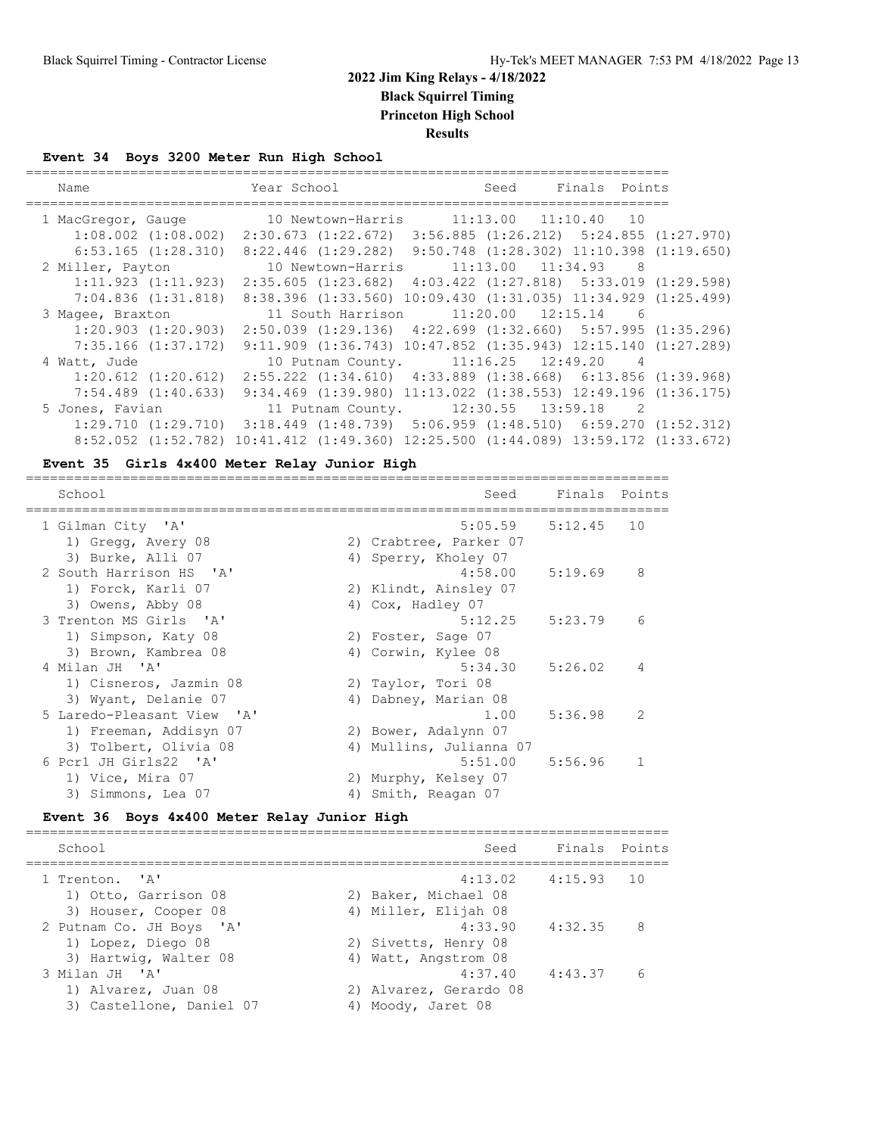## **Event 34 Boys 3200 Meter Run High School**

| Name                    | Year School                                                                                     | Seed | Finals Points            |     |
|-------------------------|-------------------------------------------------------------------------------------------------|------|--------------------------|-----|
| 1 MacGregor, Gauge      | 10 Newtown-Harris                                                                               |      | $11:13.00$ $11:10.40$ 10 |     |
| $1:08.002$ $(1:08.002)$ | $2:30.673$ $(1:22.672)$ $3:56.885$ $(1:26.212)$ $5:24.855$ $(1:27.970)$                         |      |                          |     |
| $6:53.165$ $(1:28.310)$ | $8:22.446$ (1:29.282) 9:50.748 (1:28.302) 11:10.398 (1:19.650)                                  |      |                          |     |
| 2 Miller, Payton        | 10 Newtown-Harris                                                                               |      | $11:13.00$ $11:34.93$    | - 8 |
| 1:11.923(1:11.923)      | $2:35.605$ (1:23.682) $4:03.422$ (1:27.818) $5:33.019$ (1:29.598)                               |      |                          |     |
| 7:04.836(1:31.818)      | 8:38.396 (1:33.560) 10:09.430 (1:31.035) 11:34.929 (1:25.499)                                   |      |                          |     |
| 3 Magee, Braxton        | 11 South Harrison 11:20.00 12:15.14 6                                                           |      |                          |     |
| $1:20.903$ $(1:20.903)$ | $2:50.039$ $(1:29.136)$ $4:22.699$ $(1:32.660)$ $5:57.995$ $(1:35.296)$                         |      |                          |     |
| 7:35.166 (1:37.172)     | 9:11.909 (1:36.743) 10:47.852 (1:35.943) 12:15.140 (1:27.289)                                   |      |                          |     |
| 4 Watt, Jude            | 10 Putnam County. 11:16.25 12:49.20 4                                                           |      |                          |     |
| $1:20.612$ $(1:20.612)$ | 2:55.222 (1:34.610) 4:33.889 (1:38.668) 6:13.856 (1:39.968)                                     |      |                          |     |
| $7:54.489$ $(1:40.633)$ | $9:34.469$ $(1:39.980)$ $11:13.022$ $(1:38.553)$ $12:49.196$ $(1:36.175)$                       |      |                          |     |
| 5 Jones, Favian         | 11 Putnam County. 12:30.55 13:59.18 2                                                           |      |                          |     |
|                         | $1:29.710$ $(1:29.710)$ $3:18.449$ $(1:48.739)$ $5:06.959$ $(1:48.510)$ $6:59.270$ $(1:52.312)$ |      |                          |     |
|                         | 8:52.052 (1:52.782) 10:41.412 (1:49.360) 12:25.500 (1:44.089) 13:59.172 (1:33.672)              |      |                          |     |

#### **Event 35 Girls 4x400 Meter Relay Junior High** ================================================================================

| School                     |    | Seed                    | Finals Points |               |
|----------------------------|----|-------------------------|---------------|---------------|
| 1 Gilman City 'A'          |    | $5:05.59$ $5:12.45$     |               | 10            |
| 1) Gregg, Avery 08         |    | 2) Crabtree, Parker 07  |               |               |
| 3) Burke, Alli 07          |    | 4) Sperry, Kholey 07    |               |               |
| 2 South Harrison HS 'A'    |    | 4:58.00                 | 5:19.69       | 8             |
| 1) Forck, Karli 07         |    | 2) Klindt, Ainsley 07   |               |               |
| 3) Owens, Abby 08          |    | 4) Cox, Hadley 07       |               |               |
| 3 Trenton MS Girls 'A'     |    | 5:12.25                 | 5:23.79       | 6             |
| 1) Simpson, Katy 08        |    | 2) Foster, Sage 07      |               |               |
| 3) Brown, Kambrea 08       |    | 4) Corwin, Kylee 08     |               |               |
| 4 Milan JH 'A'             |    | 5:34.30                 | 5:26.02       | 4             |
| 1) Cisneros, Jazmin 08     |    | 2) Taylor, Tori 08      |               |               |
| 3) Wyant, Delanie 07       | 4) | Dabney, Marian 08       |               |               |
| 5 Laredo-Pleasant View 'A' |    | 1.00                    | 5:36.98       | $\mathcal{L}$ |
| 1) Freeman, Addisyn 07     |    | 2) Bower, Adalynn 07    |               |               |
| 3) Tolbert, Olivia 08      |    | 4) Mullins, Julianna 07 |               |               |
| 6 Pcr1 JH Girls22 'A'      |    | 5:51.00                 | 5:56.96       | 1             |
| 1) Vice, Mira 07           |    | 2) Murphy, Kelsey 07    |               |               |
| 3) Simmons, Lea 07         |    | 4) Smith, Reagan 07     |               |               |

## **Event 36 Boys 4x400 Meter Relay Junior High**

| School                                                            | Seed                                                       | Finals Points |   |
|-------------------------------------------------------------------|------------------------------------------------------------|---------------|---|
| 1 Trenton, 'A'<br>1) Otto, Garrison 08                            | $4:13.02$ $4:15.93$ 10<br>2) Baker, Michael 08             |               |   |
| 3) Houser, Cooper 08<br>2 Putnam Co. JH Boys 'A'                  | 4) Miller, Elijah 08<br>4:33.90                            | 4:32.35       | 8 |
| 1) Lopez, Diego 08<br>3) Hartwig, Walter 08                       | 2) Sivetts, Henry 08<br>4) Watt, Angstrom 08               |               |   |
| 3 Milan JH 'A'<br>1) Alvarez, Juan 08<br>3) Castellone, Daniel 07 | 4:37.40<br>2) Alvarez, Gerardo 08<br>Moody, Jaret 08<br>4) | 4:43.37       | 6 |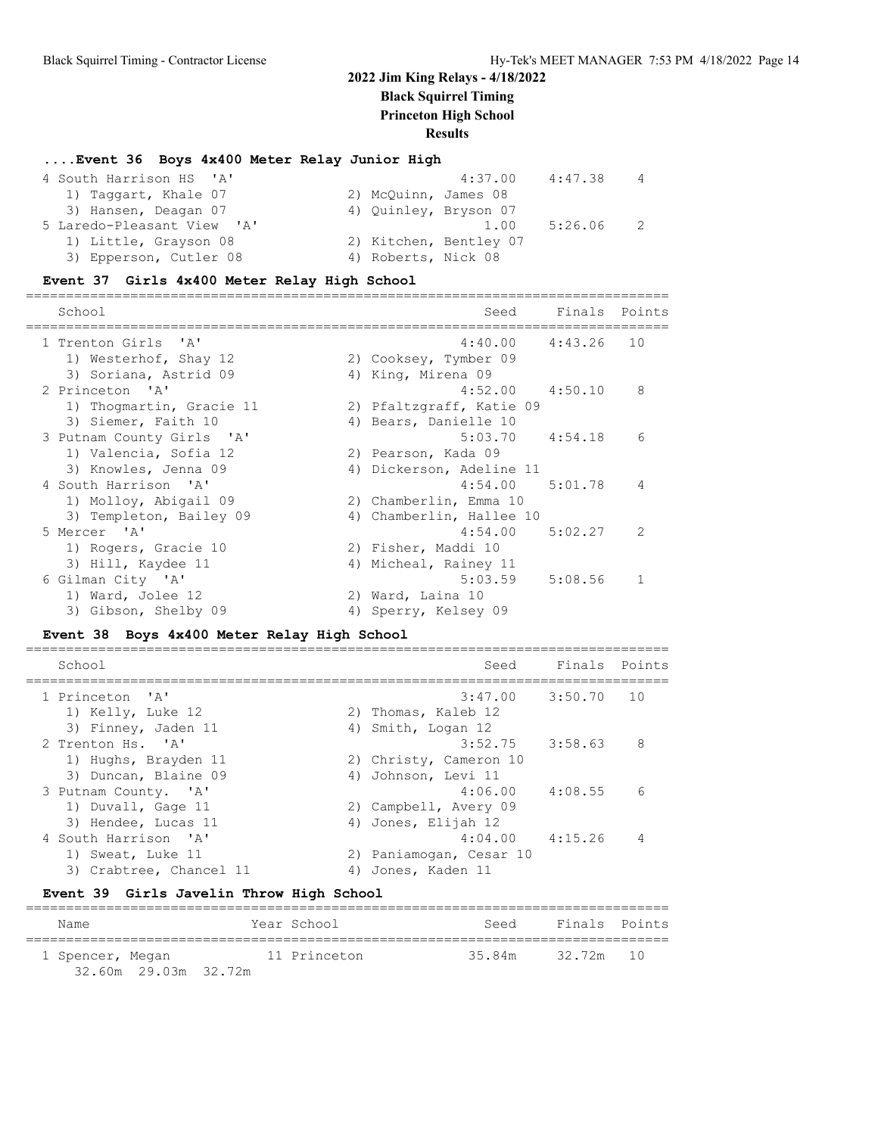## **....Event 36 Boys 4x400 Meter Relay Junior High**

| 4 South Harrison HS 'A'    | 4:37.00                | 4:47.38 | 4             |
|----------------------------|------------------------|---------|---------------|
| 1) Taggart, Khale 07       | 2) McQuinn, James 08   |         |               |
| 3) Hansen, Deagan 07       | 4) Ouinley, Bryson 07  |         |               |
| 5 Laredo-Pleasant View 'A' | 1.00                   | 5:26.06 | $\mathcal{P}$ |
| 1) Little, Grayson 08      | 2) Kitchen, Bentley 07 |         |               |
| 3) Epperson, Cutler 08     | 4) Roberts, Nick 08    |         |               |

## **Event 37 Girls 4x400 Meter Relay High School**

| School                    |    | Seed                     | Finals Points |               |
|---------------------------|----|--------------------------|---------------|---------------|
| 1 Trenton Girls 'A'       |    | $4:40.00$ $4:43.26$      |               | 10            |
| 1) Westerhof, Shay 12     |    | 2) Cooksey, Tymber 09    |               |               |
| 3) Soriana, Astrid 09     | 4) | King, Mirena 09          |               |               |
| 2 Princeton 'A'           |    | $4:52.00$ $4:50.10$      |               | 8             |
| 1) Thogmartin, Gracie 11  |    | 2) Pfaltzgraff, Katie 09 |               |               |
| 3) Siemer, Faith 10       |    | 4) Bears, Danielle 10    |               |               |
| 3 Putnam County Girls 'A' |    | $5:03.70$ $4:54.18$      |               | 6             |
| 1) Valencia, Sofia 12     |    | 2) Pearson, Kada 09      |               |               |
| 3) Knowles, Jenna 09      |    | 4) Dickerson, Adeline 11 |               |               |
| 4 South Harrison 'A'      |    | $4:54.00$ $5:01.78$      |               | 4             |
| 1) Molloy, Abigail 09     |    | 2) Chamberlin, Emma 10   |               |               |
| 3) Templeton, Bailey 09   |    | 4) Chamberlin, Hallee 10 |               |               |
| 5 Mercer 'A'              |    | 4:54.00                  | 5:02.27       | $\mathcal{P}$ |
| 1) Rogers, Gracie 10      |    | 2) Fisher, Maddi 10      |               |               |
| 3) Hill, Kaydee 11        | 4) | Micheal, Rainey 11       |               |               |
| 6 Gilman City 'A'         |    | 5:03.59                  | 5:08.56       | 1             |
| 1) Ward, Jolee 12         |    | 2) Ward, Laina 10        |               |               |
| 3) Gibson, Shelby 09      |    | 4) Sperry, Kelsey 09     |               |               |

## **Event 38 Boys 4x400 Meter Relay High School**

| Finals Points<br>School<br>Seed<br>$3:47.00$ $3:50.70$<br>1 Princeton 'A'<br>10<br>1) Kelly, Luke 12<br>2) Thomas, Kaleb 12<br>3) Finney, Jaden 11<br>4) Smith, Logan 12<br>8<br>$3:52.75$ $3:58.63$<br>2 Trenton Hs. 'A'<br>1) Hughs, Brayden 11<br>2) Christy, Cameron 10<br>3) Duncan, Blaine 09<br>4) Johnson, Levi 11<br>6<br>$4:06.00$ $4:08.55$<br>3 Putnam County. 'A'<br>1) Duvall, Gage 11<br>2) Campbell, Avery 09<br>3) Hendee, Lucas 11<br>4) Jones, Elijah 12<br>$4:04.00$ $4:15.26$<br>4<br>4 South Harrison 'A'<br>2) Paniamogan, Cesar 10<br>1) Sweat, Luke 11<br>3) Crabtree, Chancel 11<br>Jones, Kaden 11<br>4) |  |  |
|-------------------------------------------------------------------------------------------------------------------------------------------------------------------------------------------------------------------------------------------------------------------------------------------------------------------------------------------------------------------------------------------------------------------------------------------------------------------------------------------------------------------------------------------------------------------------------------------------------------------------------------|--|--|
|                                                                                                                                                                                                                                                                                                                                                                                                                                                                                                                                                                                                                                     |  |  |
|                                                                                                                                                                                                                                                                                                                                                                                                                                                                                                                                                                                                                                     |  |  |
|                                                                                                                                                                                                                                                                                                                                                                                                                                                                                                                                                                                                                                     |  |  |
|                                                                                                                                                                                                                                                                                                                                                                                                                                                                                                                                                                                                                                     |  |  |
|                                                                                                                                                                                                                                                                                                                                                                                                                                                                                                                                                                                                                                     |  |  |
|                                                                                                                                                                                                                                                                                                                                                                                                                                                                                                                                                                                                                                     |  |  |
|                                                                                                                                                                                                                                                                                                                                                                                                                                                                                                                                                                                                                                     |  |  |

## **Event 39 Girls Javelin Throw High School**

| Name                                     | Year School  | Seed   | Finals Points |  |
|------------------------------------------|--------------|--------|---------------|--|
| 1 Spencer, Megan<br>32.60m 29.03m 32.72m | 11 Princeton | 35.84m | 32.72m 10     |  |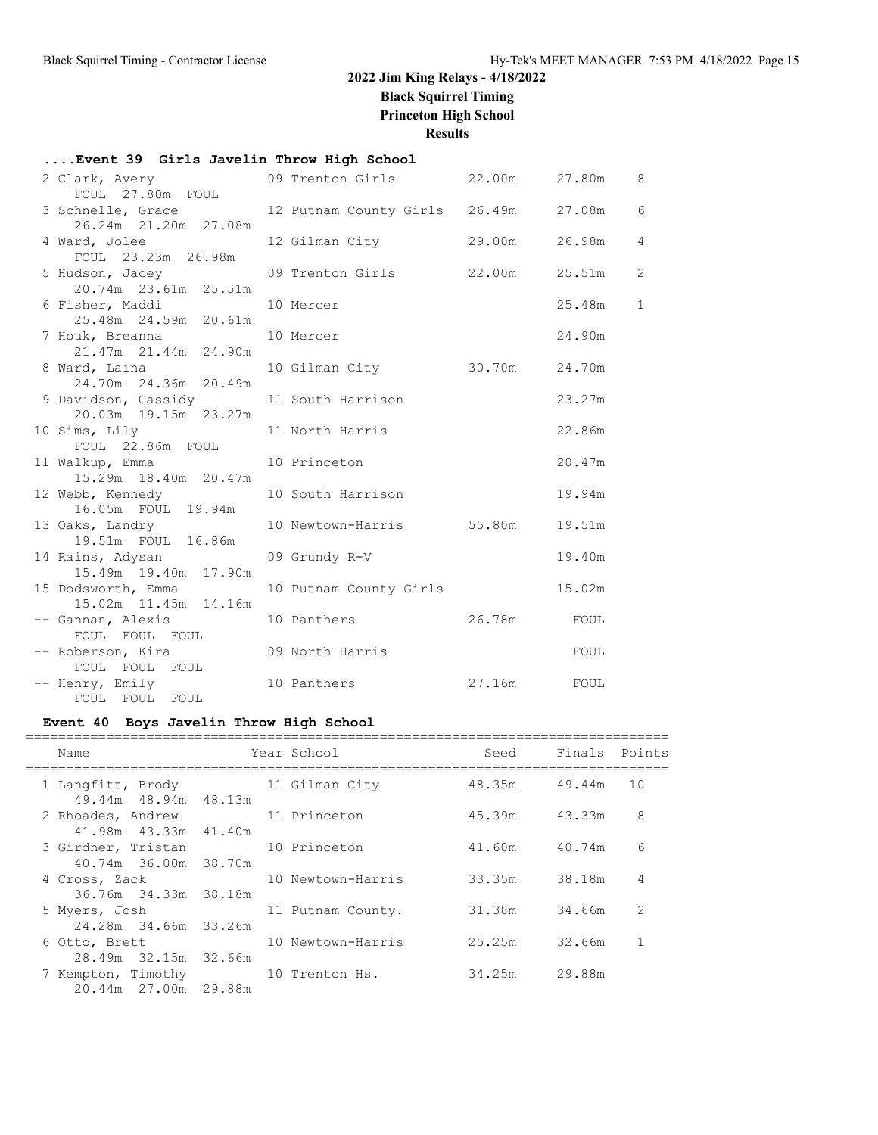## **....Event 39 Girls Javelin Throw High School**

| 2 Clark, Avery<br>FOUL 27.80m FOUL                       | 09 Trenton Girls 22.00m 27.80m 8 |          |                |
|----------------------------------------------------------|----------------------------------|----------|----------------|
| 3 Schnelle, Grace 12 Putnam County Girls 26.49m 27.08m 6 |                                  |          |                |
| 26.24m 21.20m 27.08m                                     |                                  |          |                |
| 4 Ward, Jolee<br>FOUL 23.23m 26.98m                      | 12 Gilman City 29.00m            | 26.98m   | $\overline{4}$ |
|                                                          |                                  |          |                |
|                                                          |                                  |          | 2              |
| 20.74m 23.61m 25.51m                                     |                                  |          |                |
| 6 Fisher, Maddi                                          | 10 Mercer                        | 25.48m 1 |                |
| 25.48m  24.59m  20.61m                                   | 10 Mercer                        | 24.90m   |                |
| 7 Houk, Breanna<br>21.47m 21.44m 24.90m                  |                                  |          |                |
|                                                          | 10 Gilman City 30.70m 24.70m     |          |                |
| 8 Ward, Laina<br>24.70m 24.36m 20.49m                    |                                  |          |                |
| 9 Davidson, Cassidy 11 South Harrison                    |                                  | 23.27m   |                |
| 20.03m 19.15m 23.27m                                     |                                  |          |                |
| 10 Sims, Lily 11 North Harris                            |                                  | 22.86m   |                |
| FOUL 22.86m FOUL                                         |                                  |          |                |
| 11 Walkup, Emma 10 Princeton                             |                                  | 20.47m   |                |
| 15.29m  18.40m  20.47m                                   |                                  |          |                |
| 12 Webb, Kennedy                                         | 10 South Harrison                | 19.94m   |                |
| 16.05m FOUL 19.94m                                       |                                  |          |                |
| 13 Oaks, Landry<br>19.51m FOUL 16.86m                    | 10 Newtown-Harris 55.80m         | 19.51m   |                |
|                                                          |                                  |          |                |
| 14 Rains, Adysan                                         | 09 Grundy R-V                    | 19.40m   |                |
| 15.49m  19.40m  17.90m                                   |                                  |          |                |
| 15 Dodsworth, Emma                                       | 10 Putnam County Girls           | 15.02m   |                |
| 15.02m  11.45m  14.16m                                   |                                  |          |                |
| -- Gannan, Alexis                                        | 10 Panthers 26.78m FOUL          |          |                |
| FOUL FOUL FOUL                                           |                                  |          |                |
| -- Roberson, Kira 69 North Harris                        |                                  | FOUL     |                |
| FOUL FOUL FOUL                                           |                                  |          |                |
| -- Henry, Emily                                          | 10 Panthers 27.16m FOUL          |          |                |
| FOUL FOUL FOUL                                           |                                  |          |                |

## **Event 40 Boys Javelin Throw High School**

| Name                                       | Year School       | Seed Finals Points |        |               |
|--------------------------------------------|-------------------|--------------------|--------|---------------|
| 1 Langfitt, Brody<br>49.44m 48.94m 48.13m  | 11 Gilman City    | 48.35m 49.44m      |        | 10            |
| 2 Rhoades, Andrew<br>41.98m 43.33m 41.40m  | 11 Princeton      | 45.39m 43.33m      |        | 8             |
| 3 Girdner, Tristan<br>40.74m 36.00m 38.70m | 10 Princeton      | 41.60m 40.74m      |        | 6             |
| 4 Cross, Zack<br>36.76m 34.33m 38.18m      | 10 Newtown-Harris | 33.35m             | 38.18m | 4             |
| 5 Myers, Josh<br>24.28m 34.66m 33.26m      | 11 Putnam County. | 31.38m             | 34.66m | $\mathcal{P}$ |
| 6 Otto, Brett<br>28.49m 32.15m 32.66m      | 10 Newtown-Harris | 25.25m             | 32.66m | 1             |
| 7 Kempton, Timothy<br>20.44m 27.00m 29.88m | 10 Trenton Hs.    | 34.25m             | 29.88m |               |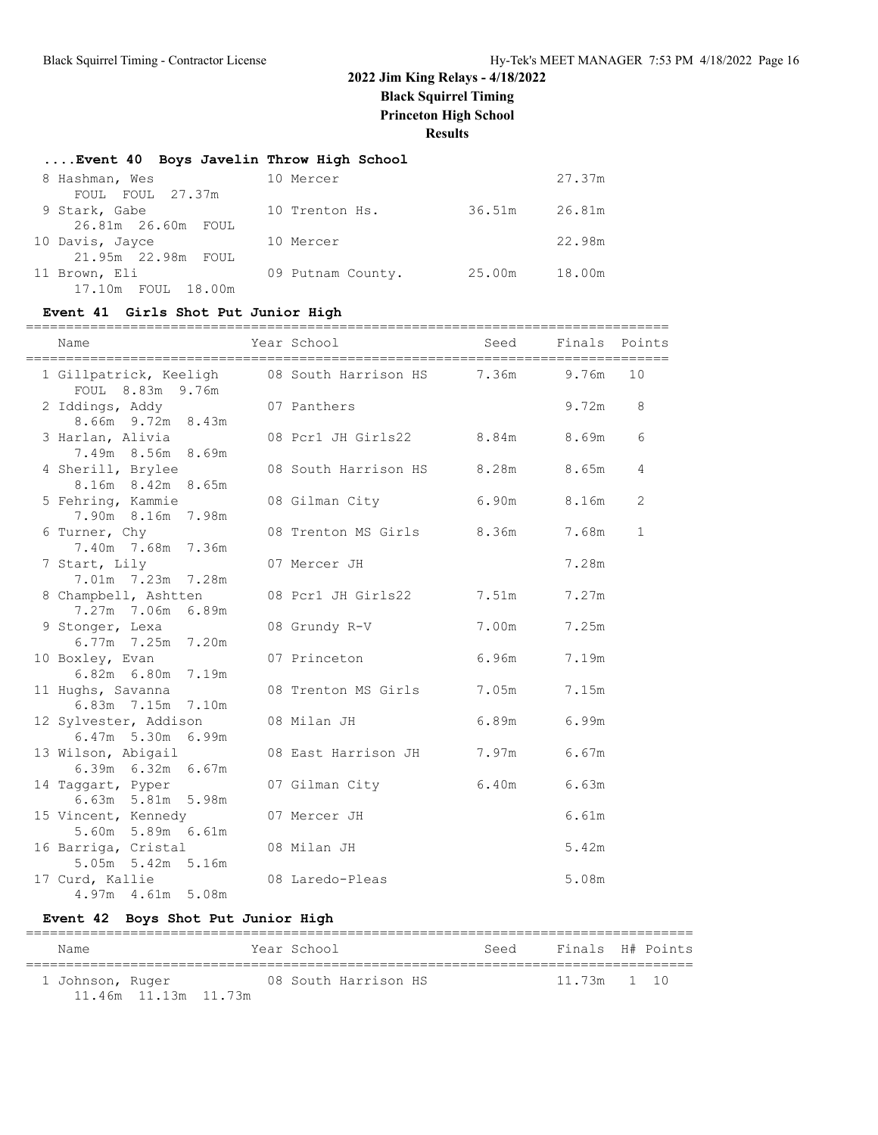#### **....Event 40 Boys Javelin Throw High School**

| 8 Hashman, Wes           | 10 Mercer         |        | 27.37m |
|--------------------------|-------------------|--------|--------|
| FOUL FOUL 27.37m         |                   |        |        |
| 9 Stark, Gabe            | 10 Trenton Hs.    | 36.51m | 26.81m |
| 26.81m 26.60m FOUL       |                   |        |        |
| 10 Davis, Jayce          | 10 Mercer         |        | 22.98m |
| 21.95m  22.98m  FOUL     |                   |        |        |
| 11 Brown, Eli            | 09 Putnam County. | 25.00m | 18.00m |
| FOUL<br>18.00m<br>17.10m |                   |        |        |

#### **Event 41 Girls Shot Put Junior High**

================================================================================ Name Year School Seed Finals Points ================================================================================ 1 Gillpatrick, Keeligh 08 South Harrison HS 7.36m 9.76m 10 FOUL 8.83m 9.76m 2 Iddings, Addy 07 Panthers 9.72m 8 8.66m 9.72m 8.43m 3 Harlan, Alivia 08 Pcr1 JH Girls22 8.84m 8.69m 6 7.49m 8.56m 8.69m 4 Sherill, Brylee 08 South Harrison HS 8.28m 8.65m 4 8.16m 8.42m 8.65m 5 Fehring, Kammie 08 Gilman City 6.90m 8.16m 2 7.90m 8.16m 7.98m 6 Turner, Chy 08 Trenton MS Girls 8.36m 7.68m 1 7.40m 7.68m 7.36m 7 Start, Lily 07 Mercer JH 7.28m 7.01m 7.23m 7.28m 8 Champbell, Ashtten 08 Pcr1 JH Girls22 7.51m 7.27m<br>7.27m 7.06m 6.89m 7.27m 7.06m 6.89m<br>9 Stonger, Lexa 08 Grundy R-V 7.00m 7.25m 6.77m 7.25m 7.20m 10 Boxley, Evan 07 Princeton 6.96m 7.19m 6.82m 6.80m 7.19m 11 Hughs, Savanna 08 Trenton MS Girls 7.05m 7.15m 6.83m 7.15m 7.10m 12 Sylvester, Addison 08 Milan JH 6.89m 6.99m 6.47m 5.30m 6.99m 13 Wilson, Abigail 08 East Harrison JH 7.97m 6.67m 6.39m 6.32m 6.67m 14 Taggart, Pyper 07 Gilman City 6.40m 6.63m 6.63m 5.81m 5.98m 15 Vincent, Kennedy 6.61m 07 Mercer JH 5.60m 5.89m 6.61m 16 Barriga, Cristal 08 Milan JH 5.42m 5.05m 5.42m 5.16m 17 Curd, Kallie 68 08 Laredo-Pleas 5.08m 4.97m 4.61m 5.08m

#### **Event 42 Boys Shot Put Junior High**

| Name                                     | Year School          | Seed |               | Finals H# Points |
|------------------------------------------|----------------------|------|---------------|------------------|
| 1 Johnson, Ruger<br>11.46m 11.13m 11.73m | 08 South Harrison HS |      | $11.73m$ 1 10 |                  |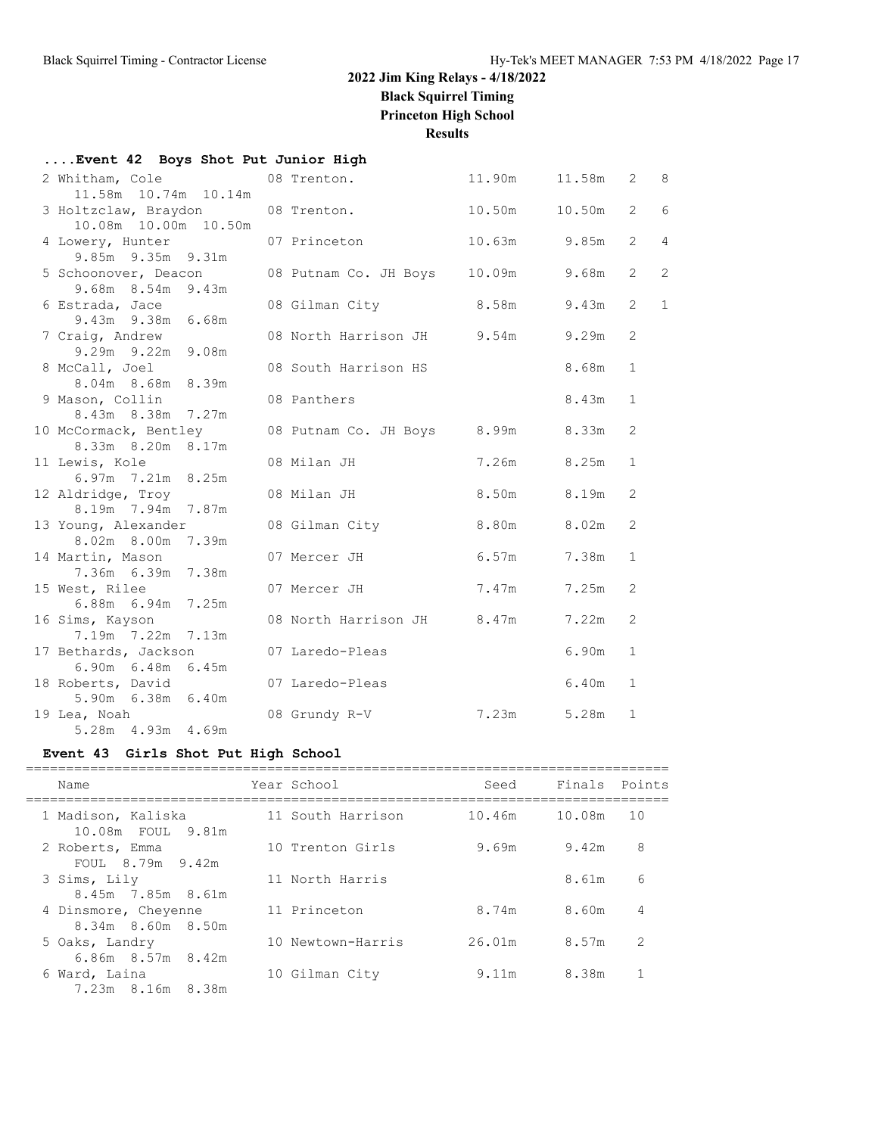**Results**

| Event 42 Boys Shot Put Junior High   |                                    |             |                 |                |                |
|--------------------------------------|------------------------------------|-------------|-----------------|----------------|----------------|
| 2 Whitham, Cole                      | 11.90m   11.58m<br>08 Trenton.     |             |                 | $2 \quad 8$    |                |
| 11.58m  10.74m  10.14m               |                                    |             |                 |                |                |
| 3 Holtzclaw, Braydon                 | 08 Trenton.                        | 10.50m      | 10.50m          | $2^{\circ}$    | 6              |
| 10.08m  10.00m  10.50m               |                                    |             |                 |                |                |
| 4 Lowery, Hunter                     | 07 Princeton                       |             | 10.63m 9.85m    | $\overline{2}$ | $\sqrt{4}$     |
| 9.85m 9.35m 9.31m                    |                                    |             |                 |                |                |
| 5 Schoonover, Deacon                 | 08 Putnam Co. JH Boys 10.09m 9.68m |             |                 | $\overline{2}$ | $\overline{c}$ |
| 9.68m 8.54m 9.43m                    |                                    |             |                 |                |                |
| 6 Estrada, Jace                      | 08 Gilman City                     | 8.58m 9.43m |                 | $\overline{2}$ | $\mathbf 1$    |
| 9.43m 9.38m 6.68m                    | 08 North Harrison JH 9.54m 9.29m   |             |                 | 2              |                |
| 7 Craig, Andrew<br>9.29m 9.22m 9.08m |                                    |             |                 |                |                |
| 8 McCall, Joel                       | 08 South Harrison HS               |             | 8.68m           | $\mathbf{1}$   |                |
| 8.04m 8.68m 8.39m                    |                                    |             |                 |                |                |
| 9 Mason, Collin                      | 08 Panthers                        |             | 8.43m           | $\mathbf{1}$   |                |
| 8.43m 8.38m 7.27m                    |                                    |             |                 |                |                |
| 10 McCormack, Bentley                | 08 Putnam Co. JH Boys 8.99m 8.33m  |             |                 | 2              |                |
| 8.33m 8.20m 8.17m                    |                                    |             |                 |                |                |
| 11 Lewis, Kole                       | 08 Milan JH                        |             | 7.26m 8.25m     | $\mathbf{1}$   |                |
| 6.97m 7.21m 8.25m                    |                                    |             |                 |                |                |
| 12 Aldridge, Troy                    | 08 Milan JH                        |             | 8.50m 8.19m     | 2              |                |
| 8.19m 7.94m 7.87m                    |                                    |             |                 |                |                |
| 13 Young, Alexander                  | 08 Gilman City                     |             | $8.80m$ $8.02m$ | 2              |                |
| 8.02m 8.00m 7.39m                    |                                    |             |                 |                |                |
| 14 Martin, Mason                     | 07 Mercer JH                       |             | 6.57m 7.38m     | $\mathbf{1}$   |                |
| 7.36m 6.39m 7.38m                    |                                    |             |                 |                |                |
| 15 West, Rilee                       | 07 Mercer JH                       |             | 7.47m 7.25m     | 2              |                |
| 6.88m 6.94m 7.25m                    |                                    |             |                 | 2              |                |
| 16 Sims, Kayson<br>7.19m 7.22m 7.13m | 08 North Harrison JH 8.47m 7.22m   |             |                 |                |                |
| 17 Bethards, Jackson                 | 07 Laredo-Pleas                    |             | 6.90m           | $\mathbf{1}$   |                |
| 6.90m 6.48m 6.45m                    |                                    |             |                 |                |                |
| 18 Roberts, David                    | 07 Laredo-Pleas                    |             | 6.40m           | $\mathbf{1}$   |                |
| 5.90m 6.38m 6.40m                    |                                    |             |                 |                |                |
| 19 Lea, Noah                         | 08 Grundy R-V 7.23m 5.28m          |             |                 | $\mathbf{1}$   |                |
| 5.28m  4.93m  4.69m                  |                                    |             |                 |                |                |

## **Event 43 Girls Shot Put High School**

| Name                                      | Year School       | Seed   | Finals Points |               |
|-------------------------------------------|-------------------|--------|---------------|---------------|
| 1 Madison, Kaliska<br>10.08m FOUL 9.81m   | 11 South Harrison | 10.46m | 10.08m        | 10            |
| 2 Roberts, Emma<br>FOUL 8.79m 9.42m       | 10 Trenton Girls  | 9.69m  | 9.42m         | 8             |
| 3 Sims, Lily<br>8.45m 7.85m 8.61m         | 11 North Harris   |        | 8.61m         | 6             |
| 4 Dinsmore, Cheyenne<br>8.34m 8.60m 8.50m | 11 Princeton      | 8.74m  | 8.60m         | 4             |
| 5 Oaks, Landry<br>6.86m 8.57m 8.42m       | 10 Newtown-Harris | 26.01m | 8.57m         | $\mathcal{D}$ |
| 6 Ward, Laina<br>7.23m 8.16m 8.38m        | 10 Gilman City    | 9.11m  | 8.38m         |               |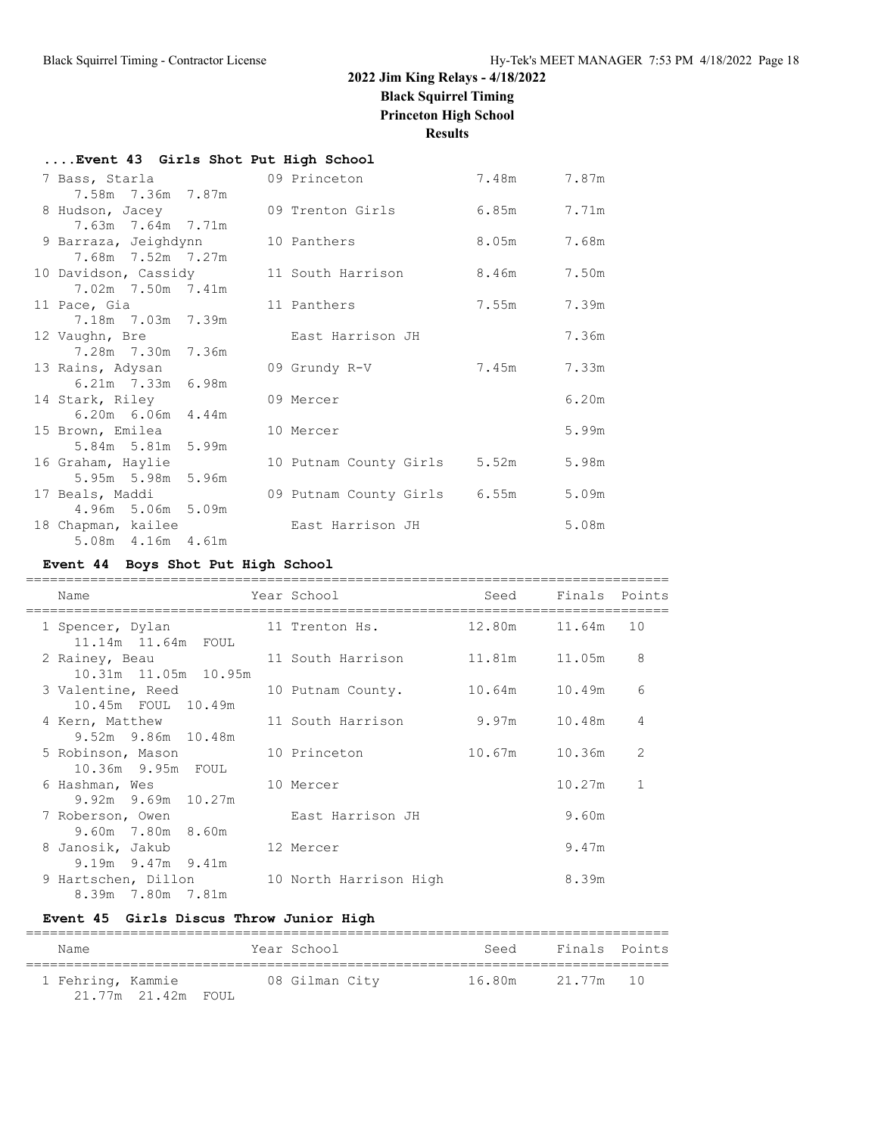| Event 43 Girls Shot Put High School    |                              |       |       |
|----------------------------------------|------------------------------|-------|-------|
| 7 Bass, Starla                         | 09 Princeton                 | 7.48m | 7.87m |
| 7.58m 7.36m 7.87m                      |                              |       |       |
| 8 Hudson, Jacey                        | 09 Trenton Girls             | 6.85m | 7.71m |
| 7.63m 7.64m 7.71m                      |                              |       |       |
| 9 Barraza, Jeighdynn                   | 10 Panthers                  | 8.05m | 7.68m |
| 7.68m 7.52m 7.27m                      |                              |       |       |
| 10 Davidson, Cassidy 11 South Harrison |                              | 8.46m | 7.50m |
| 7.02m 7.50m 7.41m                      |                              |       |       |
| 11 Pace, Gia                           | 11 Panthers                  | 7.55m | 7.39m |
| 7.18m 7.03m 7.39m                      |                              |       |       |
| 12 Vaughn, Bre                         | East Harrison JH             |       | 7.36m |
| 7.28m 7.30m 7.36m                      |                              |       |       |
| 13 Rains, Adysan                       | 09 Grundy R-V                | 7.45m | 7.33m |
| 6.21m 7.33m 6.98m                      |                              |       |       |
| 14 Stark, Riley                        | 09 Mercer                    |       | 6.20m |
| 6.20m 6.06m 4.44m                      |                              |       |       |
| 15 Brown, Emilea                       | 10 Mercer                    |       | 5.99m |
| 5.84m 5.81m 5.99m                      |                              |       |       |
| 16 Graham, Haylie                      | 10 Putnam County Girls 5.52m |       | 5.98m |
| 5.95m 5.98m 5.96m                      |                              |       |       |
| 17 Beals, Maddi                        | 09 Putnam County Girls 6.55m |       | 5.09m |
| 4.96m 5.06m 5.09m                      |                              |       |       |
| 18 Chapman, kailee                     | East Harrison JH             |       | 5.08m |
| 5.08m  4.16m  4.61m                    |                              |       |       |

## **Event 44 Boys Shot Put High School**

| Name<br>====================                          | Year School and the School and the School                   | Seed Finals Points |        |              |
|-------------------------------------------------------|-------------------------------------------------------------|--------------------|--------|--------------|
| 1 Spencer, Dylan<br>11.14m 11.64m FOUL                | 11 Trenton Hs.                   12.80m       11.64m     10 |                    |        |              |
| 2 Rainey, Beau<br>10.31m 11.05m 10.95m                | 11 South Harrison 11.81m 11.05m 8                           |                    |        |              |
| 3 Valentine, Reed<br>10.45m FOUL 10.49m               | 10 Putnam County. 10.64m 10.49m                             |                    |        | 6            |
| 4 Kern, Matthew<br>$9.52m$ $9.86m$ $10.48m$           | 11 South Harrison                                           | 9.97m              | 10.48m | 4            |
| 5 Robinson, Mason 5 10 Princeton<br>10.36m 9.95m FOUL |                                                             | 10.67m             | 10.36m | 2            |
| 6 Hashman, Wes<br>$9.92m$ $9.69m$ $10.27m$            | 10 Mercer                                                   |                    | 10.27m | $\mathbf{1}$ |
| 7 Roberson, Owen<br>9.60m 7.80m 8.60m                 | East Harrison JH                                            |                    | 9.60m  |              |
| 8 Janosik, Jakub<br>$9.19m$ $9.47m$ $9.41m$           | 12 Mercer                                                   |                    | 9.47m  |              |
| 9 Hartschen, Dillon<br>8.39m 7.80m 7.81m              | 10 North Harrison High                                      |                    | 8.39m  |              |

## **Event 45 Girls Discus Throw Junior High**

| Year School<br>Seed<br>Name             |                |        | Finals Points |  |
|-----------------------------------------|----------------|--------|---------------|--|
|                                         |                |        |               |  |
| 1 Fehring, Kammie<br>21.77m 21.42m FOUL | 08 Gilman City | 16.80m | 21.77m 10     |  |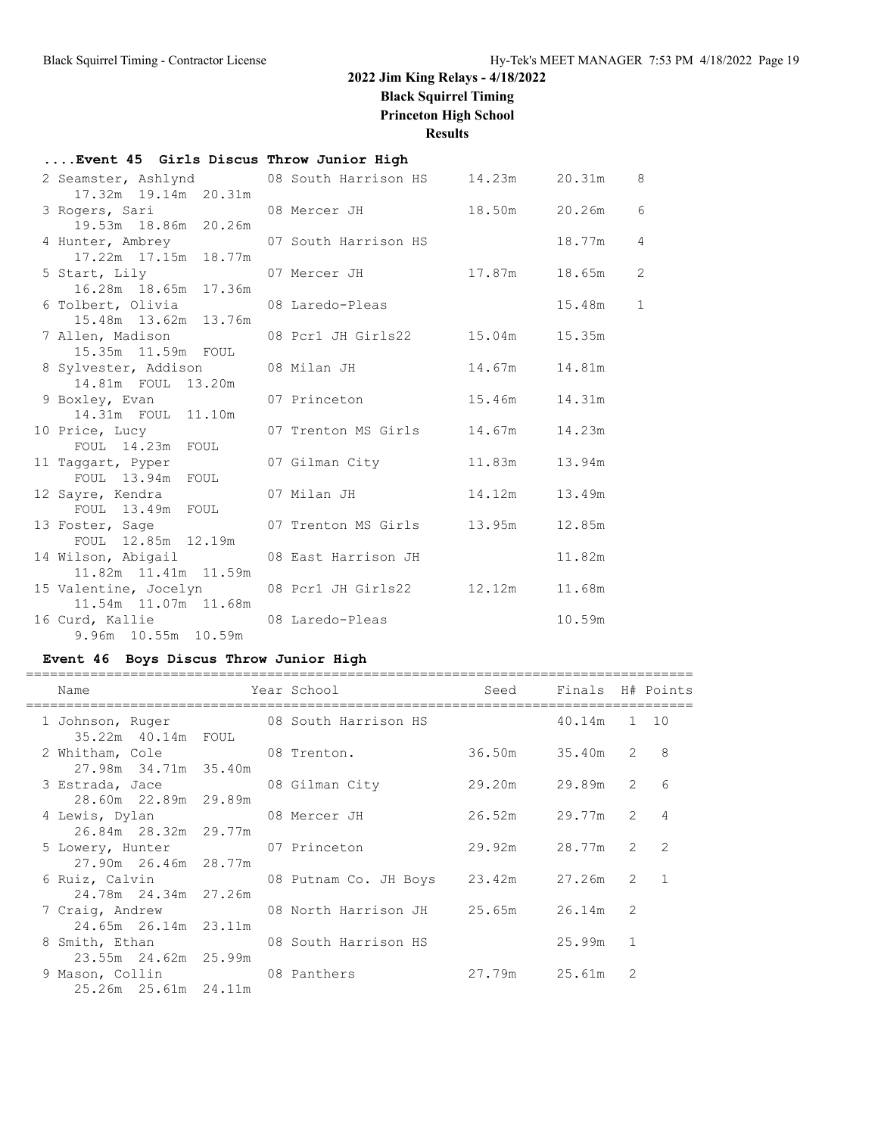| Event 45 Girls Discus Throw Junior High                                 |                            |        |          |                |
|-------------------------------------------------------------------------|----------------------------|--------|----------|----------------|
| 2 Seamster, Ashlynd 08 South Harrison HS 14.23m<br>17.32m 19.14m 20.31m |                            |        | 20.31m 8 |                |
| 3 Rogers, Sari 08 Mercer JH 18.50m<br>19.53m 18.86m 20.26m              |                            |        | 20.26m   | 6              |
| 4 Hunter, Ambrey                                                        | 07 South Harrison HS       |        | 18.77m   | 4              |
| 17.22m  17.15m  18.77m<br>5 Start, Lily                                 | 07 Mercer JH 17.87m        |        | 18.65m   | $\overline{c}$ |
| 16.28m  18.65m  17.36m<br>6 Tolbert, Olivia                             | 08 Laredo-Pleas            |        | 15.48m   | $1\,$          |
| 15.48m  13.62m  13.76m<br>7 Allen, Madison                              | 08 Pcr1 JH Girls22 15.04m  |        | 15.35m   |                |
| 15.35m 11.59m FOUL<br>8 Sylvester, Addison 68 Milan JH 14.67m           |                            |        | 14.81m   |                |
| 14.81m FOUL 13.20m<br>9 Boxley, Evan                                    | 07 Princeton 15.46m        |        | 14.31m   |                |
| 14.31m FOUL 11.10m<br>10 Price, Lucy                                    | 07 Trenton MS Girls 14.67m |        | 14.23m   |                |
| FOUL 14.23m FOUL<br>11 Taggart, Pyper<br>FOUL 13.94m FOUL               | 07 Gilman City 11.83m      |        | 13.94m   |                |
| 12 Sayre, Kendra                                                        | 07 Milan JH                | 14.12m | 13.49m   |                |
| FOUL 13.49m FOUL<br>13 Foster, Sage                                     | 07 Trenton MS Girls 13.95m |        | 12.85m   |                |
| FOUL 12.85m 12.19m<br>14 Wilson, Abigail 68 East Harrison JH            |                            |        | 11.82m   |                |
| 11.82m  11.41m  11.59m<br>15 Valentine, Jocelyn                         | 08 Pcr1 JH Girls22 12.12m  |        | 11.68m   |                |
| 11.54m  11.07m  11.68m<br>16 Curd, Kallie<br>9.96m 10.55m 10.59m        | 08 Laredo-Pleas            |        | 10.59m   |                |

## **Event 46 Boys Discus Throw Junior High**

| Name<br>==============================                | Year School                               Seed       Finals   H# Points |                   |             |                |   |
|-------------------------------------------------------|-------------------------------------------------------------------------|-------------------|-------------|----------------|---|
| 1 Johnson, Ruger 68 South Harrison HS                 |                                                                         |                   | 40.14m 1 10 |                |   |
| 35.22m  40.14m  FOUL<br>2 Whitham, Cole 08 Trenton.   |                                                                         | 36.50m 35.40m 2 8 |             |                |   |
| 27.98m 34.71m 35.40m<br>3 Estrada, Jace               | 08 Gilman City                                                          | 29.20m 29.89m     |             | $2^{\circ}$    | 6 |
| 28.60m 22.89m 29.89m<br>4 Lewis, Dylan 68 Mercer JH   |                                                                         | 26.52m 29.77m 2 4 |             |                |   |
| 26.84m 28.32m 29.77m                                  |                                                                         | 29.92m 28.77m     |             | $\overline{2}$ | 2 |
| 5 Lowery, Hunter 07 Princeton<br>27.90m 26.46m 28.77m |                                                                         |                   |             |                |   |
| 6 Ruiz, Calvin<br>24.78m 24.34m 27.26m                | 08 Putnam Co. JH Boys 23.42m 27.26m 2 1                                 |                   |             |                |   |
| 24.65m 26.14m 23.11m                                  | 7 Craig, Andrew 68 North Harrison JH 25.65m 26.14m 2                    |                   |             |                |   |
| 8 Smith, Ethan 68 South Harrison HS                   |                                                                         |                   | 25.99m      | $\mathbf{1}$   |   |
| 23.55m 24.62m 25.99m<br>9 Mason, Collin 68 Panthers   |                                                                         | 27.79m 25.61m 2   |             |                |   |
| 25.26m 25.61m 24.11m                                  |                                                                         |                   |             |                |   |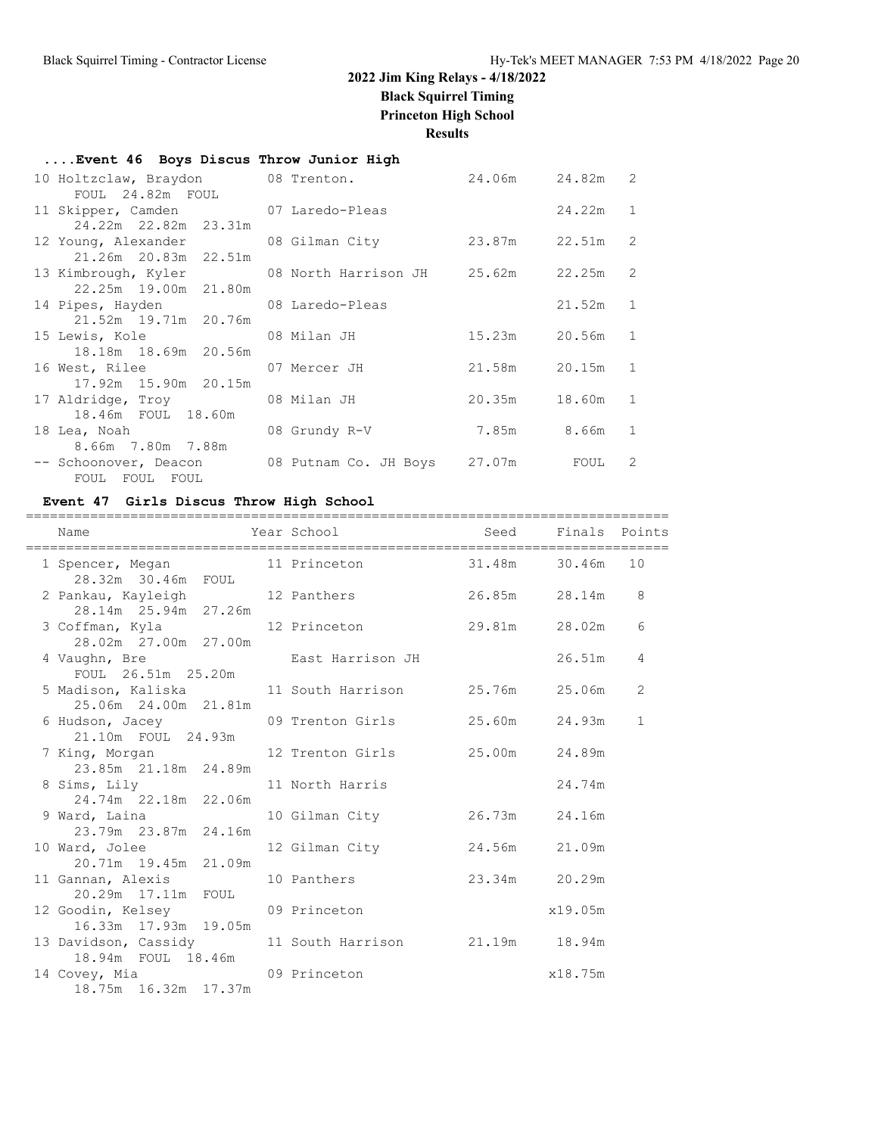## **....Event 46 Boys Discus Throw Junior High**

| 10 Holtzclaw, Braydon 68 Trenton.<br>FOUL 24.82m FOUL                                            | 24.06m          | 24.82m   | $\overline{2}$ |
|--------------------------------------------------------------------------------------------------|-----------------|----------|----------------|
| 11 Skipper, Camden 67 Laredo-Pleas<br>24.22m 22.82m 23.31m                                       |                 | 24.22m 1 |                |
| 12 Young, Alexander 68 Gilman City 23.87m 22.51m 2<br>21.26m 20.83m 22.51m                       |                 |          |                |
| 13 Kimbrough, Kyler 608 North Harrison JH 25.62m 22.25m 2<br>22.25m 19.00m 21.80m                |                 |          |                |
| 14 Pipes, Hayden 68 Laredo-Pleas<br>21.52m 19.71m 20.76m                                         |                 | 21.52m 1 |                |
| 15 Lewis, Kole                         08 Milan JH<br>18.18m 18.69m 20.56m                       | 15.23m 20.56m 1 |          |                |
| 16 West, Rilee 67 Mercer JH<br>17.92m 15.90m 20.15m                                              |                 |          |                |
| 17 Aldridge, Troy 68 Milan JH                                                                    | 20.35m 18.60m 1 |          |                |
| 18.46m FOUL 18.60m<br>18 Lea, Noah 18 Crundy R-V                                                 | 7.85m 8.66m 1   |          |                |
| 8.66m 7.80m 7.88m<br>-- Schoonover, Deacon 68 Putnam Co. JH Boys 27.07m FOUL 2<br>FOUL FOUL FOUL |                 |          |                |

### **Event 47 Girls Discus Throw High School**

|  | Name                                                                     | Year School Seed Finals Points  |         |                |
|--|--------------------------------------------------------------------------|---------------------------------|---------|----------------|
|  | 1 Spencer, Megan 11 Princeton 31.48m 30.46m<br>28.32m 30.46m FOUL        |                                 |         | 10             |
|  | 2 Pankau, Kayleigh 12 Panthers 26.85m 28.14m 8<br>28.14m  25.94m  27.26m |                                 |         |                |
|  | 3 Coffman, Kyla<br>28.02m 27.00m 27.00m                                  |                                 |         | 6              |
|  | 4 Vaughn, Bre<br>FOUL 26.51m 25.20m                                      | East Harrison JH                | 26.51m  | 4              |
|  | 25.06m 24.00m 21.81m                                                     |                                 |         | $\overline{c}$ |
|  | 6 Hudson, Jacey<br>21.10m FOUL 24.93m                                    | 09 Trenton Girls 25.60m 24.93m  |         | $\mathbf{1}$   |
|  | 7 King, Morgan<br>23.85m 21.18m 24.89m                                   | 12 Trenton Girls 25.00m 24.89m  |         |                |
|  | 8 Sims, Lily<br>24.74m 22.18m 22.06m                                     | 11 North Harris                 | 24.74m  |                |
|  | 9 Ward, Laina<br>23.79m 23.87m 24.16m                                    | 10 Gilman City 26.73m 24.16m    |         |                |
|  | 10 Ward, Jolee<br>20.71m 19.45m 21.09m                                   | 12 Gilman City 24.56m 21.09m    |         |                |
|  | 11 Gannan, Alexis<br>20.29m 17.11m FOUL                                  | 10 Panthers 23.34m 20.29m       |         |                |
|  | 12 Goodin, Kelsey<br>16.33m 17.93m 19.05m                                | 09 Princeton                    | x19.05m |                |
|  | 13 Davidson, Cassidy<br>18.94m FOUL 18.46m                               | 11 South Harrison 21.19m 18.94m |         |                |
|  | 14 Covey, Mia 69 Princeton<br>18.75m  16.32m  17.37m                     |                                 | x18.75m |                |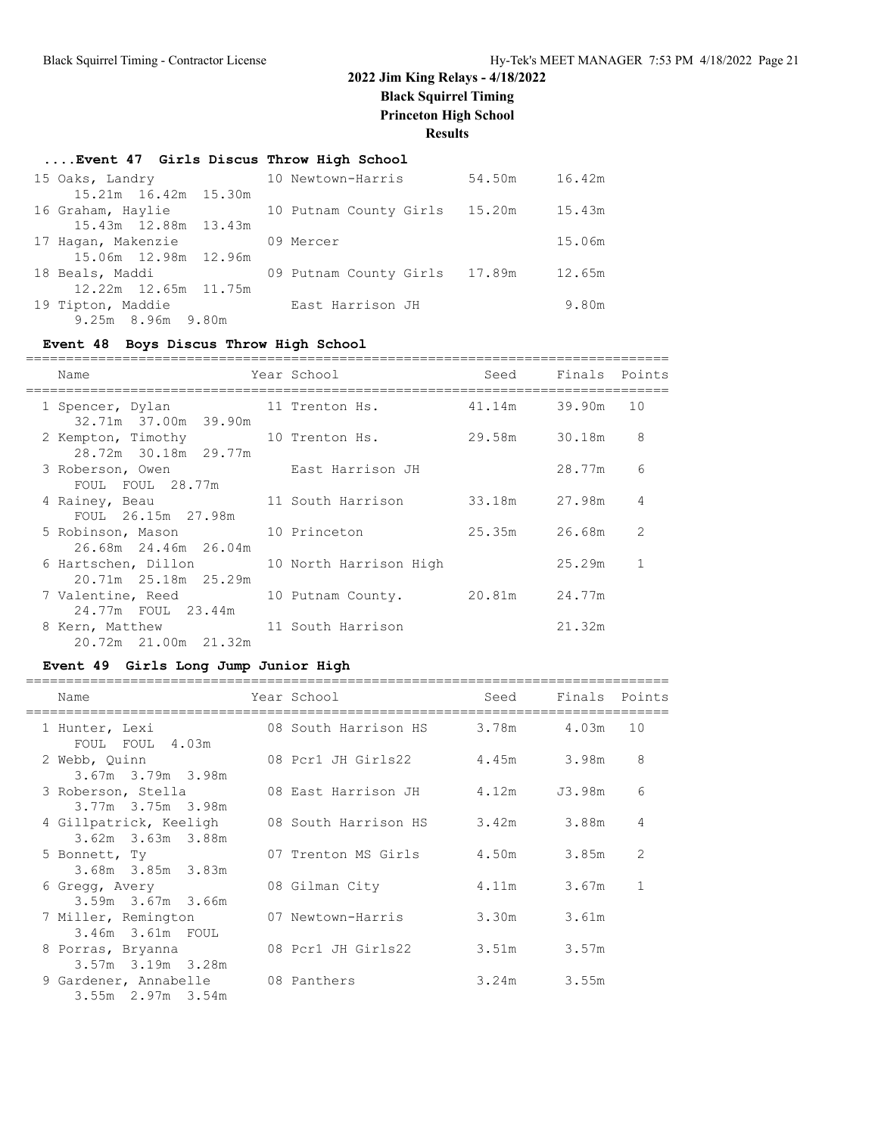#### **....Event 47 Girls Discus Throw High School**

| 15 Oaks, Landry              | 10 Newtown-Harris             | 54.50m 16.42m |        |
|------------------------------|-------------------------------|---------------|--------|
| 15.21m 16.42m 15.30m         |                               |               |        |
| 16 Graham, Haylie            | 10 Putnam County Girls 15.20m |               | 15.43m |
| 15.43m 12.88m 13.43m         |                               |               |        |
| 17 Hagan, Makenzie 69 Mercer |                               |               | 15.06m |
| 15.06m 12.98m 12.96m         |                               |               |        |
| 18 Beals, Maddi              | 09 Putnam County Girls 17.89m |               | 12.65m |
| 12.22m 12.65m 11.75m         |                               |               |        |
| 19 Tipton, Maddie            | East Harrison JH              |               | 9.80m  |
| 9.25m 8.96m 9.80m            |                               |               |        |

#### **Event 48 Boys Discus Throw High School**

================================================================================ Name The Year School Contract Seed Finals Points ================================================================================ 1 Spencer, Dylan 11 Trenton Hs. 41.14m 39.90m 10 32.71m 37.00m 39.90m<br>2 Kempton, Timothy 10 Trenton Hs. 29.58m 30.18m 8 28.72m 30.18m 29.77m 3 Roberson, Owen **East Harrison JH** 28.77m 6 SDELSON, STREET<br>FOUL FOUL 28.77m 4 Rainey, Beau 11 South Harrison 33.18m 27.98m 4 FOUL 26.15m 27.98m 5 Robinson, Mason 10 Princeton 25.35m 26.68m 2 26.68m 24.46m 26.04m 6 Hartschen, Dillon 10 North Harrison High 25.29m 1 20.71m 25.18m 25.29m 7 Valentine, Reed 10 Putnam County. 20.81m 24.77m 24.77m FOUL 23.44m 8 Kern, Matthew 11 South Harrison 21.32m 20.72m 21.00m 21.32m

#### **Event 49 Girls Long Jump Junior High**

================================================================================ Name Year School Seed Finals Points ================================================================================ 08 South Harrison HS 3.78m 4.03m 10 FOUL FOUL 4.03m 2 Webb, Quinn 08 Pcr1 JH Girls22 4.45m 3.98m 8 3.67m 3.79m 3.98m 3 Roberson, Stella 08 East Harrison JH 4.12m J3.98m 6 3.77m 3.75m 3.98m 4 Gillpatrick, Keeligh 08 South Harrison HS 3.42m 3.88m 4 3.62m 3.63m 3.88m 07 Trenton MS Girls 4.50m 3.85m 2 3.68m 3.85m 3.83m 6 Gregg, Avery 08 Gilman City 4.11m 3.67m 1 3.59m 3.67m 3.66m 7 Miller, Remington 07 Newtown-Harris 3.30m 3.61m 3.46m 3.61m FOUL 8 Porras, Bryanna 08 Pcr1 JH Girls22 3.51m 3.57m 3.57m 3.19m 3.28m 9 Gardener, Annabelle 108 Panthers 13.24m 3.55m 3.55m 2.97m 3.54m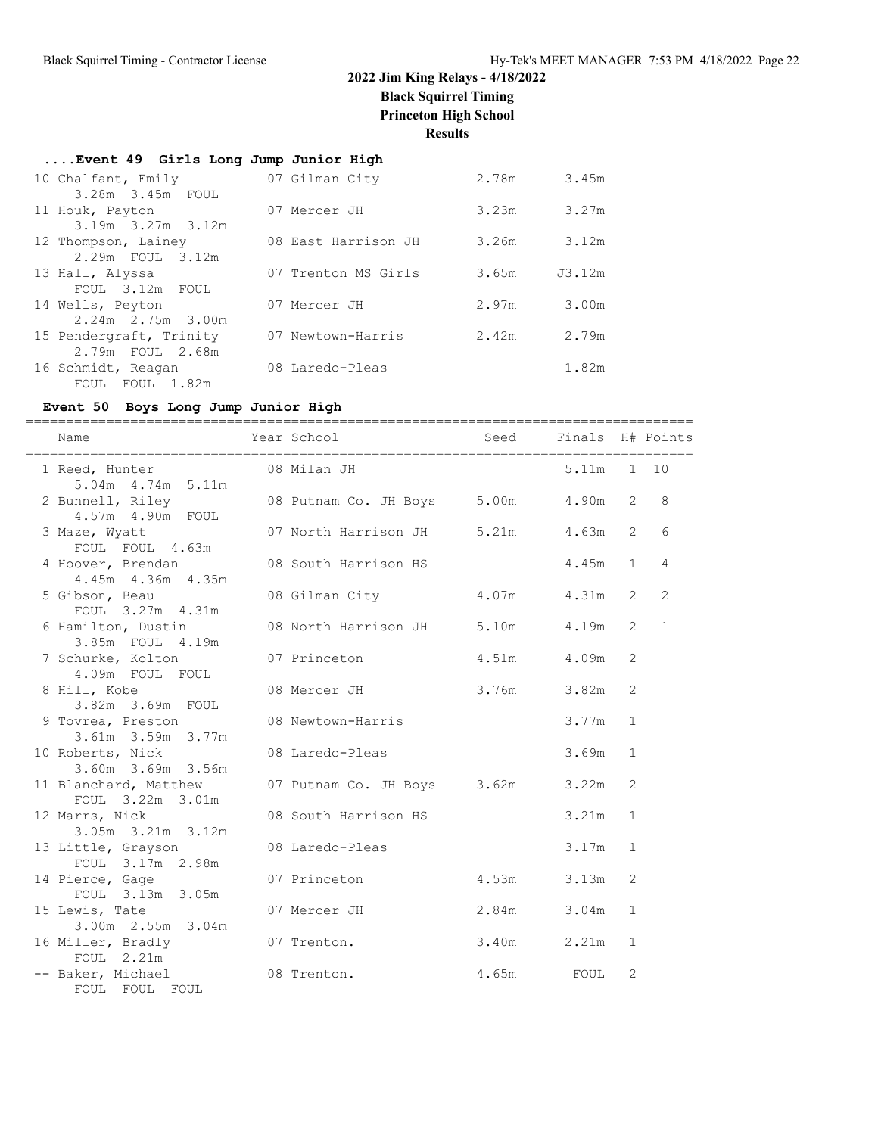#### **....Event 49 Girls Long Jump Junior High**

| 10 Chalfant, Emily<br>3.28m 3.45m FOUL | 07 Gilman City      | 2.78m | 3.45m  |
|----------------------------------------|---------------------|-------|--------|
| 11 Houk, Payton                        | 07 Mercer JH        | 3.23m | 3.27m  |
| $3.19m$ $3.27m$ $3.12m$                |                     |       |        |
| 12 Thompson, Lainey                    | 08 East Harrison JH | 3.26m | 3.12m  |
| 2.29m FOUL 3.12m                       |                     |       |        |
| 13 Hall, Alyssa                        | 07 Trenton MS Girls | 3.65m | J3.12m |
| FOUL 3.12m FOUL                        |                     |       |        |
| 14 Wells, Peyton                       | 07 Mercer JH        | 2.97m | 3.00m  |
| $2.24m$ $2.75m$ $3.00m$                |                     |       |        |
| 15 Pendergraft, Trinity                | 07 Newtown-Harris   | 2.42m | 2.79m  |
| 2.79m FOUL 2.68m                       |                     |       |        |
| 16 Schmidt, Reagan                     | 08 Laredo-Pleas     |       | 1.82m  |
| FOUL FOUL 1.82m                        |                     |       |        |

### **Event 50 Boys Long Jump Junior High**

=================================================================================== Name The Year School Seed Finals H# Points =================================================================================== 1 Reed, Hunter 08 Milan JH 5.11m 1 10 5.04m 4.74m 5.11m 2 Bunnell, Riley 08 Putnam Co. JH Boys 5.00m 4.90m 2 8 4.57m 4.90m FOUL 3 Maze, Wyatt 07 North Harrison JH 5.21m 4.63m 2 6 FOUL FOUL 4.63m 4 Hoover, Brendan and 08 South Harrison HS 4.45m 1 4 4.45m 4.36m 4.35m 5 Gibson, Beau 08 Gilman City 4.07m 4.31m 2 2 FOUL 3.27m 4.31m 6 Hamilton, Dustin 08 North Harrison JH 5.10m 4.19m 2 1 3.85m FOUL 4.19m 7 Schurke, Kolton 07 Princeton 4.51m 4.09m 2 4.09m FOUL FOUL 8 Hill, Kobe 08 Mercer JH 3.76m 3.82m 2 3.82m 3.69m FOUL 9 Tovrea, Preston 08 Newtown-Harris 3.77m 1 3.61m 3.59m 3.77m 10 Roberts, Nick 08 Laredo-Pleas 3.69m 1 3.60m 3.69m 3.56m 11 Blanchard, Matthew 07 Putnam Co. JH Boys 3.62m 3.22m 2 FOUL 3.22m 3.01m 12 Marrs, Nick 68 South Harrison HS 3.21m 1 3.05m 3.21m 3.12m 13 Little, Grayson 08 Laredo-Pleas 3.17m 1 FOUL 3.17m 2.98m 14 Pierce, Gage **07 Princeton** 4.53m 3.13m 2 FOUL 3.13m 3.05m 15 Lewis, Tate 07 Mercer JH 2.84m 3.04m 1 3.00m 2.55m 3.04m 16 Miller, Bradly 07 Trenton. 3.40m 2.21m 1 FOUL 2.21m -- Baker, Michael 08 Trenton. 4.65m FOUL 2 FOUL FOUL FOUL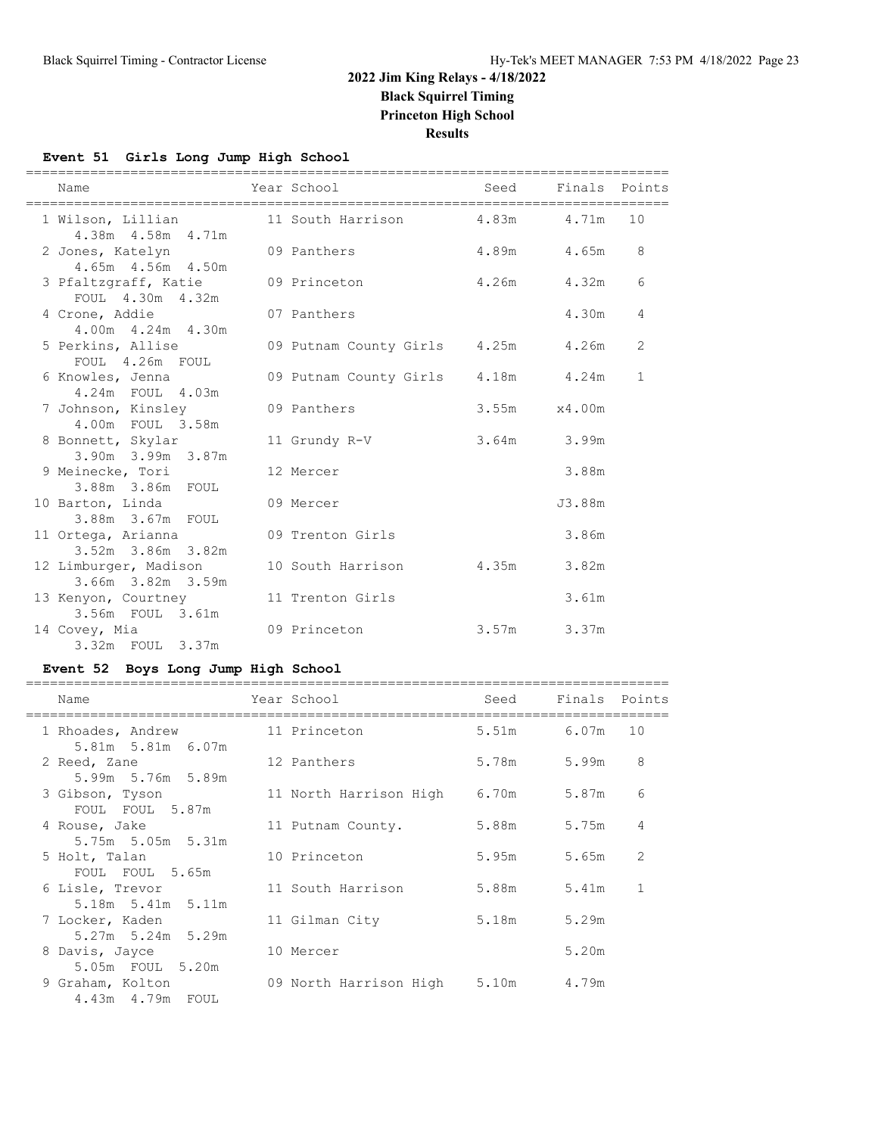## **Event 51 Girls Long Jump High School**

| Name                                                                   | Year School School                 | Seed Finals Points |                  |                |
|------------------------------------------------------------------------|------------------------------------|--------------------|------------------|----------------|
| 1 Wilson, Lillian 11 South Harrison 4.83m 4.71m<br>4.38m  4.58m  4.71m |                                    |                    |                  | 10             |
| 2 Jones, Katelyn 69 Panthers 4.89m 4.65m<br>4.65m 4.56m 4.50m          |                                    |                    |                  | 8              |
| 3 Pfaltzgraff, Katie 69 Princeton<br>FOUL 4.30m 4.32m                  |                                    | 4.26m 4.32m        |                  | 6              |
| 4 Crone, Addie<br>4.00m  4.24m  4.30m                                  | 07 Panthers                        |                    | 4.30m            | 4              |
| 5 Perkins, Allise<br>FOUL 4.26m FOUL                                   | 09 Putnam County Girls 4.25m 4.26m |                    |                  | $\overline{2}$ |
| 6 Knowles, Jenna<br>4.24m FOUL 4.03m                                   | 09 Putnam County Girls 4.18m 4.24m |                    |                  | $\mathbf{1}$   |
| 7 Johnson, Kinsley<br>4.00m FOUL 3.58m                                 | 09 Panthers                        |                    | $3.55m$ $x4.00m$ |                |
| 8 Bonnett, Skylar<br>3.90m 3.99m 3.87m                                 | 11 Grundy R-V                      |                    | 3.64m 3.99m      |                |
| 9 Meinecke, Tori<br>3.88m 3.86m FOUL                                   | 12 Mercer                          |                    | 3.88m            |                |
| 10 Barton, Linda<br>3.88m 3.67m FOUL                                   | 09 Mercer                          |                    | J3.88m           |                |
| 11 Ortega, Arianna<br>3.52m 3.86m 3.82m                                | 09 Trenton Girls                   |                    | 3.86m            |                |
| 12 Limburger, Madison<br>3.66m 3.82m 3.59m                             | 10 South Harrison 4.35m 3.82m      |                    |                  |                |
| 13 Kenyon, Courtney<br>3.56m FOUL 3.61m                                | 11 Trenton Girls                   |                    | 3.61m            |                |
| 14 Covey, Mia<br>3.32m FOUL 3.37m                                      | 09 Princeton                       | $3.57m$ $3.37m$    |                  |                |

## **Event 52 Boys Long Jump High School**

| Name<br>:=============                                     | Year School                        | Seed        | Finals Points |               |
|------------------------------------------------------------|------------------------------------|-------------|---------------|---------------|
| 1 Rhoades, Andrew                                          | 11 Princeton                       | 5.51m 6.07m |               | 10            |
| 5.81m 5.81m 6.07m<br>2 Reed, Zane<br>5.99m 5.76m 5.89m     | 12 Panthers                        | 5.78m 5.99m |               | 8             |
| 3 Gibson, Tyson<br>FOUL FOUL 5.87m                         | 11 North Harrison High 6.70m 5.87m |             |               | 6             |
| 4 Rouse, Jake<br>5.75m 5.05m 5.31m                         | 11 Putnam County.                  | 5.88m 5.75m |               | 4             |
| 5 Holt, Talan<br>FOUL FOUL 5.65m                           | 10 Princeton                       | 5.95m 5.65m |               | $\mathcal{L}$ |
| 6 Lisle, Trevor<br>5.18m 5.41m 5.11m                       | 11 South Harrison                  | 5.88m 5.41m |               | $\mathbf{1}$  |
| 7 Locker, Kaden<br>$5.27m$ $5.24m$ $5.29m$                 | 11 Gilman City                     | 5.18m       | 5.29m         |               |
| 8 Davis, Jayce                                             | 10 Mercer                          |             | 5.20m         |               |
| 5.05m FOUL 5.20m<br>9 Graham, Kolton<br>4.43m  4.79m  FOUL | 09 North Harrison High 5.10m 4.79m |             |               |               |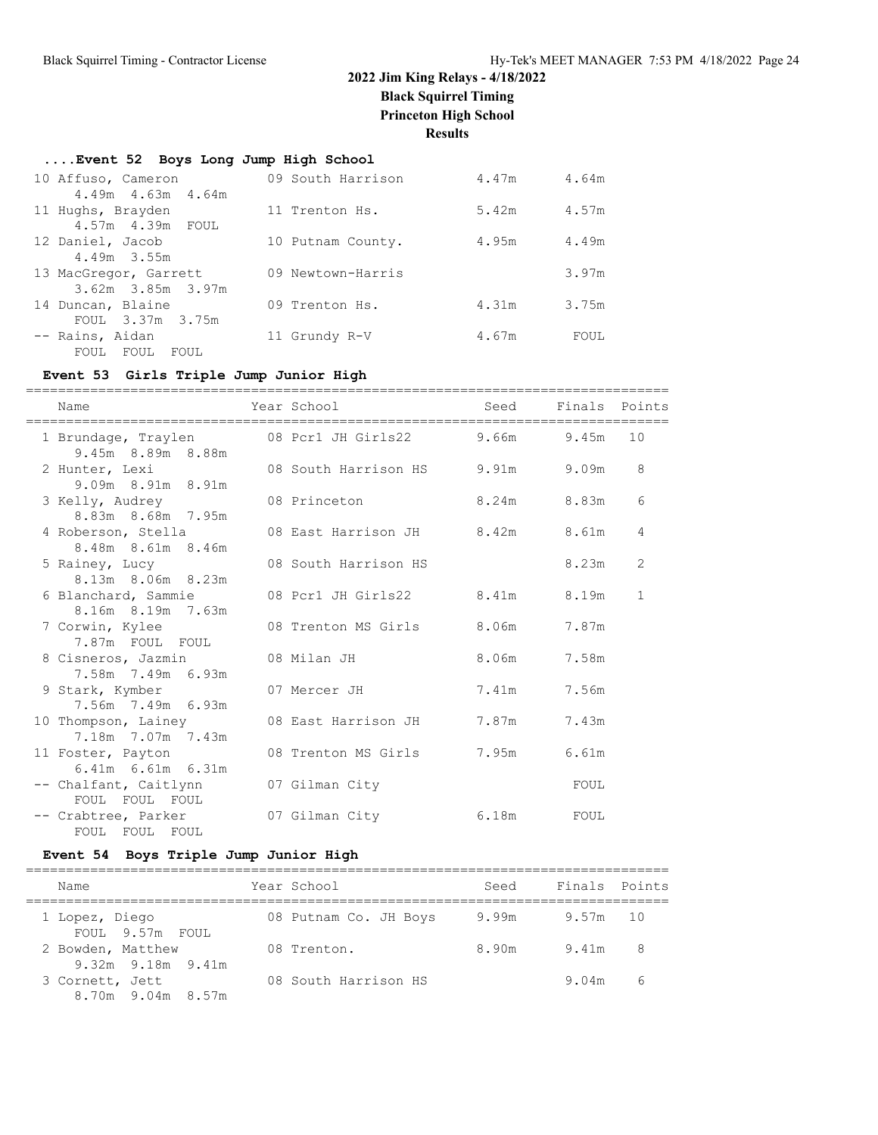## **....Event 52 Boys Long Jump High School**

| 10 Affuso, Cameron      | 09 South Harrison | 4.47m | 4.64m |
|-------------------------|-------------------|-------|-------|
| $4.49m$ $4.63m$ $4.64m$ |                   |       |       |
| 11 Hughs, Brayden       | 11 Trenton Hs.    | 5.42m | 4.57m |
| 4.57m  4.39m  FOUL      |                   |       |       |
| 12 Daniel, Jacob        | 10 Putnam County. | 4.95m | 4.49m |
| 4.49m 3.55m             |                   |       |       |
| 13 MacGregor, Garrett   | 09 Newtown-Harris |       | 3.97m |
| $3.62m$ $3.85m$ $3.97m$ |                   |       |       |
| 14 Duncan, Blaine       | 09 Trenton Hs.    | 4.31m | 3.75m |
| FOUL 3.37m 3.75m        |                   |       |       |
| -- Rains, Aidan         | 11 Grundy R-V     | 4.67m | FOUL  |
| FOUL FOUL<br>FOUL       |                   |       |       |

## **Event 53 Girls Triple Jump Junior High**

| Name                                                                    | Year School                      | Seed        | Finals Points |              |
|-------------------------------------------------------------------------|----------------------------------|-------------|---------------|--------------|
| 1 Brundage, Traylen 68 Pcr1 JH Girls22 9.66m 9.45m<br>9.45m 8.89m 8.88m |                                  |             |               | 10           |
| 2 Hunter, Lexi<br>$9.09m$ $8.91m$ $8.91m$                               | 08 South Harrison HS 9.91m 9.09m |             |               | 8            |
| 3 Kelly, Audrey<br>8.83m 8.68m 7.95m                                    | 08 Princeton                     | 8.24m 8.83m |               | 6            |
| 4 Roberson, Stella<br>8.48m 8.61m 8.46m                                 | 08 East Harrison JH 8.42m 8.61m  |             |               | 4            |
| 5 Rainey, Lucy<br>8.13m 8.06m 8.23m                                     | 08 South Harrison HS             |             | 8.23m         | 2            |
| 6 Blanchard, Sammie<br>8.16m 8.19m 7.63m                                | 08 Pcr1 JH Girls22 8.41m 8.19m   |             |               | $\mathbf{1}$ |
| 7 Corwin, Kylee<br>7.87m FOUL FOUL                                      | 08 Trenton MS Girls              | 8.06m 7.87m |               |              |
| 8 Cisneros, Jazmin<br>7.58m 7.49m 6.93m                                 | 08 Milan JH                      |             | 8.06m 7.58m   |              |
| 9 Stark, Kymber<br>7.56m 7.49m 6.93m                                    | 07 Mercer JH                     |             | 7.41m 7.56m   |              |
| 10 Thompson, Lainey<br>7.18m 7.07m 7.43m                                | 08 East Harrison JH              | 7.87m 7.43m |               |              |
| 11 Foster, Payton<br>$6.41m$ $6.61m$ $6.31m$                            | 08 Trenton MS Girls              | 7.95m 6.61m |               |              |
| -- Chalfant, Caitlynn<br>FOUL FOUL FOUL                                 | 07 Gilman City                   |             | FOUL          |              |
| -- Crabtree, Parker<br>FOUL FOUL FOUL                                   | 07 Gilman City                   | 6.18m       | FOUL          |              |

## **Event 54 Boys Triple Jump Junior High**

| Name                                         | Year School           | Seed  | Finals Points |                |
|----------------------------------------------|-----------------------|-------|---------------|----------------|
| 1 Lopez, Diego<br>FOUL 9.57m FOUL            | 08 Putnam Co. JH Boys | 9.99m | $9.57m$ 10    |                |
| 2 Bowden, Matthew<br>$9.32m$ $9.18m$ $9.41m$ | 08 Trenton.           | 8.90m | 9.41m         | 8 <sup>8</sup> |
| 3 Cornett, Jett<br>$8.70m$ 9.04m $8.57m$     | 08 South Harrison HS  |       | 9.04m         | 6              |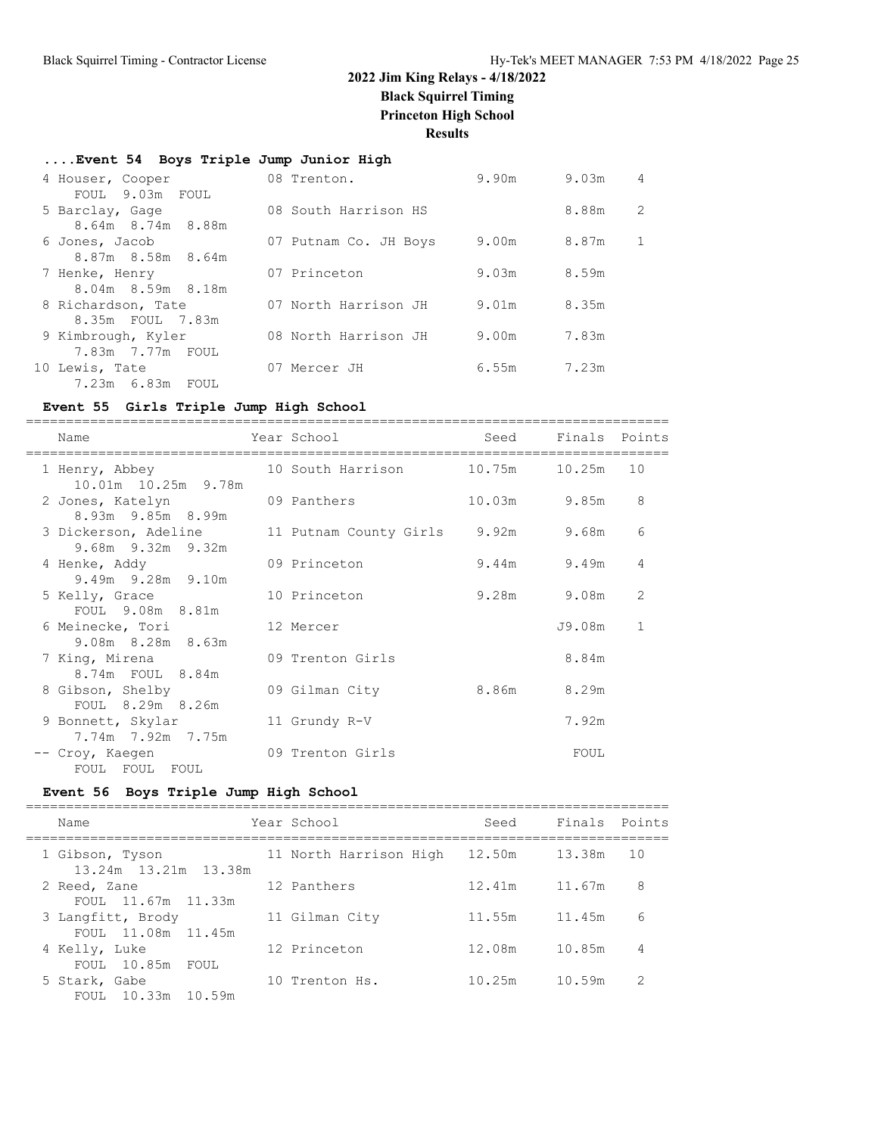#### **....Event 54 Boys Triple Jump Junior High**

| 4 Houser, Cooper   | 08 Trenton.           | 9.90m | 9.03m | 4 |
|--------------------|-----------------------|-------|-------|---|
| FOUL 9.03m FOUL    |                       |       |       |   |
| 5 Barclay, Gage    | 08 South Harrison HS  |       | 8.88m | 2 |
| 8.64m 8.74m 8.88m  |                       |       |       |   |
| 6 Jones, Jacob     | 07 Putnam Co. JH Boys | 9.00m | 8.87m |   |
| 8.87m 8.58m 8.64m  |                       |       |       |   |
| 7 Henke, Henry     | 07 Princeton          | 9.03m | 8.59m |   |
| 8.04m 8.59m 8.18m  |                       |       |       |   |
| 8 Richardson, Tate | 07 North Harrison JH  | 9.01m | 8.35m |   |
| 8.35m FOUL 7.83m   |                       |       |       |   |
| 9 Kimbrough, Kyler | 08 North Harrison JH  | 9.00m | 7.83m |   |
| 7.83m 7.77m FOUL   |                       |       |       |   |
| 10 Lewis, Tate     | 07 Mercer JH          | 6.55m | 7.23m |   |
| 7.23m 6.83m        |                       |       |       |   |
| FOUL               |                       |       |       |   |

#### **Event 55 Girls Triple Jump High School**

================================================================================ Name Year School Seed Finals Points ================================================================================ 1 Henry, Abbey 10 South Harrison 10.75m 10.25m 10 10.01m 10.25m 9.78m 2 Jones, Katelyn 09 Panthers 10.03m 9.85m 8 8.93m 9.85m 8.99m 3 Dickerson, Adeline 11 Putnam County Girls 9.92m 9.68m 6 9.68m 9.32m 9.32m 4 Henke, Addy 09 Princeton 9.44m 9.49m 4 9.49m 9.28m 9.10m 5 Kelly, Grace 10 Princeton 9.28m 9.08m 2 FOUL 9.08m 8.81m 6 Meinecke, Tori 12 Mercer J9.08m 1 9.08m 8.28m 8.63m 7 King, Mirena **09 Trenton Girls** 8.84m 8.74m FOUL 8.84m 8 Gibson, Shelby 09 Gilman City 8.86m 8.29m FOUL 8.29m 8.26m<br>9 Bonnett, Skylar 11 Grundy R-V 9 Bonnett, Skylar 11 Grundy R-V 7.92m 7.74m 7.92m 7.75m -- Croy, Kaegen 09 Trenton Girls FOUL FOUL FOUL FOUL

### **Event 56 Boys Triple Jump High School**

| Name                                    | Year School            | Seed   | Finals Points |               |
|-----------------------------------------|------------------------|--------|---------------|---------------|
| 1 Gibson, Tyson<br>13.24m 13.21m 13.38m | 11 North Harrison High | 12.50m | 13.38m        | 10            |
| 2 Reed, Zane<br>FOUL 11.67m 11.33m      | 12 Panthers            | 12.41m | 11.67m        | 8             |
| 3 Langfitt, Brody<br>FOUL 11.08m 11.45m | 11 Gilman City         | 11.55m | 11.45m        | 6             |
| 4 Kelly, Luke<br>FOUL 10.85m FOUL       | 12 Princeton           | 12.08m | 10.85m        | 4             |
| 5 Stark, Gabe<br>FOUL 10.33m 10.59m     | 10 Trenton Hs.         | 10.25m | 10.59m        | $\mathcal{D}$ |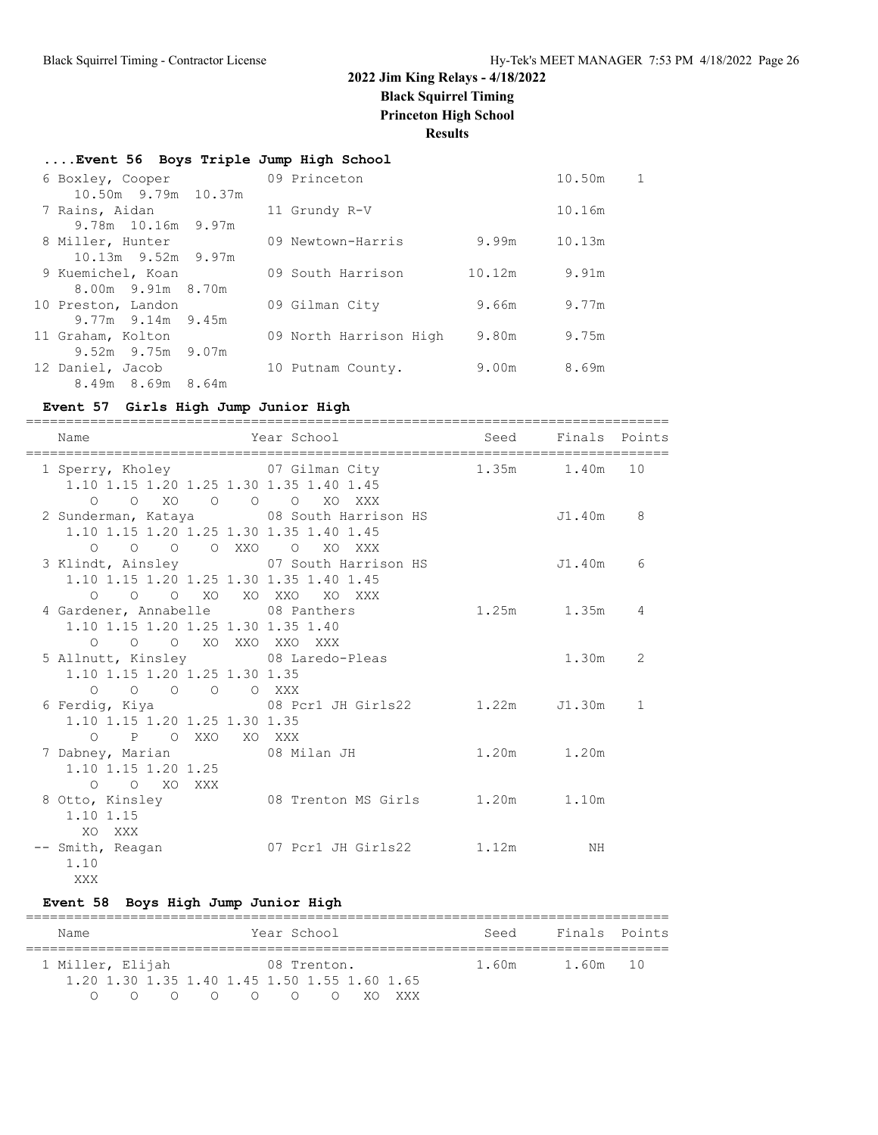## **....Event 56 Boys Triple Jump High School**

| 6 Boxley, Cooper                          |  | 09 Princeton           |        | 10.50m | 1 |
|-------------------------------------------|--|------------------------|--------|--------|---|
| 10.50m 9.79m 10.37m<br>7 Rains, Aidan     |  | 11 Grundy R-V          |        | 10.16m |   |
| 9.78m 10.16m 9.97m                        |  |                        |        |        |   |
| 8 Miller, Hunter<br>$10.13m$ 9.52m 9.97m  |  | 09 Newtown-Harris      | 9.99m  | 10.13m |   |
| 9 Kuemichel, Koan                         |  | 09 South Harrison      | 10.12m | 9.91m  |   |
| 8.00m 9.91m 8.70m                         |  |                        |        |        |   |
| 10 Preston, Landon<br>$9.77m$ 9.14m 9.45m |  | 09 Gilman City         | 9.66m  | 9.77m  |   |
| 11 Graham, Kolton                         |  | 09 North Harrison High | 9.80m  | 9.75m  |   |
| 9.52m 9.75m 9.07m                         |  |                        |        |        |   |
| 12 Daniel, Jacob<br>8.49m 8.69m 8.64m     |  | 10 Putnam County.      | 9.00m  | 8.69m  |   |
|                                           |  |                        |        |        |   |

## **Event 57 Girls High Jump Junior High**

| Name                                                                                                             | Year School School | Seed Finals Points |           |                |
|------------------------------------------------------------------------------------------------------------------|--------------------|--------------------|-----------|----------------|
| 1 Sperry, Kholey 67 Gilman City 1.35m 1.40m 10<br>1.10 1.15 1.20 1.25 1.30 1.35 1.40 1.45<br>0 0 XO 0 0 0 XO XXX |                    |                    |           |                |
| 2 Sunderman, Kataya 68 South Harrison HS<br>1.10 1.15 1.20 1.25 1.30 1.35 1.40 1.45<br>0 0 0 0 XXO 0 XO XXX      |                    | $J1.40m$ 8         |           |                |
| 3 Klindt, Ainsley 07 South Harrison HS<br>1.10 1.15 1.20 1.25 1.30 1.35 1.40 1.45<br>0 0 0 XO XO XXO XO XXX      |                    |                    | J1.40m    | 6              |
| 4 Gardener, Annabelle 68 Panthers<br>1.10 1.15 1.20 1.25 1.30 1.35 1.40<br>O O XO XXO XXO XXX<br>$\bigcap$       |                    | 1.25m 1.35m        |           | $\overline{4}$ |
| 5 Allnutt, Kinsley 68 Laredo-Pleas<br>1.10 1.15 1.20 1.25 1.30 1.35<br>0 0 0 0 0 XXX                             |                    |                    | $1.30m$ 2 |                |
| 6 Ferdig, Kiya (28 Pcr1 JH Girls22 1.22m<br>1.10 1.15 1.20 1.25 1.30 1.35<br>O P O XXO XO XXX                    |                    |                    | J1.30m 1  |                |
| 7 Dabney, Marian 68 Milan JH<br>1.10 1.15 1.20 1.25<br>O O XO XXX                                                | 1.20m 1.20m        |                    |           |                |
| 8 Otto, Kinsley               08 Trenton MS Girls       1.20m     1.10m<br>1.10 1.15<br>XO XXX                   |                    |                    |           |                |
| -- Smith, Reagan and 17 Pcr1 JH Girls22 1.12m MH<br>1.10                                                         |                    |                    |           |                |

XXX

## **Event 58 Boys High Jump Junior High**

| Name             | Year School                                           | Seed  | Finals Points |  |  |  |  |  |
|------------------|-------------------------------------------------------|-------|---------------|--|--|--|--|--|
| 1 Miller, Elijah | 08 Trenton.                                           | 1.60m | 1.60m 10      |  |  |  |  |  |
|                  | 1, 20 1, 30 1, 35 1, 40 1, 45 1, 50 1, 55 1, 60 1, 65 |       |               |  |  |  |  |  |
|                  | 00000000XOXXX                                         |       |               |  |  |  |  |  |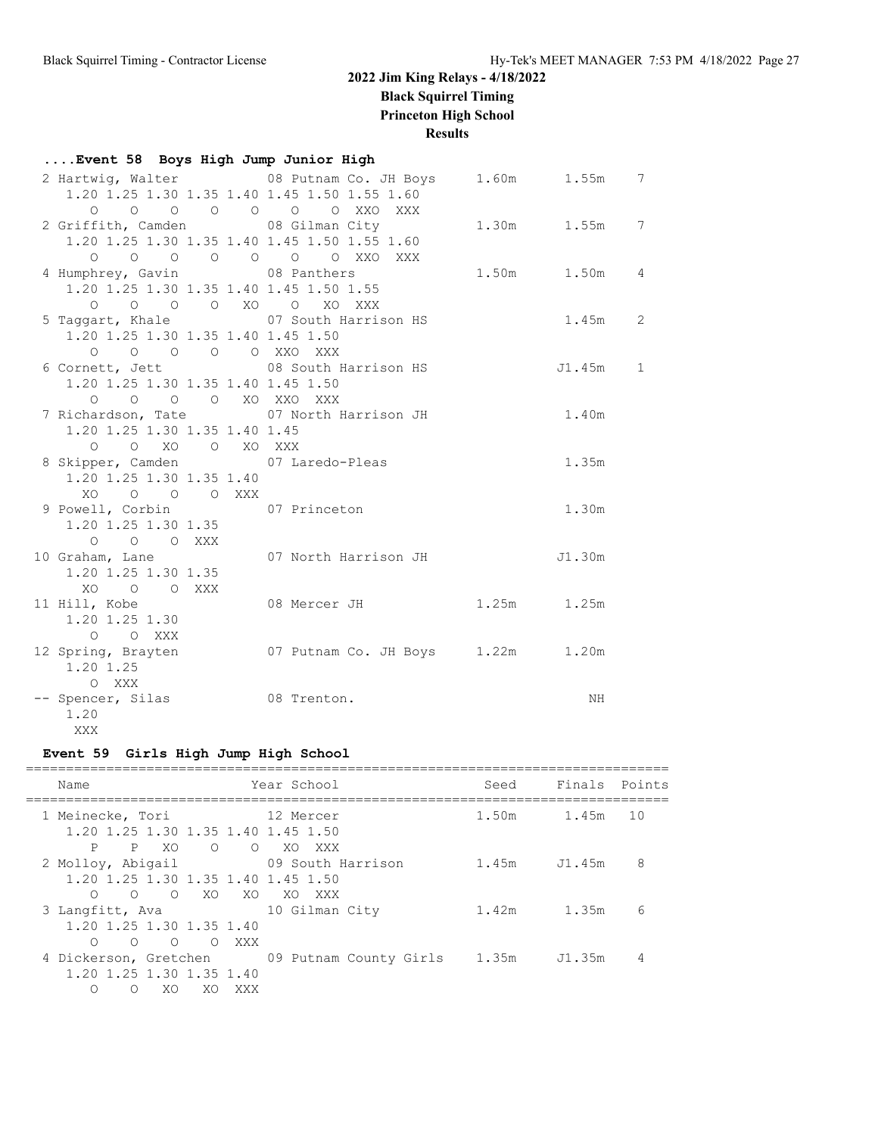| Event 58 Boys High Jump Junior High |                                                             |                                         |  |               |  |  |  |  |
|-------------------------------------|-------------------------------------------------------------|-----------------------------------------|--|---------------|--|--|--|--|
|                                     |                                                             | 2 Hartwig, Walter 68 Putnam Co. JH Boys |  | 1.60m 1.55m 7 |  |  |  |  |
|                                     | 1.20 1.25 1.30 1.35 1.40 1.45 1.50 1.55 1.60                |                                         |  |               |  |  |  |  |
|                                     | $\begin{matrix} 0 & 0 & 0 & 0 & 0 & 0 & 0 & 0 \end{matrix}$ | XXX                                     |  |               |  |  |  |  |
|                                     | 2 Griffith, Camden 08 Gilman City                           |                                         |  | 1.30m 1.55m 7 |  |  |  |  |
|                                     | 1.20 1.25 1.30 1.35 1.40 1.45 1.50 1.55 1.60                |                                         |  |               |  |  |  |  |
|                                     |                                                             | 0 0 0 0 0 0 0 XXO XXX                   |  |               |  |  |  |  |
|                                     | 4 Humphrey, Gavin 68 Panthers                               |                                         |  | 1.50m 1.50m 4 |  |  |  |  |
|                                     | 1.20 1.25 1.30 1.35 1.40 1.45 1.50 1.55                     |                                         |  |               |  |  |  |  |
|                                     | 0 0 0 0 XO 0 XO XXX                                         |                                         |  |               |  |  |  |  |
|                                     | 5 Taggart, Khale 67 South Harrison HS                       |                                         |  | $1.45m$ 2     |  |  |  |  |
|                                     | 1.20 1.25 1.30 1.35 1.40 1.45 1.50                          |                                         |  |               |  |  |  |  |
|                                     | 0 0 0 0 0 XXO XXX                                           |                                         |  |               |  |  |  |  |
|                                     | 6 Cornett, Jett 68 South Harrison HS                        |                                         |  | J1.45m 1      |  |  |  |  |
|                                     | 1.20 1.25 1.30 1.35 1.40 1.45 1.50<br>0 0 0 0 XO XXO XXX    |                                         |  |               |  |  |  |  |
|                                     | 7 Richardson, Tate 07 North Harrison JH                     |                                         |  | 1.40m         |  |  |  |  |
|                                     | 1.20 1.25 1.30 1.35 1.40 1.45                               |                                         |  |               |  |  |  |  |
|                                     | O O XO O XO XXX                                             |                                         |  |               |  |  |  |  |
|                                     | 8 Skipper, Camden 67 Laredo-Pleas                           |                                         |  | 1.35m         |  |  |  |  |
|                                     | 1.20 1.25 1.30 1.35 1.40                                    |                                         |  |               |  |  |  |  |
|                                     | XO O O O XXX                                                |                                         |  |               |  |  |  |  |
|                                     | 9 Powell, Corbin 07 Princeton                               |                                         |  | 1.30m         |  |  |  |  |
|                                     | 1.20 1.25 1.30 1.35                                         |                                         |  |               |  |  |  |  |
|                                     | $O$ $O$ $O$ $XXX$                                           |                                         |  |               |  |  |  |  |
|                                     | 10 Graham, Lane                                             | 07 North Harrison JH                    |  | J1.30m        |  |  |  |  |
|                                     | 1.20 1.25 1.30 1.35                                         |                                         |  |               |  |  |  |  |
|                                     | XOOO XXX                                                    |                                         |  |               |  |  |  |  |
|                                     | 11 Hill, Kobe                                               | 08 Mercer JH                            |  | 1.25m 1.25m   |  |  |  |  |
|                                     | 1.20 1.25 1.30                                              |                                         |  |               |  |  |  |  |
|                                     | $O$ $O$ XXX                                                 |                                         |  |               |  |  |  |  |
|                                     | 12 Spring, Brayten                                          | 07 Putnam Co. JH Boys 1.22m 1.20m       |  |               |  |  |  |  |
|                                     | 1.20 1.25                                                   |                                         |  |               |  |  |  |  |
|                                     | O XXX                                                       |                                         |  |               |  |  |  |  |
|                                     | -- Spencer, Silas                                           | 08 Trenton.                             |  | NH            |  |  |  |  |
|                                     | 1.20                                                        |                                         |  |               |  |  |  |  |
|                                     | XXX                                                         |                                         |  |               |  |  |  |  |

## **Event 59 Girls High Jump High School**

| Name                                                                                                                                              | Year School  | Seed  | Finals Points |    |
|---------------------------------------------------------------------------------------------------------------------------------------------------|--------------|-------|---------------|----|
| 1 Meinecke, Tori<br>1.20 1.25 1.30 1.35 1.40 1.45 1.50                                                                                            | 12 Mercer    |       | 1.50m 1.45m   | 10 |
| $O$ $O$ $XO$<br>P<br>P XO<br>2 Molloy, Abigail 69 South Harrison<br>1.20 1.25 1.30 1.35 1.40 1.45 1.50                                            | XXX X        |       | 1.45m J1.45m  | 8  |
| $\bigcirc$<br>$\bigcirc$<br>$\bigcirc$<br>3 Langfitt, Ava 10 Gilman City<br>1.20 1.25 1.30 1.35 1.40                                              | XO XO XO XXX | 1.42m | 1.35m         | 6  |
| $\circ$<br>$\circ$<br>∩<br>$\Omega$<br>XXX X<br>4 Dickerson, Gretchen 09 Putnam County Girls<br>1.20 1.25 1.30 1.35 1.40<br>XO<br>∩<br>XXX<br>XO. |              | 1.35m | J1.35m        | 4  |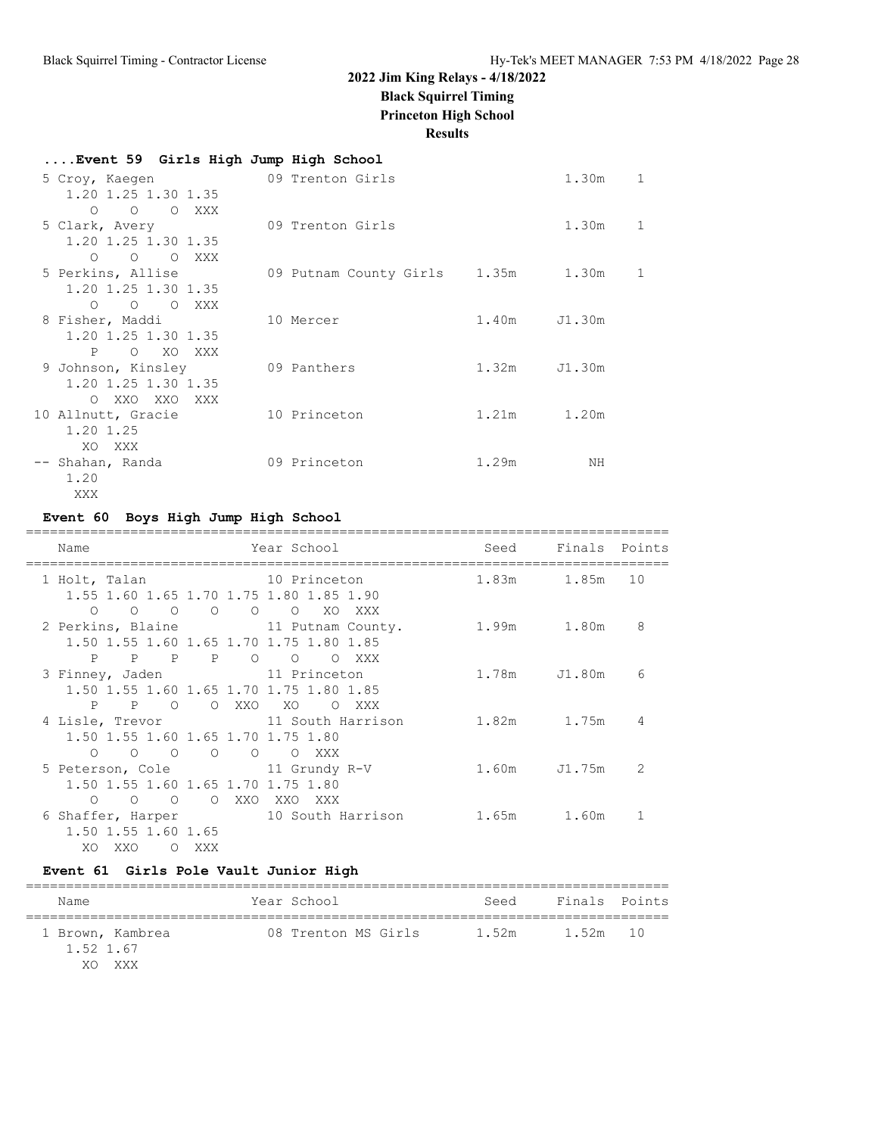## **2022 Jim King Relays - 4/18/2022 Black Squirrel Timing**

**Princeton High School**

**Results**

| Event 59 Girls High Jump High School |                              |       |              |              |
|--------------------------------------|------------------------------|-------|--------------|--------------|
| 5 Croy, Kaegen                       | 09 Trenton Girls             |       | 1.30m        | $\mathbf{1}$ |
| 1.20 1.25 1.30 1.35                  |                              |       |              |              |
| $O$ $O$ $O$ $XXX$                    |                              |       |              |              |
| 5 Clark, Avery                       | 09 Trenton Girls             |       | 1.30m        | 1            |
| 1.20 1.25 1.30 1.35                  |                              |       |              |              |
| O O O XXX                            |                              |       |              |              |
| 5 Perkins, Allise                    | 09 Putnam County Girls 1.35m |       | 1.30m        | 1            |
| 1.20 1.25 1.30 1.35                  |                              |       |              |              |
| O O O XXX                            |                              |       |              |              |
| 8 Fisher, Maddi                      | 10 Mercer                    |       | 1.40m J1.30m |              |
| 1.20 1.25 1.30 1.35                  |                              |       |              |              |
| P O XO XXX                           |                              |       |              |              |
| 9 Johnson, Kinsley                   | 09 Panthers                  | 1.32m | J1.30m       |              |
| 1.20 1.25 1.30 1.35                  |                              |       |              |              |
| O XXO XXO XXX                        |                              |       |              |              |
| 10 Allnutt, Gracie                   | 10 Princeton                 |       | 1.21m 1.20m  |              |
| 1.20 1.25                            |                              |       |              |              |
| XO XXX                               |                              |       |              |              |
| -- Shahan, Randa                     | 09 Princeton                 | 1.29m | ΝH           |              |
| 1.20                                 |                              |       |              |              |
| XXX                                  |                              |       |              |              |

## **Event 60 Boys High Jump High School**

| Name                                                | Year School                                     | Seed        | Finals Points |               |
|-----------------------------------------------------|-------------------------------------------------|-------------|---------------|---------------|
|                                                     |                                                 |             |               |               |
| 1 Holt, Talan                                       | 10 Princeton                                    |             | 1.83m 1.85m   | 10            |
|                                                     | 1.55 1.60 1.65 1.70 1.75 1.80 1.85 1.90         |             |               |               |
| $\begin{matrix} 0 & 0 & 0 & 0 & 0 & 0 \end{matrix}$ | XO<br>XXX                                       |             |               |               |
|                                                     | 2 Perkins, Blaine 11 Putnam County.             |             | 1.99m 1.80m   | 8             |
|                                                     | 1.50 1.55 1.60 1.65 1.70 1.75 1.80 1.85         |             |               |               |
| P P P P                                             | $\overline{O}$<br>$\circ$<br>O XXX              |             |               |               |
| 3 Finney, Jaden 11 Princeton                        |                                                 |             | 1.78m J1.80m  | 6             |
|                                                     | 1.50 1.55 1.60 1.65 1.70 1.75 1.80 1.85         |             |               |               |
| P O O XXO<br>P                                      | XO<br>O XXX                                     |             |               |               |
|                                                     | 4 Lisle, Trevor 11 South Harrison               | 1.82m 1.75m |               | 4             |
| 1.50 1.55 1.60 1.65 1.70 1.75 1.80                  |                                                 |             |               |               |
| $\begin{matrix} 0 & 0 & 0 & 0 \end{matrix}$         | O O XXX                                         |             |               |               |
| 5 Peterson, Cole 11 Grundy R-V                      |                                                 |             | 1.60m J1.75m  | $\mathcal{P}$ |
| 1.50 1.55 1.60 1.65 1.70 1.75 1.80                  |                                                 |             |               |               |
| $\circ$<br>$\Omega$                                 | OOXXOXXOXXX                                     |             |               |               |
|                                                     | 6 Shaffer, Harper 10 South Harrison 1.65m 1.60m |             |               | 1             |
| 1.50 1.55 1.60 1.65                                 |                                                 |             |               |               |
| XO.<br>XXO<br>O XXX                                 |                                                 |             |               |               |

## **Event 61 Girls Pole Vault Junior High**

| Name                                         |  | Year School         | Seed  | Finals Points |  |  |
|----------------------------------------------|--|---------------------|-------|---------------|--|--|
| 1 Brown, Kambrea<br>1.52 1.67<br>XXX X<br>XC |  | 08 Trenton MS Girls | 1.52m | 1.52m 10      |  |  |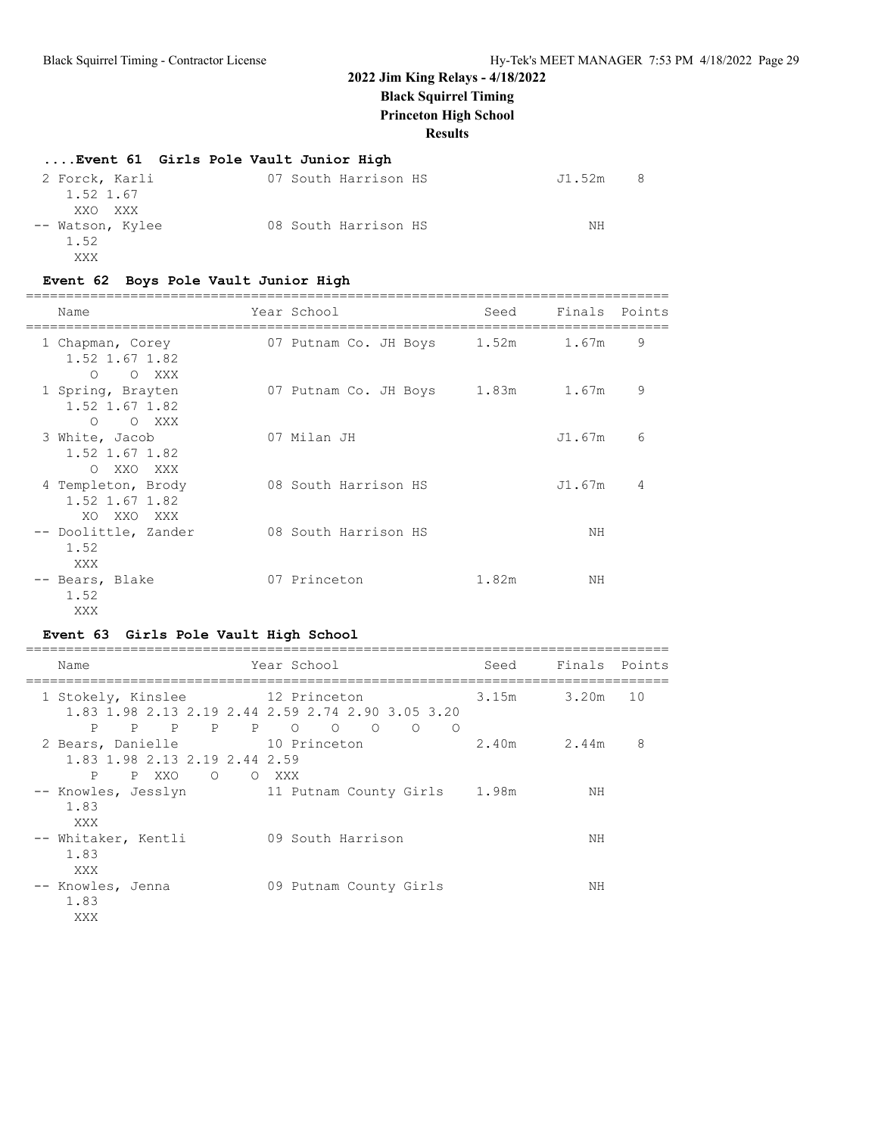# **2022 Jim King Relays - 4/18/2022**

**Black Squirrel Timing**

**Princeton High School**

## **Results**

## **....Event 61 Girls Pole Vault Junior High**

| 2 Forck, Karli   | 07 South Harrison HS | J1.52m |
|------------------|----------------------|--------|
| 1.52 1.67        |                      |        |
| XXO XXX          |                      |        |
| -- Watson, Kylee | 08 South Harrison HS | NΗ     |
| 1.52             |                      |        |
| XXX              |                      |        |

## **Event 62 Boys Pole Vault Junior High**

| Name                                                      | Year School                 | Seed  | Finals Points |   |
|-----------------------------------------------------------|-----------------------------|-------|---------------|---|
| 1 Chapman, Corey<br>1.52 1.67 1.82<br>O O XXX             | 07 Putnam Co. JH Boys 1.52m |       | 1.67m         | 9 |
| 1 Spring, Brayten<br>1.52 1.67 1.82<br>$\bigcap$<br>O XXX | 07 Putnam Co. JH Boys 1.83m |       | 1.67m         | 9 |
| 3 White, Jacob<br>1.52 1.67 1.82<br>O XXO XXX             | 07 Milan JH                 |       | J1.67m        | 6 |
| 4 Templeton, Brody<br>1.52 1.67 1.82<br>XO XXO XXX        | 08 South Harrison HS        |       | J1.67m        | 4 |
| -- Doolittle, Zander<br>1.52<br>XXX                       | 08 South Harrison HS        |       | ΝH            |   |
| -- Bears, Blake<br>1.52<br>XXX                            | 07 Princeton                | 1.82m | ΝH            |   |

## **Event 63 Girls Pole Vault High School**

| Name                                                                                | Year School                                                                                                 | Seed        | Finals Points |    |
|-------------------------------------------------------------------------------------|-------------------------------------------------------------------------------------------------------------|-------------|---------------|----|
| 1 Stokely, Kinslee<br>P P P O O<br>P<br>$\mathbf{P}$                                | 12 Princeton<br>1,83 1,98 2,13 2,19 2,44 2,59 2,74 2,90 3,05 3,20<br>$\Omega$<br>$\Omega$<br>$\overline{O}$ | 3.15m 3.20m |               | 10 |
| 2 Bears, Danielle 10 Princeton<br>1.83 1.98 2.13 2.19 2.44 2.59<br>PXXO O OXXX<br>P |                                                                                                             | 2.40m 2.44m |               | 8  |
| -- Knowles, Jesslyn<br>1.83<br>XXX                                                  | 11 Putnam County Girls 1.98m                                                                                |             | ΝH            |    |
| -- Whitaker, Kentli<br>1.83<br>XXX                                                  | 09 South Harrison                                                                                           |             | ΝH            |    |
| -- Knowles, Jenna<br>1.83<br>XXX                                                    | 09 Putnam County Girls                                                                                      |             | NΗ            |    |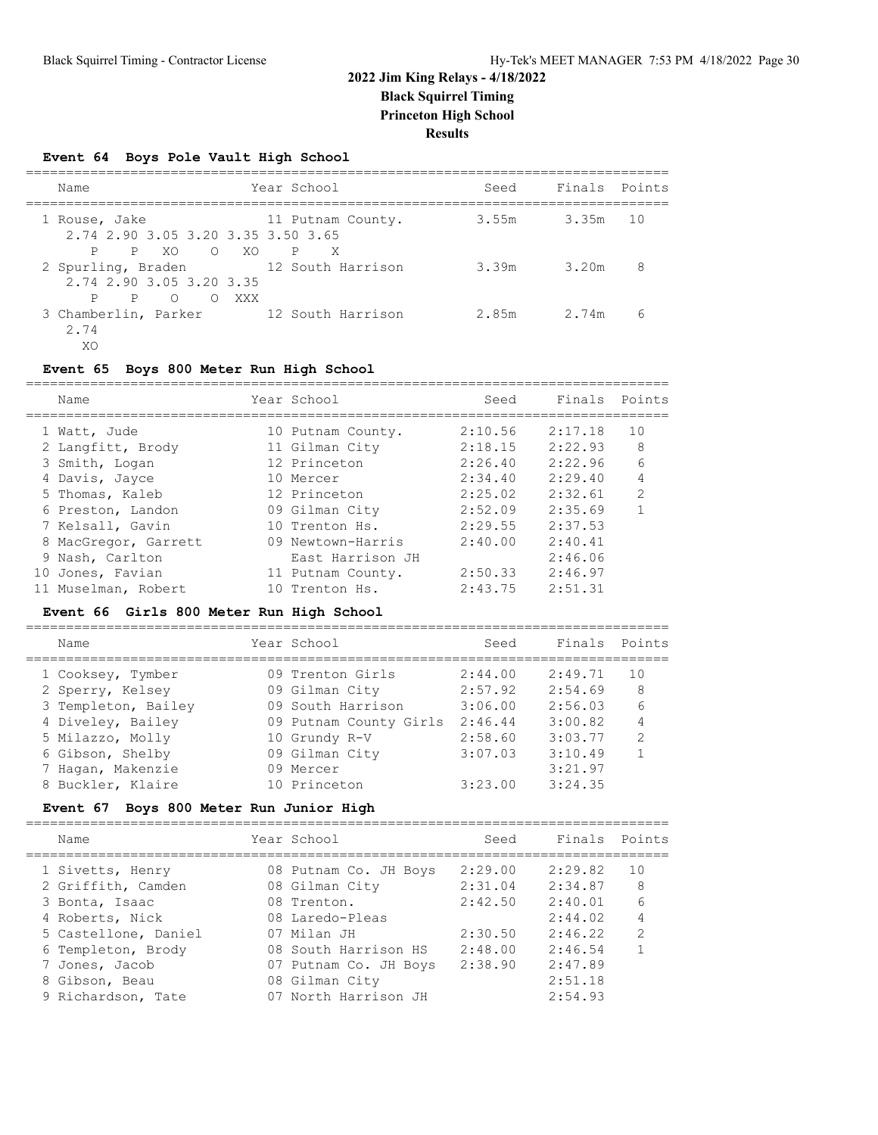## **Event 64 Boys Pole Vault High School**

| Name                                                               | Year School                       | Seed  | Finals Points |    |
|--------------------------------------------------------------------|-----------------------------------|-------|---------------|----|
| 1 Rouse, Jake<br>2.74 2.90 3.05 3.20 3.35 3.50 3.65<br>PXO OXO P   | 11 Putnam County.<br>$\mathsf{X}$ | 3.55m | 3.35m         | 10 |
| 2 Spurling, Braden<br>2.74 2.90 3.05 3.20 3.35<br>$P$ 0 0<br>XXX X | 12 South Harrison                 | 3.39m | 3.20m         | 8  |
| 3 Chamberlin, Parker<br>2.74<br>X0                                 | 12 South Harrison                 | 2.85m | 2.74m         | 6  |

### **Event 65 Boys 800 Meter Run High School**

|  | Name                 | Year School       | Seed    | Finals Points |                |
|--|----------------------|-------------------|---------|---------------|----------------|
|  | 1 Watt, Jude         | 10 Putnam County. | 2:10.56 | 2:17.18       | 10             |
|  | 2 Langfitt, Brody    | 11 Gilman City    | 2:18.15 | 2:22.93       | 8              |
|  | 3 Smith, Logan       | 12 Princeton      | 2:26.40 | 2:22.96       | 6              |
|  | 4 Davis, Jayce       | 10 Mercer         | 2:34.40 | 2:29.40       | 4              |
|  | 5 Thomas, Kaleb      | 12 Princeton      | 2:25.02 | 2:32.61       | $\overline{2}$ |
|  | 6 Preston, Landon    | 09 Gilman City    | 2:52.09 | 2:35.69       |                |
|  | 7 Kelsall, Gavin     | 10 Trenton Hs.    | 2:29.55 | 2:37.53       |                |
|  | 8 MacGregor, Garrett | 09 Newtown-Harris | 2:40.00 | 2:40.41       |                |
|  | 9 Nash, Carlton      | East Harrison JH  |         | 2:46.06       |                |
|  | 10 Jones, Favian     | 11 Putnam County. | 2:50.33 | 2:46.97       |                |
|  | 11 Muselman, Robert  | 10 Trenton Hs.    | 2:43.75 | 2:51.31       |                |
|  |                      |                   |         |               |                |

### **Event 66 Girls 800 Meter Run High School**

| Name                | Year School            | Seed    | Finals Points |                |
|---------------------|------------------------|---------|---------------|----------------|
| 1 Cooksey, Tymber   | 09 Trenton Girls       | 2:44.00 | 2:49.71       | 1 O            |
| 2 Sperry, Kelsey    | 09 Gilman City         | 2:57.92 | 2:54.69       | 8              |
| 3 Templeton, Bailey | 09 South Harrison      | 3:06.00 | 2:56.03       | 6              |
| 4 Diveley, Bailey   | 09 Putnam County Girls | 2:46.44 | 3:00.82       | 4              |
| 5 Milazzo, Molly    | 10 Grundy R-V          | 2:58.60 | 3:03.77       | $\overline{2}$ |
| 6 Gibson, Shelby    | 09 Gilman City         | 3:07.03 | 3:10.49       | 1              |
| 7 Hagan, Makenzie   | 09 Mercer              |         | 3:21.97       |                |
| 8 Buckler, Klaire   | 10 Princeton           | 3:23.00 | 3:24.35       |                |
|                     |                        |         |               |                |

## **Event 67 Boys 800 Meter Run Junior High**

| Name                 | Year School           | Seed    | Finals Points |                |
|----------------------|-----------------------|---------|---------------|----------------|
| 1 Sivetts, Henry     | 08 Putnam Co. JH Boys | 2:29.00 | 2:29.82       | 1 O            |
| 2 Griffith, Camden   | 08 Gilman City        | 2:31.04 | 2:34.87       | 8              |
| 3 Bonta, Isaac       | 08 Trenton.           | 2:42.50 | 2:40.01       | 6              |
| 4 Roberts, Nick      | 08 Laredo-Pleas       |         | 2:44.02       | 4              |
| 5 Castellone, Daniel | 07 Milan JH           | 2:30.50 | 2:46.22       | $\mathfrak{D}$ |
| 6 Templeton, Brody   | 08 South Harrison HS  | 2:48.00 | 2:46.54       |                |
| 7 Jones, Jacob       | 07 Putnam Co. JH Boys | 2:38.90 | 2:47.89       |                |
| 8 Gibson, Beau       | 08 Gilman City        |         | 2:51.18       |                |
| 9 Richardson, Tate   | 07 North Harrison JH  |         | 2:54.93       |                |
|                      |                       |         |               |                |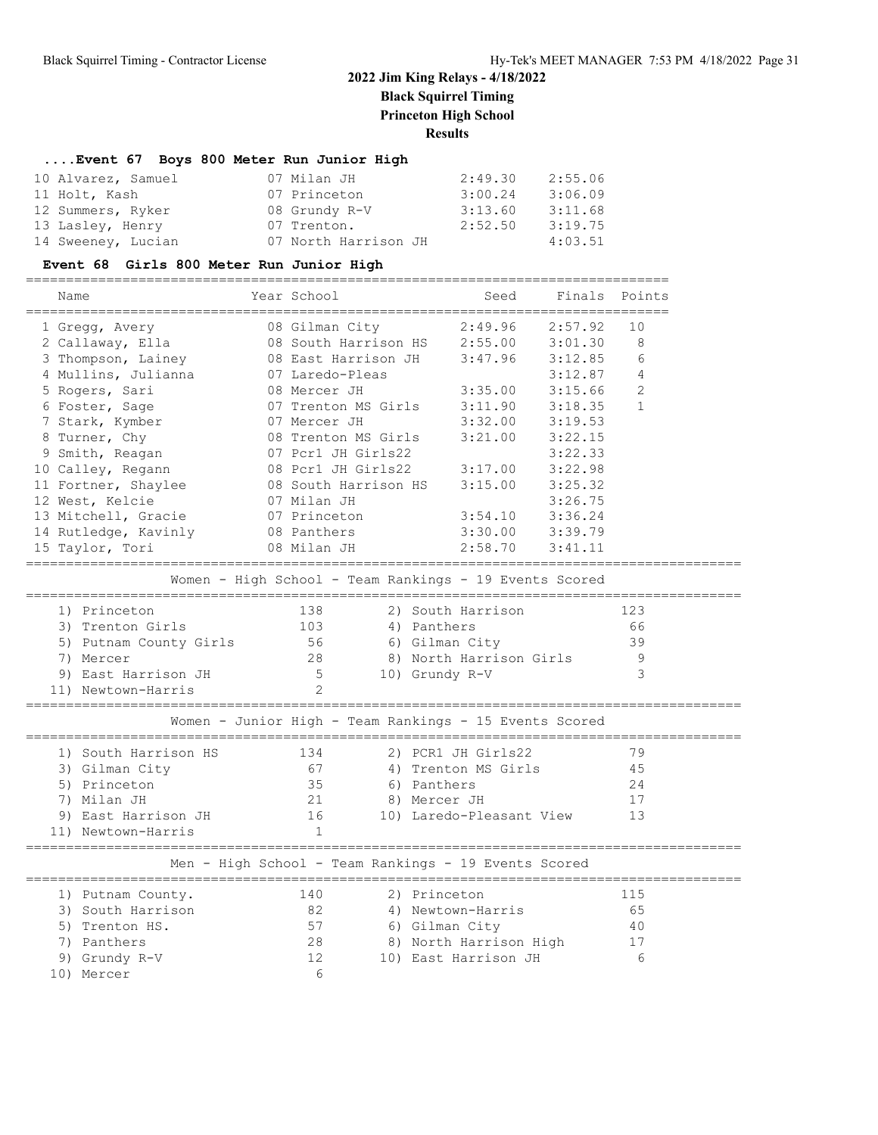================================================================================

## **2022 Jim King Relays - 4/18/2022 Black Squirrel Timing Princeton High School Results**

## **....Event 67 Boys 800 Meter Run Junior High**

| 10 Alvarez, Samuel | 07 Milan JH          | 2:49.30 | 2:55.06 |
|--------------------|----------------------|---------|---------|
| 11 Holt, Kash      | 07 Princeton         | 3:00.24 | 3:06.09 |
| 12 Summers, Ryker  | 08 Grundy R-V        | 3:13.60 | 3:11.68 |
| 13 Lasley, Henry   | 07 Trenton.          | 2:52.50 | 3:19.75 |
| 14 Sweeney, Lucian | 07 North Harrison JH |         | 4:03.51 |

### **Event 68 Girls 800 Meter Run Junior High**

| Name                                                                                                                                                                                                                                                                                                        | Year School                                                                                                                                                                                                                                                                                                                       |                                                    | Seed                                                                                                                             | Finals                                                                                                                                                            | Points                                              |  |  |  |
|-------------------------------------------------------------------------------------------------------------------------------------------------------------------------------------------------------------------------------------------------------------------------------------------------------------|-----------------------------------------------------------------------------------------------------------------------------------------------------------------------------------------------------------------------------------------------------------------------------------------------------------------------------------|----------------------------------------------------|----------------------------------------------------------------------------------------------------------------------------------|-------------------------------------------------------------------------------------------------------------------------------------------------------------------|-----------------------------------------------------|--|--|--|
| 1 Gregg, Avery<br>2 Callaway, Ella<br>3 Thompson, Lainey<br>4 Mullins, Julianna<br>5 Rogers, Sari<br>6 Foster, Sage<br>7 Stark, Kymber<br>8 Turner, Chy<br>9 Smith, Reagan<br>10 Calley, Regann<br>11 Fortner, Shaylee<br>12 West, Kelcie<br>13 Mitchell, Gracie<br>14 Rutledge, Kavinly<br>15 Taylor, Tori | ______________________________<br>08 Gilman City<br>08 South Harrison HS<br>08 East Harrison JH<br>07 Laredo-Pleas<br>08 Mercer JH<br>07 Trenton MS Girls<br>07 Mercer JH<br>08 Trenton MS Girls<br>07 Pcr1 JH Girls22<br>08 Pcr1 JH Girls22<br>08 South Harrison HS<br>07 Milan JH<br>07 Princeton<br>08 Panthers<br>08 Milan JH |                                                    | 2:49.96<br>2:55.00<br>3:47.96<br>3:35.00<br>3:11.90<br>3:32.00<br>3:21.00<br>3:17.00<br>3:15.00<br>3:54.10<br>3:30.00<br>2:58.70 | 2:57.92<br>3:01.30<br>3:12.85<br>3:12.87<br>3:15.66<br>3:18.35<br>3:19.53<br>3:22.15<br>3:22.33<br>3:22.98<br>3:25.32<br>3:26.75<br>3:36.24<br>3:39.79<br>3:41.11 | 10<br>8<br>6<br>$\overline{4}$<br>2<br>$\mathbf{1}$ |  |  |  |
|                                                                                                                                                                                                                                                                                                             | ______________<br>Women - High School - Team Rankings - 19 Events Scored                                                                                                                                                                                                                                                          |                                                    |                                                                                                                                  |                                                                                                                                                                   |                                                     |  |  |  |
| 1) Princeton<br>3) Trenton Girls<br>5) Putnam County Girls<br>7) Mercer<br>9) East Harrison JH<br>11) Newtown-Harris                                                                                                                                                                                        | 138<br>103<br>56<br>28<br>5<br>$\mathcal{D}$                                                                                                                                                                                                                                                                                      | 4) Panthers<br>6) Gilman City<br>10) Grundy R-V    | 2) South Harrison<br>8) North Harrison Girls                                                                                     |                                                                                                                                                                   | 123<br>66<br>39<br>9<br>3                           |  |  |  |
| ====================<br>Women - Junior High - Team Rankings - 15 Events Scored<br>______________________________                                                                                                                                                                                            |                                                                                                                                                                                                                                                                                                                                   |                                                    |                                                                                                                                  |                                                                                                                                                                   |                                                     |  |  |  |
| 1) South Harrison HS<br>3) Gilman City<br>5) Princeton<br>7) Milan JH<br>9) East Harrison JH<br>11) Newtown-Harris                                                                                                                                                                                          | 134<br>67<br>35<br>21<br>16<br>$\mathbf{1}$                                                                                                                                                                                                                                                                                       | 6) Panthers<br>8) Mercer JH<br>=================== | 2) PCR1 JH Girls22<br>4) Trenton MS Girls<br>10) Laredo-Pleasant View                                                            |                                                                                                                                                                   | 79<br>45<br>24<br>17<br>13                          |  |  |  |
| Men - High School - Team Rankings - 19 Events Scored                                                                                                                                                                                                                                                        |                                                                                                                                                                                                                                                                                                                                   |                                                    |                                                                                                                                  |                                                                                                                                                                   |                                                     |  |  |  |
| 1) Putnam County.<br>3) South Harrison<br>5) Trenton HS.<br>7) Panthers<br>9) Grundy R-V<br>10) Mercer                                                                                                                                                                                                      | 140<br>82<br>57<br>28<br>12<br>6                                                                                                                                                                                                                                                                                                  | 2) Princeton<br>6) Gilman City                     | 4) Newtown-Harris<br>8) North Harrison High<br>10) East Harrison JH                                                              |                                                                                                                                                                   | 115<br>65<br>40<br>17<br>6                          |  |  |  |